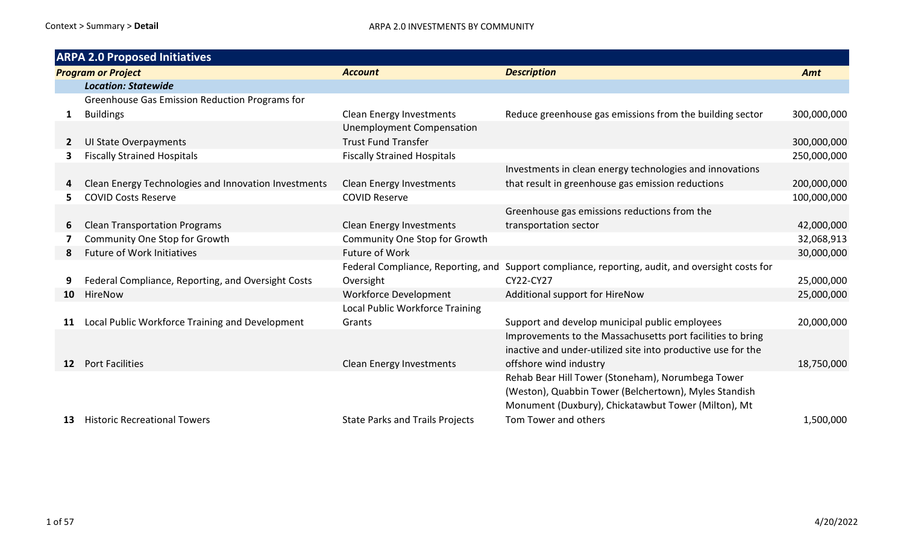|                           | <b>ARPA 2.0 Proposed Initiatives</b>                 |                                        |                                                                                                  |             |
|---------------------------|------------------------------------------------------|----------------------------------------|--------------------------------------------------------------------------------------------------|-------------|
| <b>Program or Project</b> |                                                      | <b>Account</b>                         | <b>Description</b>                                                                               | Amt         |
|                           | <b>Location: Statewide</b>                           |                                        |                                                                                                  |             |
|                           | Greenhouse Gas Emission Reduction Programs for       |                                        |                                                                                                  |             |
| $\mathbf{1}$              | <b>Buildings</b>                                     | <b>Clean Energy Investments</b>        | Reduce greenhouse gas emissions from the building sector                                         | 300,000,000 |
|                           |                                                      | <b>Unemployment Compensation</b>       |                                                                                                  |             |
| 2                         | <b>UI State Overpayments</b>                         | <b>Trust Fund Transfer</b>             |                                                                                                  | 300,000,000 |
| 3                         | <b>Fiscally Strained Hospitals</b>                   | <b>Fiscally Strained Hospitals</b>     |                                                                                                  | 250,000,000 |
|                           |                                                      |                                        | Investments in clean energy technologies and innovations                                         |             |
|                           | Clean Energy Technologies and Innovation Investments | <b>Clean Energy Investments</b>        | that result in greenhouse gas emission reductions                                                | 200,000,000 |
| 5.                        | <b>COVID Costs Reserve</b>                           | <b>COVID Reserve</b>                   |                                                                                                  | 100,000,000 |
|                           |                                                      |                                        | Greenhouse gas emissions reductions from the                                                     |             |
| 6                         | <b>Clean Transportation Programs</b>                 | <b>Clean Energy Investments</b>        | transportation sector                                                                            | 42,000,000  |
|                           | Community One Stop for Growth                        | Community One Stop for Growth          |                                                                                                  | 32,068,913  |
| 8                         | <b>Future of Work Initiatives</b>                    | <b>Future of Work</b>                  |                                                                                                  | 30,000,000  |
|                           |                                                      |                                        | Federal Compliance, Reporting, and Support compliance, reporting, audit, and oversight costs for |             |
|                           | Federal Compliance, Reporting, and Oversight Costs   | Oversight                              | CY22-CY27                                                                                        | 25,000,000  |
| 10                        | HireNow                                              | Workforce Development                  | Additional support for HireNow                                                                   | 25,000,000  |
|                           |                                                      | Local Public Workforce Training        |                                                                                                  |             |
| 11                        | Local Public Workforce Training and Development      | Grants                                 | Support and develop municipal public employees                                                   | 20,000,000  |
|                           |                                                      |                                        | Improvements to the Massachusetts port facilities to bring                                       |             |
|                           |                                                      |                                        | inactive and under-utilized site into productive use for the                                     |             |
| 12                        | <b>Port Facilities</b>                               | Clean Energy Investments               | offshore wind industry                                                                           | 18,750,000  |
|                           |                                                      |                                        | Rehab Bear Hill Tower (Stoneham), Norumbega Tower                                                |             |
|                           |                                                      |                                        | (Weston), Quabbin Tower (Belchertown), Myles Standish                                            |             |
|                           |                                                      |                                        | Monument (Duxbury), Chickatawbut Tower (Milton), Mt                                              |             |
| 13                        | <b>Historic Recreational Towers</b>                  | <b>State Parks and Trails Projects</b> | Tom Tower and others                                                                             | 1,500,000   |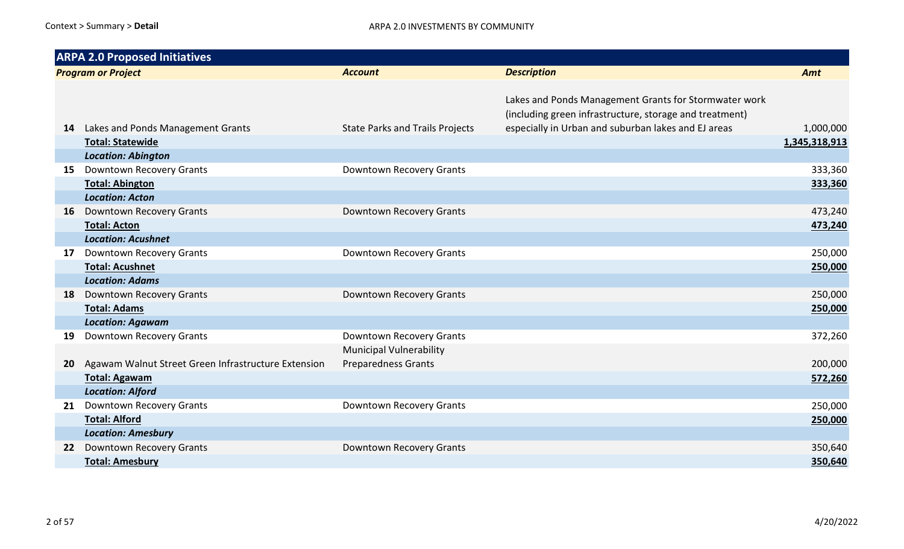|           | <b>ARPA 2.0 Proposed Initiatives</b>                |                                        |                                                                                                                  |               |
|-----------|-----------------------------------------------------|----------------------------------------|------------------------------------------------------------------------------------------------------------------|---------------|
|           | <b>Program or Project</b>                           | <b>Account</b>                         | <b>Description</b>                                                                                               | Amt           |
|           |                                                     |                                        | Lakes and Ponds Management Grants for Stormwater work<br>(including green infrastructure, storage and treatment) |               |
| 14        | Lakes and Ponds Management Grants                   | <b>State Parks and Trails Projects</b> | especially in Urban and suburban lakes and EJ areas                                                              | 1,000,000     |
|           | <b>Total: Statewide</b>                             |                                        |                                                                                                                  | 1,345,318,913 |
|           | <b>Location: Abington</b>                           |                                        |                                                                                                                  |               |
| 15        | <b>Downtown Recovery Grants</b>                     | Downtown Recovery Grants               |                                                                                                                  | 333,360       |
|           | <b>Total: Abington</b>                              |                                        |                                                                                                                  | 333,360       |
|           | <b>Location: Acton</b>                              |                                        |                                                                                                                  |               |
| 16        | Downtown Recovery Grants                            | Downtown Recovery Grants               |                                                                                                                  | 473,240       |
|           | <b>Total: Acton</b>                                 |                                        |                                                                                                                  | 473,240       |
|           | <b>Location: Acushnet</b>                           |                                        |                                                                                                                  |               |
| 17        | Downtown Recovery Grants                            | Downtown Recovery Grants               |                                                                                                                  | 250,000       |
|           | <b>Total: Acushnet</b>                              |                                        |                                                                                                                  | 250,000       |
|           | <b>Location: Adams</b>                              |                                        |                                                                                                                  |               |
| 18        | <b>Downtown Recovery Grants</b>                     | Downtown Recovery Grants               |                                                                                                                  | 250,000       |
|           | <b>Total: Adams</b>                                 |                                        |                                                                                                                  | 250,000       |
|           | <b>Location: Agawam</b>                             |                                        |                                                                                                                  |               |
| 19        | Downtown Recovery Grants                            | Downtown Recovery Grants               |                                                                                                                  | 372,260       |
|           |                                                     | <b>Municipal Vulnerability</b>         |                                                                                                                  |               |
| <b>20</b> | Agawam Walnut Street Green Infrastructure Extension | <b>Preparedness Grants</b>             |                                                                                                                  | 200,000       |
|           | <b>Total: Agawam</b>                                |                                        |                                                                                                                  | 572,260       |
|           | <b>Location: Alford</b>                             |                                        |                                                                                                                  |               |
| 21        | <b>Downtown Recovery Grants</b>                     | Downtown Recovery Grants               |                                                                                                                  | 250,000       |
|           | <b>Total: Alford</b>                                |                                        |                                                                                                                  | 250,000       |
|           | <b>Location: Amesbury</b>                           |                                        |                                                                                                                  |               |
| 22        | Downtown Recovery Grants                            | Downtown Recovery Grants               |                                                                                                                  | 350,640       |
|           | <b>Total: Amesbury</b>                              |                                        |                                                                                                                  | 350,640       |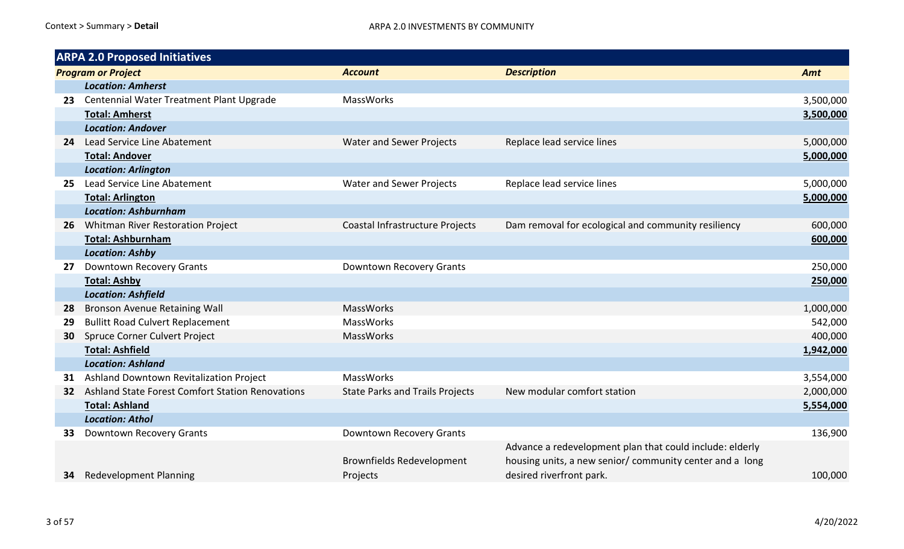|     | <b>ARPA 2.0 Proposed Initiatives</b>                    |                                        |                                                          |           |
|-----|---------------------------------------------------------|----------------------------------------|----------------------------------------------------------|-----------|
|     | <b>Program or Project</b>                               | <b>Account</b>                         | <b>Description</b>                                       | Amt       |
|     | <b>Location: Amherst</b>                                |                                        |                                                          |           |
| 23. | Centennial Water Treatment Plant Upgrade                | MassWorks                              |                                                          | 3,500,000 |
|     | <b>Total: Amherst</b>                                   |                                        |                                                          | 3,500,000 |
|     | <b>Location: Andover</b>                                |                                        |                                                          |           |
| 24  | Lead Service Line Abatement                             | <b>Water and Sewer Projects</b>        | Replace lead service lines                               | 5,000,000 |
|     | <b>Total: Andover</b>                                   |                                        |                                                          | 5,000,000 |
|     | <b>Location: Arlington</b>                              |                                        |                                                          |           |
|     | Lead Service Line Abatement                             | <b>Water and Sewer Projects</b>        | Replace lead service lines                               | 5,000,000 |
|     | <b>Total: Arlington</b>                                 |                                        |                                                          | 5,000,000 |
|     | <b>Location: Ashburnham</b>                             |                                        |                                                          |           |
| 26  | <b>Whitman River Restoration Project</b>                | Coastal Infrastructure Projects        | Dam removal for ecological and community resiliency      | 600,000   |
|     | <b>Total: Ashburnham</b>                                |                                        |                                                          | 600,000   |
|     | <b>Location: Ashby</b>                                  |                                        |                                                          |           |
| 27  | <b>Downtown Recovery Grants</b>                         | Downtown Recovery Grants               |                                                          | 250,000   |
|     | <b>Total: Ashby</b>                                     |                                        |                                                          | 250,000   |
|     | <b>Location: Ashfield</b>                               |                                        |                                                          |           |
| 28  | <b>Bronson Avenue Retaining Wall</b>                    | MassWorks                              |                                                          | 1,000,000 |
| 29  | <b>Bullitt Road Culvert Replacement</b>                 | <b>MassWorks</b>                       |                                                          | 542,000   |
| 30  | Spruce Corner Culvert Project                           | <b>MassWorks</b>                       |                                                          | 400,000   |
|     | <b>Total: Ashfield</b>                                  |                                        |                                                          | 1,942,000 |
|     | <b>Location: Ashland</b>                                |                                        |                                                          |           |
| 31  | Ashland Downtown Revitalization Project                 | <b>MassWorks</b>                       |                                                          | 3,554,000 |
| 32  | <b>Ashland State Forest Comfort Station Renovations</b> | <b>State Parks and Trails Projects</b> | New modular comfort station                              | 2,000,000 |
|     | <b>Total: Ashland</b>                                   |                                        |                                                          | 5,554,000 |
|     | <b>Location: Athol</b>                                  |                                        |                                                          |           |
| 33  | Downtown Recovery Grants                                | Downtown Recovery Grants               |                                                          | 136,900   |
|     |                                                         |                                        | Advance a redevelopment plan that could include: elderly |           |
|     |                                                         | <b>Brownfields Redevelopment</b>       | housing units, a new senior/ community center and a long |           |
| 34  | <b>Redevelopment Planning</b>                           | Projects                               | desired riverfront park.                                 | 100,000   |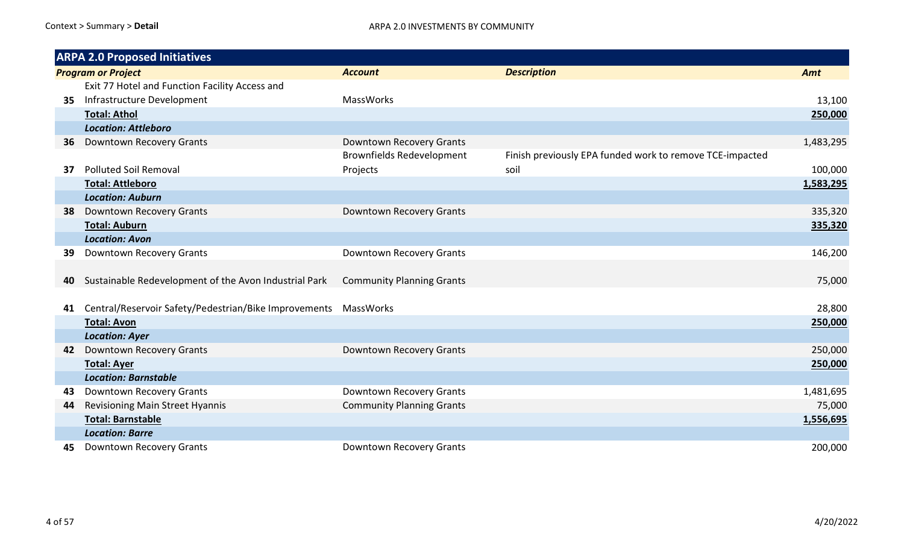|    | <b>ARPA 2.0 Proposed Initiatives</b>                               |                                  |                                                          |           |  |
|----|--------------------------------------------------------------------|----------------------------------|----------------------------------------------------------|-----------|--|
|    | <b>Program or Project</b>                                          | <b>Account</b>                   | <b>Description</b>                                       | Amt       |  |
|    | Exit 77 Hotel and Function Facility Access and                     |                                  |                                                          |           |  |
| 35 | Infrastructure Development                                         | <b>MassWorks</b>                 |                                                          | 13,100    |  |
|    | <b>Total: Athol</b>                                                |                                  |                                                          | 250,000   |  |
|    | <b>Location: Attleboro</b>                                         |                                  |                                                          |           |  |
| 36 | Downtown Recovery Grants                                           | Downtown Recovery Grants         |                                                          | 1,483,295 |  |
|    |                                                                    | <b>Brownfields Redevelopment</b> | Finish previously EPA funded work to remove TCE-impacted |           |  |
| 37 | <b>Polluted Soil Removal</b>                                       | Projects                         | soil                                                     | 100,000   |  |
|    | <b>Total: Attleboro</b>                                            |                                  |                                                          | 1,583,295 |  |
|    | <b>Location: Auburn</b>                                            |                                  |                                                          |           |  |
| 38 | Downtown Recovery Grants                                           | Downtown Recovery Grants         |                                                          | 335,320   |  |
|    | <b>Total: Auburn</b>                                               |                                  |                                                          | 335,320   |  |
|    | <b>Location: Avon</b>                                              |                                  |                                                          |           |  |
| 39 | Downtown Recovery Grants                                           | Downtown Recovery Grants         |                                                          | 146,200   |  |
|    |                                                                    |                                  |                                                          |           |  |
| 40 | Sustainable Redevelopment of the Avon Industrial Park              | <b>Community Planning Grants</b> |                                                          | 75,000    |  |
|    |                                                                    |                                  |                                                          |           |  |
| 41 | Central/Reservoir Safety/Pedestrian/Bike Improvements    MassWorks |                                  |                                                          | 28,800    |  |
|    | <b>Total: Avon</b>                                                 |                                  |                                                          | 250,000   |  |
|    | <b>Location: Ayer</b>                                              |                                  |                                                          |           |  |
| 42 | Downtown Recovery Grants                                           | Downtown Recovery Grants         |                                                          | 250,000   |  |
|    | <b>Total: Ayer</b>                                                 |                                  |                                                          | 250,000   |  |
|    | <b>Location: Barnstable</b>                                        |                                  |                                                          |           |  |
| 43 | <b>Downtown Recovery Grants</b>                                    | Downtown Recovery Grants         |                                                          | 1,481,695 |  |
| 44 | Revisioning Main Street Hyannis                                    | <b>Community Planning Grants</b> |                                                          | 75,000    |  |
|    | <b>Total: Barnstable</b>                                           |                                  |                                                          | 1,556,695 |  |
|    | <b>Location: Barre</b>                                             |                                  |                                                          |           |  |
| 45 | <b>Downtown Recovery Grants</b>                                    | Downtown Recovery Grants         |                                                          | 200,000   |  |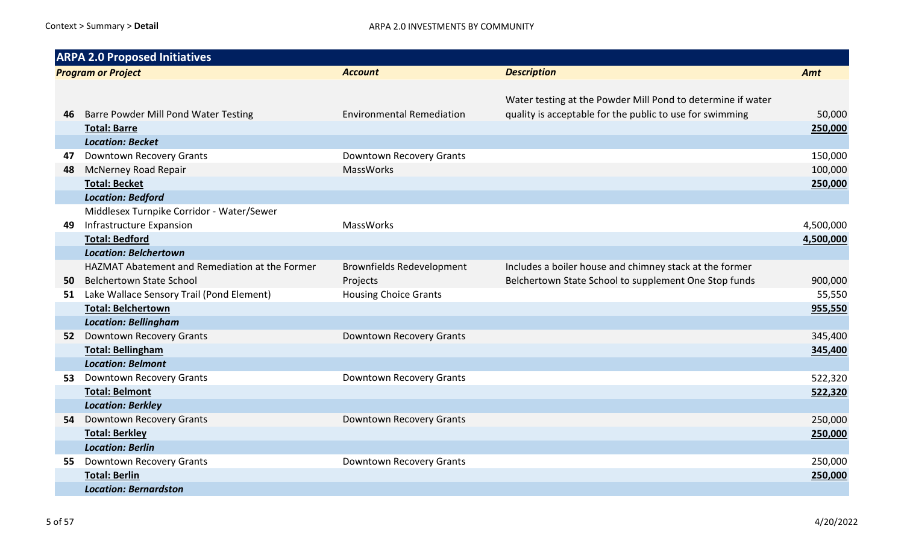|                           | <b>ARPA 2.0 Proposed Initiatives</b>             |                                       |                                                                                                                         |           |  |  |
|---------------------------|--------------------------------------------------|---------------------------------------|-------------------------------------------------------------------------------------------------------------------------|-----------|--|--|
| <b>Program or Project</b> |                                                  | <b>Account</b>                        | <b>Description</b>                                                                                                      | Amt       |  |  |
| 46                        | <b>Barre Powder Mill Pond Water Testing</b>      | <b>Environmental Remediation</b>      | Water testing at the Powder Mill Pond to determine if water<br>quality is acceptable for the public to use for swimming | 50,000    |  |  |
|                           | <b>Total: Barre</b>                              |                                       |                                                                                                                         | 250,000   |  |  |
|                           | <b>Location: Becket</b>                          |                                       |                                                                                                                         |           |  |  |
| 47                        | Downtown Recovery Grants                         | Downtown Recovery Grants<br>MassWorks |                                                                                                                         | 150,000   |  |  |
| 48                        | <b>McNerney Road Repair</b>                      |                                       |                                                                                                                         | 100,000   |  |  |
|                           | <b>Total: Becket</b><br><b>Location: Bedford</b> |                                       |                                                                                                                         | 250,000   |  |  |
|                           | Middlesex Turnpike Corridor - Water/Sewer        |                                       |                                                                                                                         |           |  |  |
| 49                        | Infrastructure Expansion                         | MassWorks                             |                                                                                                                         | 4,500,000 |  |  |
|                           | <b>Total: Bedford</b>                            |                                       |                                                                                                                         | 4,500,000 |  |  |
|                           | <b>Location: Belchertown</b>                     |                                       |                                                                                                                         |           |  |  |
|                           | HAZMAT Abatement and Remediation at the Former   | <b>Brownfields Redevelopment</b>      | Includes a boiler house and chimney stack at the former                                                                 |           |  |  |
| 50                        | <b>Belchertown State School</b>                  | Projects                              | Belchertown State School to supplement One Stop funds                                                                   | 900,000   |  |  |
| 51                        | Lake Wallace Sensory Trail (Pond Element)        | <b>Housing Choice Grants</b>          |                                                                                                                         | 55,550    |  |  |
|                           | <b>Total: Belchertown</b>                        |                                       |                                                                                                                         | 955,550   |  |  |
|                           | <b>Location: Bellingham</b>                      |                                       |                                                                                                                         |           |  |  |
| 52                        | <b>Downtown Recovery Grants</b>                  | Downtown Recovery Grants              |                                                                                                                         | 345,400   |  |  |
|                           | <b>Total: Bellingham</b>                         |                                       |                                                                                                                         | 345,400   |  |  |
|                           | <b>Location: Belmont</b>                         |                                       |                                                                                                                         |           |  |  |
| 53                        | <b>Downtown Recovery Grants</b>                  | Downtown Recovery Grants              |                                                                                                                         | 522,320   |  |  |
|                           | <b>Total: Belmont</b>                            |                                       |                                                                                                                         | 522,320   |  |  |
|                           | <b>Location: Berkley</b>                         |                                       |                                                                                                                         |           |  |  |
| 54                        | Downtown Recovery Grants                         | Downtown Recovery Grants              |                                                                                                                         | 250,000   |  |  |
|                           | <b>Total: Berkley</b>                            |                                       |                                                                                                                         | 250,000   |  |  |
|                           | <b>Location: Berlin</b>                          |                                       |                                                                                                                         |           |  |  |
| 55                        | Downtown Recovery Grants                         | Downtown Recovery Grants              |                                                                                                                         | 250,000   |  |  |
|                           | <b>Total: Berlin</b>                             |                                       |                                                                                                                         | 250,000   |  |  |
|                           | <b>Location: Bernardston</b>                     |                                       |                                                                                                                         |           |  |  |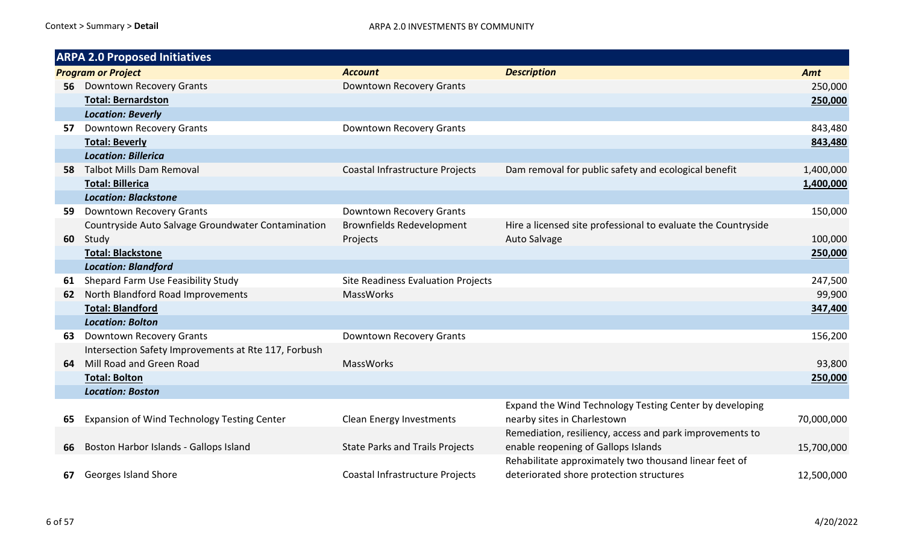|                           | <b>ARPA 2.0 Proposed Initiatives</b>                 |                                        |                                                               |            |
|---------------------------|------------------------------------------------------|----------------------------------------|---------------------------------------------------------------|------------|
| <b>Program or Project</b> |                                                      | <b>Account</b>                         | <b>Description</b>                                            | Amt        |
| 56.                       | <b>Downtown Recovery Grants</b>                      | Downtown Recovery Grants               |                                                               | 250,000    |
|                           | <b>Total: Bernardston</b>                            |                                        |                                                               | 250,000    |
|                           | <b>Location: Beverly</b>                             |                                        |                                                               |            |
| 57                        | <b>Downtown Recovery Grants</b>                      | Downtown Recovery Grants               |                                                               | 843,480    |
|                           | <b>Total: Beverly</b>                                |                                        |                                                               | 843,480    |
|                           | <b>Location: Billerica</b>                           |                                        |                                                               |            |
| 58.                       | <b>Talbot Mills Dam Removal</b>                      | Coastal Infrastructure Projects        | Dam removal for public safety and ecological benefit          | 1,400,000  |
|                           | <b>Total: Billerica</b>                              |                                        |                                                               | 1,400,000  |
|                           | <b>Location: Blackstone</b>                          |                                        |                                                               |            |
| 59.                       | <b>Downtown Recovery Grants</b>                      | Downtown Recovery Grants               |                                                               | 150,000    |
|                           | Countryside Auto Salvage Groundwater Contamination   | <b>Brownfields Redevelopment</b>       | Hire a licensed site professional to evaluate the Countryside |            |
| 60                        | Study                                                | Projects                               | Auto Salvage                                                  | 100,000    |
|                           | <b>Total: Blackstone</b>                             |                                        |                                                               | 250,000    |
|                           | <b>Location: Blandford</b>                           |                                        |                                                               |            |
| 61                        | Shepard Farm Use Feasibility Study                   | Site Readiness Evaluation Projects     |                                                               | 247,500    |
| 62                        | North Blandford Road Improvements                    | <b>MassWorks</b>                       |                                                               | 99,900     |
|                           | <b>Total: Blandford</b>                              |                                        |                                                               | 347,400    |
|                           | <b>Location: Bolton</b>                              |                                        |                                                               |            |
| 63                        | <b>Downtown Recovery Grants</b>                      | Downtown Recovery Grants               |                                                               | 156,200    |
|                           | Intersection Safety Improvements at Rte 117, Forbush |                                        |                                                               |            |
| 64                        | Mill Road and Green Road                             | <b>MassWorks</b>                       |                                                               | 93,800     |
|                           | <b>Total: Bolton</b>                                 |                                        |                                                               | 250,000    |
|                           | <b>Location: Boston</b>                              |                                        |                                                               |            |
|                           |                                                      |                                        | Expand the Wind Technology Testing Center by developing       |            |
| 65                        | Expansion of Wind Technology Testing Center          | Clean Energy Investments               | nearby sites in Charlestown                                   | 70,000,000 |
|                           |                                                      |                                        | Remediation, resiliency, access and park improvements to      |            |
| 66                        | Boston Harbor Islands - Gallops Island               | <b>State Parks and Trails Projects</b> | enable reopening of Gallops Islands                           | 15,700,000 |
|                           |                                                      |                                        | Rehabilitate approximately two thousand linear feet of        |            |
| 67                        | <b>Georges Island Shore</b>                          | Coastal Infrastructure Projects        | deteriorated shore protection structures                      | 12,500,000 |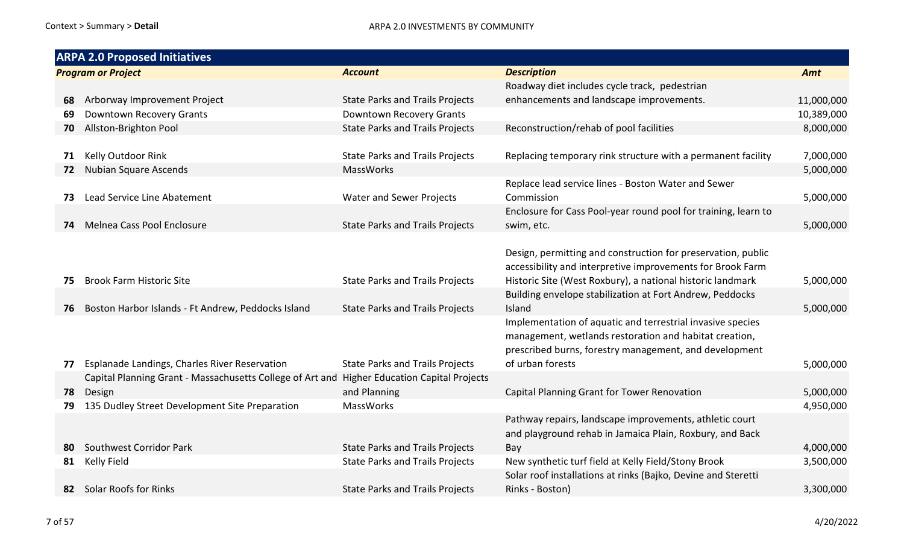|     | <b>ARPA 2.0 Proposed Initiatives</b>                                                        |                                        |                                                                |            |  |
|-----|---------------------------------------------------------------------------------------------|----------------------------------------|----------------------------------------------------------------|------------|--|
|     | <b>Program or Project</b>                                                                   | <b>Account</b>                         | <b>Description</b>                                             | Amt        |  |
|     |                                                                                             |                                        | Roadway diet includes cycle track, pedestrian                  |            |  |
| 68  | Arborway Improvement Project                                                                | <b>State Parks and Trails Projects</b> | enhancements and landscape improvements.                       | 11,000,000 |  |
| 69  | Downtown Recovery Grants                                                                    | Downtown Recovery Grants               |                                                                | 10,389,000 |  |
| 70  | Allston-Brighton Pool                                                                       | <b>State Parks and Trails Projects</b> | Reconstruction/rehab of pool facilities                        | 8,000,000  |  |
|     |                                                                                             |                                        |                                                                |            |  |
| 71  | Kelly Outdoor Rink                                                                          | <b>State Parks and Trails Projects</b> | Replacing temporary rink structure with a permanent facility   | 7,000,000  |  |
| 72  | Nubian Square Ascends                                                                       | MassWorks                              |                                                                | 5,000,000  |  |
|     |                                                                                             |                                        | Replace lead service lines - Boston Water and Sewer            |            |  |
| 73  | Lead Service Line Abatement                                                                 | <b>Water and Sewer Projects</b>        | Commission                                                     | 5,000,000  |  |
|     |                                                                                             |                                        | Enclosure for Cass Pool-year round pool for training, learn to |            |  |
| 74  | Melnea Cass Pool Enclosure                                                                  | <b>State Parks and Trails Projects</b> | swim, etc.                                                     | 5,000,000  |  |
|     |                                                                                             |                                        |                                                                |            |  |
|     |                                                                                             |                                        | Design, permitting and construction for preservation, public   |            |  |
|     |                                                                                             |                                        | accessibility and interpretive improvements for Brook Farm     |            |  |
| 75  | <b>Brook Farm Historic Site</b>                                                             | <b>State Parks and Trails Projects</b> | Historic Site (West Roxbury), a national historic landmark     | 5,000,000  |  |
|     |                                                                                             |                                        | Building envelope stabilization at Fort Andrew, Peddocks       |            |  |
| 76  | Boston Harbor Islands - Ft Andrew, Peddocks Island                                          | <b>State Parks and Trails Projects</b> | Island                                                         | 5,000,000  |  |
|     |                                                                                             |                                        | Implementation of aquatic and terrestrial invasive species     |            |  |
|     |                                                                                             |                                        | management, wetlands restoration and habitat creation,         |            |  |
|     |                                                                                             |                                        | prescribed burns, forestry management, and development         |            |  |
| 77  | Esplanade Landings, Charles River Reservation                                               | <b>State Parks and Trails Projects</b> | of urban forests                                               | 5,000,000  |  |
|     | Capital Planning Grant - Massachusetts College of Art and Higher Education Capital Projects |                                        |                                                                |            |  |
| 78  | Design                                                                                      | and Planning                           | Capital Planning Grant for Tower Renovation                    | 5,000,000  |  |
| 79  | 135 Dudley Street Development Site Preparation                                              | MassWorks                              |                                                                | 4,950,000  |  |
|     |                                                                                             |                                        | Pathway repairs, landscape improvements, athletic court        |            |  |
|     |                                                                                             |                                        | and playground rehab in Jamaica Plain, Roxbury, and Back       |            |  |
| 80. | Southwest Corridor Park                                                                     | <b>State Parks and Trails Projects</b> | Bay                                                            | 4,000,000  |  |
| 81  | Kelly Field                                                                                 | <b>State Parks and Trails Projects</b> | New synthetic turf field at Kelly Field/Stony Brook            | 3,500,000  |  |
|     |                                                                                             |                                        | Solar roof installations at rinks (Bajko, Devine and Steretti  |            |  |
|     | 82 Solar Roofs for Rinks                                                                    | <b>State Parks and Trails Projects</b> | Rinks - Boston)                                                | 3,300,000  |  |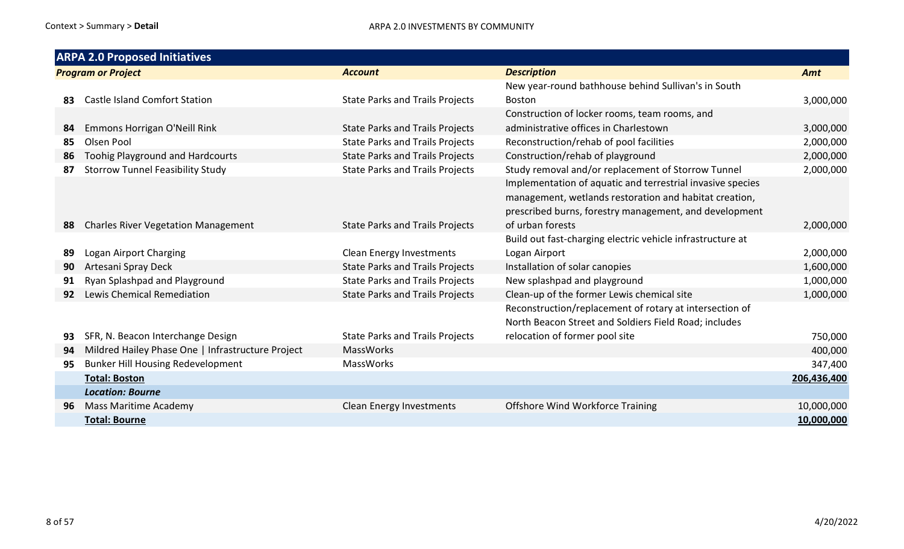|                           | <b>ARPA 2.0 Proposed Initiatives</b>              |                                        |                                                                                                                                                                                                                                      |             |  |  |
|---------------------------|---------------------------------------------------|----------------------------------------|--------------------------------------------------------------------------------------------------------------------------------------------------------------------------------------------------------------------------------------|-------------|--|--|
| <b>Program or Project</b> |                                                   | <b>Account</b>                         | <b>Description</b>                                                                                                                                                                                                                   | Amt         |  |  |
|                           |                                                   |                                        | New year-round bathhouse behind Sullivan's in South                                                                                                                                                                                  |             |  |  |
| 83                        | <b>Castle Island Comfort Station</b>              | <b>State Parks and Trails Projects</b> | <b>Boston</b>                                                                                                                                                                                                                        | 3,000,000   |  |  |
|                           |                                                   |                                        | Construction of locker rooms, team rooms, and                                                                                                                                                                                        |             |  |  |
| 84                        | Emmons Horrigan O'Neill Rink                      | <b>State Parks and Trails Projects</b> | administrative offices in Charlestown                                                                                                                                                                                                | 3,000,000   |  |  |
| 85                        | Olsen Pool                                        | <b>State Parks and Trails Projects</b> | Reconstruction/rehab of pool facilities                                                                                                                                                                                              | 2,000,000   |  |  |
| 86                        | <b>Toohig Playground and Hardcourts</b>           | <b>State Parks and Trails Projects</b> | Construction/rehab of playground                                                                                                                                                                                                     | 2,000,000   |  |  |
| 87                        | <b>Storrow Tunnel Feasibility Study</b>           | <b>State Parks and Trails Projects</b> | Study removal and/or replacement of Storrow Tunnel<br>Implementation of aquatic and terrestrial invasive species<br>management, wetlands restoration and habitat creation,<br>prescribed burns, forestry management, and development | 2,000,000   |  |  |
| 88                        | <b>Charles River Vegetation Management</b>        | <b>State Parks and Trails Projects</b> | of urban forests                                                                                                                                                                                                                     | 2,000,000   |  |  |
|                           |                                                   |                                        | Build out fast-charging electric vehicle infrastructure at                                                                                                                                                                           |             |  |  |
| 89                        | Logan Airport Charging                            | <b>Clean Energy Investments</b>        | Logan Airport                                                                                                                                                                                                                        | 2,000,000   |  |  |
| 90                        | Artesani Spray Deck                               | <b>State Parks and Trails Projects</b> | Installation of solar canopies                                                                                                                                                                                                       | 1,600,000   |  |  |
| 91                        | Ryan Splashpad and Playground                     | <b>State Parks and Trails Projects</b> | New splashpad and playground                                                                                                                                                                                                         | 1,000,000   |  |  |
| 92                        | Lewis Chemical Remediation                        | <b>State Parks and Trails Projects</b> | Clean-up of the former Lewis chemical site                                                                                                                                                                                           | 1,000,000   |  |  |
|                           |                                                   |                                        | Reconstruction/replacement of rotary at intersection of                                                                                                                                                                              |             |  |  |
|                           |                                                   |                                        | North Beacon Street and Soldiers Field Road; includes                                                                                                                                                                                |             |  |  |
| 93                        | SFR, N. Beacon Interchange Design                 | <b>State Parks and Trails Projects</b> | relocation of former pool site                                                                                                                                                                                                       | 750,000     |  |  |
| 94                        | Mildred Hailey Phase One   Infrastructure Project | <b>MassWorks</b>                       |                                                                                                                                                                                                                                      | 400,000     |  |  |
| 95                        | <b>Bunker Hill Housing Redevelopment</b>          | <b>MassWorks</b>                       |                                                                                                                                                                                                                                      | 347,400     |  |  |
|                           | <b>Total: Boston</b>                              |                                        |                                                                                                                                                                                                                                      | 206,436,400 |  |  |
|                           | <b>Location: Bourne</b>                           |                                        |                                                                                                                                                                                                                                      |             |  |  |
| 96                        | <b>Mass Maritime Academy</b>                      | <b>Clean Energy Investments</b>        | Offshore Wind Workforce Training                                                                                                                                                                                                     | 10,000,000  |  |  |
|                           | <b>Total: Bourne</b>                              |                                        |                                                                                                                                                                                                                                      | 10,000,000  |  |  |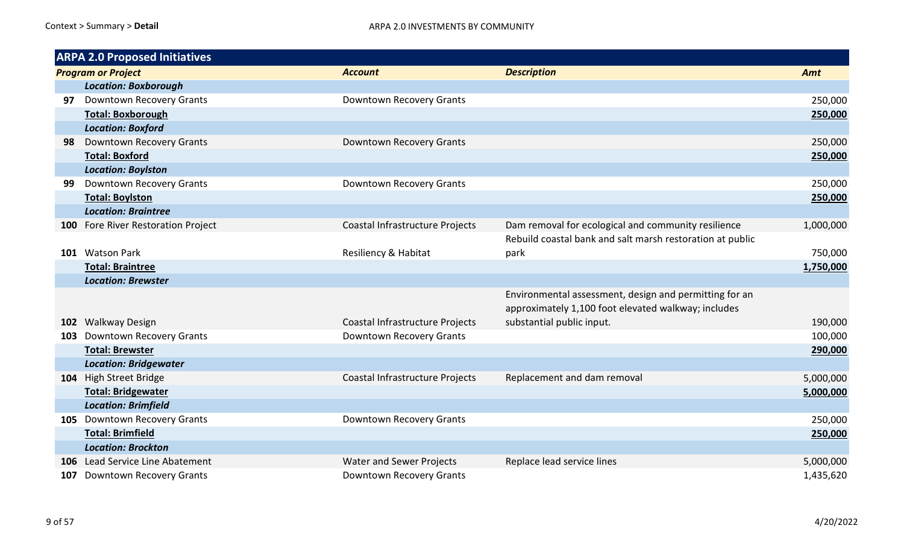|     | <b>ARPA 2.0 Proposed Initiatives</b> |                                 |                                                           |           |  |  |
|-----|--------------------------------------|---------------------------------|-----------------------------------------------------------|-----------|--|--|
|     | <b>Program or Project</b>            | <b>Account</b>                  | <b>Description</b>                                        | Amt       |  |  |
|     | <b>Location: Boxborough</b>          |                                 |                                                           |           |  |  |
| 97  | <b>Downtown Recovery Grants</b>      | Downtown Recovery Grants        |                                                           | 250,000   |  |  |
|     | <b>Total: Boxborough</b>             |                                 |                                                           | 250,000   |  |  |
|     | <b>Location: Boxford</b>             |                                 |                                                           |           |  |  |
| 98  | Downtown Recovery Grants             | Downtown Recovery Grants        |                                                           | 250,000   |  |  |
|     | <b>Total: Boxford</b>                |                                 |                                                           | 250,000   |  |  |
|     | <b>Location: Boylston</b>            |                                 |                                                           |           |  |  |
| 99  | Downtown Recovery Grants             | Downtown Recovery Grants        |                                                           | 250,000   |  |  |
|     | <b>Total: Boylston</b>               |                                 |                                                           | 250,000   |  |  |
|     | <b>Location: Braintree</b>           |                                 |                                                           |           |  |  |
|     | 100 Fore River Restoration Project   | Coastal Infrastructure Projects | Dam removal for ecological and community resilience       | 1,000,000 |  |  |
|     |                                      |                                 | Rebuild coastal bank and salt marsh restoration at public |           |  |  |
|     | 101 Watson Park                      | Resiliency & Habitat            | park                                                      | 750,000   |  |  |
|     | <b>Total: Braintree</b>              |                                 |                                                           | 1,750,000 |  |  |
|     | <b>Location: Brewster</b>            |                                 |                                                           |           |  |  |
|     |                                      |                                 | Environmental assessment, design and permitting for an    |           |  |  |
|     |                                      |                                 | approximately 1,100 foot elevated walkway; includes       |           |  |  |
|     | 102 Walkway Design                   | Coastal Infrastructure Projects | substantial public input.                                 | 190,000   |  |  |
| 103 | <b>Downtown Recovery Grants</b>      | Downtown Recovery Grants        |                                                           | 100,000   |  |  |
|     | <b>Total: Brewster</b>               |                                 |                                                           | 290,000   |  |  |
|     | <b>Location: Bridgewater</b>         |                                 |                                                           |           |  |  |
|     | 104 High Street Bridge               | Coastal Infrastructure Projects | Replacement and dam removal                               | 5,000,000 |  |  |
|     | <b>Total: Bridgewater</b>            |                                 |                                                           | 5,000,000 |  |  |
|     | <b>Location: Brimfield</b>           |                                 |                                                           |           |  |  |
|     | 105 Downtown Recovery Grants         | Downtown Recovery Grants        |                                                           | 250,000   |  |  |
|     | <b>Total: Brimfield</b>              |                                 |                                                           | 250,000   |  |  |
|     | <b>Location: Brockton</b>            |                                 |                                                           |           |  |  |
| 106 | Lead Service Line Abatement          | <b>Water and Sewer Projects</b> | Replace lead service lines                                | 5,000,000 |  |  |
| 107 | Downtown Recovery Grants             | Downtown Recovery Grants        |                                                           | 1,435,620 |  |  |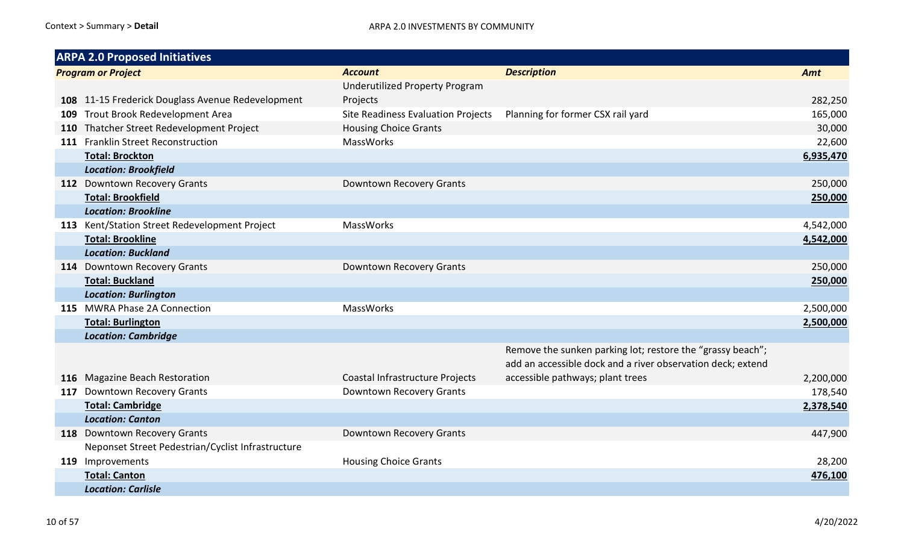|            | <b>ARPA 2.0 Proposed Initiatives</b>              |                                       |                                                                                                                           |           |  |  |  |
|------------|---------------------------------------------------|---------------------------------------|---------------------------------------------------------------------------------------------------------------------------|-----------|--|--|--|
|            | <b>Program or Project</b>                         | <b>Account</b>                        | <b>Description</b>                                                                                                        | Amt       |  |  |  |
|            |                                                   | <b>Underutilized Property Program</b> |                                                                                                                           |           |  |  |  |
|            | 108 11-15 Frederick Douglass Avenue Redevelopment | Projects                              |                                                                                                                           | 282,250   |  |  |  |
|            | 109 Trout Brook Redevelopment Area                | Site Readiness Evaluation Projects    | Planning for former CSX rail yard                                                                                         | 165,000   |  |  |  |
| <b>110</b> | Thatcher Street Redevelopment Project             | <b>Housing Choice Grants</b>          |                                                                                                                           | 30,000    |  |  |  |
|            | 111 Franklin Street Reconstruction                | <b>MassWorks</b>                      |                                                                                                                           | 22,600    |  |  |  |
|            | <b>Total: Brockton</b>                            |                                       |                                                                                                                           | 6,935,470 |  |  |  |
|            | <b>Location: Brookfield</b>                       |                                       |                                                                                                                           |           |  |  |  |
|            | 112 Downtown Recovery Grants                      | Downtown Recovery Grants              |                                                                                                                           | 250,000   |  |  |  |
|            | <b>Total: Brookfield</b>                          |                                       |                                                                                                                           | 250,000   |  |  |  |
|            | <b>Location: Brookline</b>                        |                                       |                                                                                                                           |           |  |  |  |
|            | 113 Kent/Station Street Redevelopment Project     | <b>MassWorks</b>                      |                                                                                                                           | 4,542,000 |  |  |  |
|            | <b>Total: Brookline</b>                           |                                       |                                                                                                                           | 4,542,000 |  |  |  |
|            | <b>Location: Buckland</b>                         |                                       |                                                                                                                           |           |  |  |  |
|            | 114 Downtown Recovery Grants                      | Downtown Recovery Grants              |                                                                                                                           | 250,000   |  |  |  |
|            | <b>Total: Buckland</b>                            |                                       |                                                                                                                           | 250,000   |  |  |  |
|            | <b>Location: Burlington</b>                       |                                       |                                                                                                                           |           |  |  |  |
|            | 115 MWRA Phase 2A Connection                      | MassWorks                             |                                                                                                                           | 2,500,000 |  |  |  |
|            | <b>Total: Burlington</b>                          |                                       |                                                                                                                           | 2,500,000 |  |  |  |
|            | <b>Location: Cambridge</b>                        |                                       |                                                                                                                           |           |  |  |  |
|            |                                                   |                                       | Remove the sunken parking lot; restore the "grassy beach";<br>add an accessible dock and a river observation deck; extend |           |  |  |  |
|            | 116 Magazine Beach Restoration                    | Coastal Infrastructure Projects       | accessible pathways; plant trees                                                                                          | 2,200,000 |  |  |  |
|            | 117 Downtown Recovery Grants                      | Downtown Recovery Grants              |                                                                                                                           | 178,540   |  |  |  |
|            | <b>Total: Cambridge</b>                           |                                       |                                                                                                                           | 2,378,540 |  |  |  |
|            | <b>Location: Canton</b>                           |                                       |                                                                                                                           |           |  |  |  |
|            | 118 Downtown Recovery Grants                      | Downtown Recovery Grants              |                                                                                                                           | 447,900   |  |  |  |
|            | Neponset Street Pedestrian/Cyclist Infrastructure |                                       |                                                                                                                           |           |  |  |  |
|            | 119 Improvements                                  | <b>Housing Choice Grants</b>          |                                                                                                                           | 28,200    |  |  |  |
|            | <b>Total: Canton</b>                              |                                       |                                                                                                                           | 476,100   |  |  |  |
|            | <b>Location: Carlisle</b>                         |                                       |                                                                                                                           |           |  |  |  |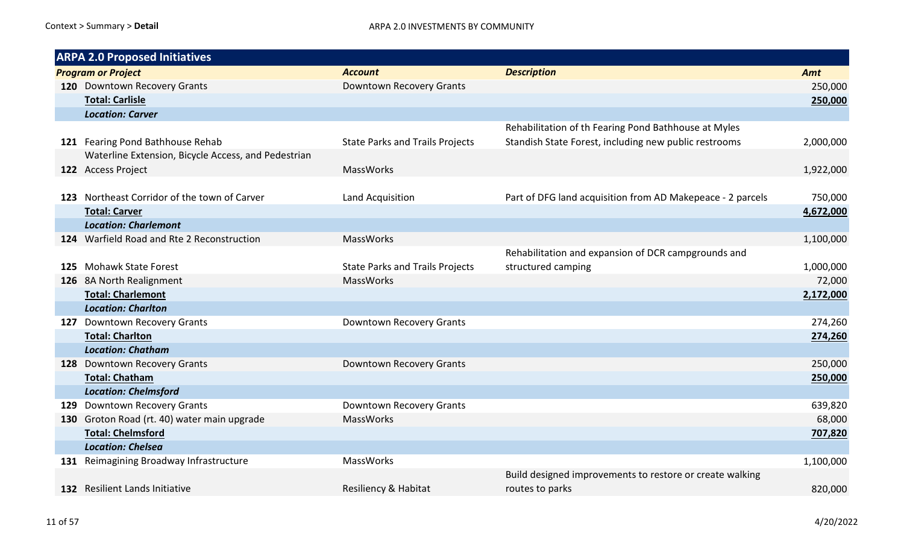| <b>ARPA 2.0 Proposed Initiatives</b>                |                                        |                                                            |           |  |
|-----------------------------------------------------|----------------------------------------|------------------------------------------------------------|-----------|--|
| <b>Program or Project</b>                           | <b>Account</b>                         | <b>Description</b>                                         | Amt       |  |
| 120 Downtown Recovery Grants                        | Downtown Recovery Grants               |                                                            | 250,000   |  |
| <b>Total: Carlisle</b>                              |                                        |                                                            | 250,000   |  |
| <b>Location: Carver</b>                             |                                        |                                                            |           |  |
|                                                     |                                        | Rehabilitation of th Fearing Pond Bathhouse at Myles       |           |  |
| 121 Fearing Pond Bathhouse Rehab                    | <b>State Parks and Trails Projects</b> | Standish State Forest, including new public restrooms      | 2,000,000 |  |
| Waterline Extension, Bicycle Access, and Pedestrian |                                        |                                                            |           |  |
| 122 Access Project                                  | <b>MassWorks</b>                       |                                                            | 1,922,000 |  |
|                                                     |                                        |                                                            |           |  |
| 123 Northeast Corridor of the town of Carver        | Land Acquisition                       | Part of DFG land acquisition from AD Makepeace - 2 parcels | 750,000   |  |
| <b>Total: Carver</b>                                |                                        |                                                            | 4,672,000 |  |
| <b>Location: Charlemont</b>                         |                                        |                                                            |           |  |
| 124 Warfield Road and Rte 2 Reconstruction          | <b>MassWorks</b>                       |                                                            | 1,100,000 |  |
|                                                     |                                        | Rehabilitation and expansion of DCR campgrounds and        |           |  |
| 125 Mohawk State Forest                             | <b>State Parks and Trails Projects</b> | structured camping                                         | 1,000,000 |  |
| 126 8A North Realignment                            | <b>MassWorks</b>                       |                                                            | 72,000    |  |
| <b>Total: Charlemont</b>                            |                                        |                                                            | 2,172,000 |  |
| <b>Location: Charlton</b>                           |                                        |                                                            |           |  |
| 127 Downtown Recovery Grants                        | Downtown Recovery Grants               |                                                            | 274,260   |  |
| <b>Total: Charlton</b>                              |                                        |                                                            | 274,260   |  |
| <b>Location: Chatham</b>                            |                                        |                                                            |           |  |
| 128 Downtown Recovery Grants                        | Downtown Recovery Grants               |                                                            | 250,000   |  |
| <b>Total: Chatham</b>                               |                                        |                                                            | 250,000   |  |
| <b>Location: Chelmsford</b>                         |                                        |                                                            |           |  |
| 129 Downtown Recovery Grants                        | Downtown Recovery Grants               |                                                            | 639,820   |  |
| 130 Groton Road (rt. 40) water main upgrade         | MassWorks                              |                                                            | 68,000    |  |
| <b>Total: Chelmsford</b>                            |                                        |                                                            | 707,820   |  |
| <b>Location: Chelsea</b>                            |                                        |                                                            |           |  |
| 131 Reimagining Broadway Infrastructure             | <b>MassWorks</b>                       |                                                            | 1,100,000 |  |
|                                                     |                                        | Build designed improvements to restore or create walking   |           |  |
| 132 Resilient Lands Initiative                      | Resiliency & Habitat                   | routes to parks                                            | 820,000   |  |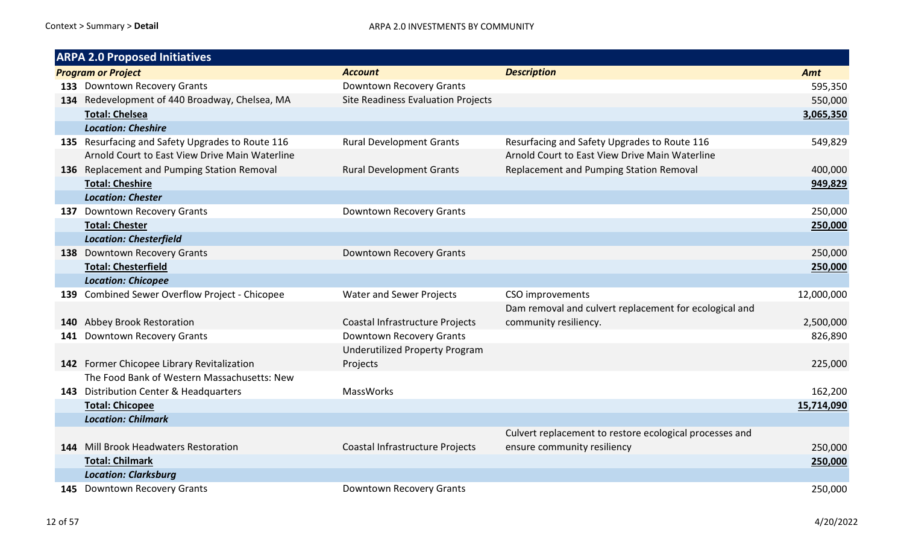| <b>ARPA 2.0 Proposed Initiatives</b>             |                                       |                                                         |            |
|--------------------------------------------------|---------------------------------------|---------------------------------------------------------|------------|
| <b>Program or Project</b>                        | <b>Account</b>                        | <b>Description</b>                                      | Amt        |
| 133 Downtown Recovery Grants                     | Downtown Recovery Grants              |                                                         | 595,350    |
| 134 Redevelopment of 440 Broadway, Chelsea, MA   | Site Readiness Evaluation Projects    |                                                         | 550,000    |
| <b>Total: Chelsea</b>                            |                                       |                                                         | 3,065,350  |
| <b>Location: Cheshire</b>                        |                                       |                                                         |            |
| 135 Resurfacing and Safety Upgrades to Route 116 | <b>Rural Development Grants</b>       | Resurfacing and Safety Upgrades to Route 116            | 549,829    |
| Arnold Court to East View Drive Main Waterline   |                                       | Arnold Court to East View Drive Main Waterline          |            |
| 136 Replacement and Pumping Station Removal      | <b>Rural Development Grants</b>       | Replacement and Pumping Station Removal                 | 400,000    |
| <b>Total: Cheshire</b>                           |                                       |                                                         | 949,829    |
| <b>Location: Chester</b>                         |                                       |                                                         |            |
| 137 Downtown Recovery Grants                     | Downtown Recovery Grants              |                                                         | 250,000    |
| <b>Total: Chester</b>                            |                                       |                                                         | 250,000    |
| <b>Location: Chesterfield</b>                    |                                       |                                                         |            |
| 138 Downtown Recovery Grants                     | Downtown Recovery Grants              |                                                         | 250,000    |
| <b>Total: Chesterfield</b>                       |                                       |                                                         | 250,000    |
| <b>Location: Chicopee</b>                        |                                       |                                                         |            |
| 139 Combined Sewer Overflow Project - Chicopee   | <b>Water and Sewer Projects</b>       | CSO improvements                                        | 12,000,000 |
|                                                  |                                       | Dam removal and culvert replacement for ecological and  |            |
| 140 Abbey Brook Restoration                      | Coastal Infrastructure Projects       | community resiliency.                                   | 2,500,000  |
| 141 Downtown Recovery Grants                     | Downtown Recovery Grants              |                                                         | 826,890    |
|                                                  | <b>Underutilized Property Program</b> |                                                         |            |
| 142 Former Chicopee Library Revitalization       | Projects                              |                                                         | 225,000    |
| The Food Bank of Western Massachusetts: New      |                                       |                                                         |            |
| 143 Distribution Center & Headquarters           | <b>MassWorks</b>                      |                                                         | 162,200    |
| <b>Total: Chicopee</b>                           |                                       |                                                         | 15,714,090 |
| <b>Location: Chilmark</b>                        |                                       |                                                         |            |
|                                                  |                                       | Culvert replacement to restore ecological processes and |            |
| 144 Mill Brook Headwaters Restoration            | Coastal Infrastructure Projects       | ensure community resiliency                             | 250,000    |
| <b>Total: Chilmark</b>                           |                                       |                                                         | 250,000    |
| <b>Location: Clarksburg</b>                      |                                       |                                                         |            |
| 145 Downtown Recovery Grants                     | Downtown Recovery Grants              |                                                         | 250,000    |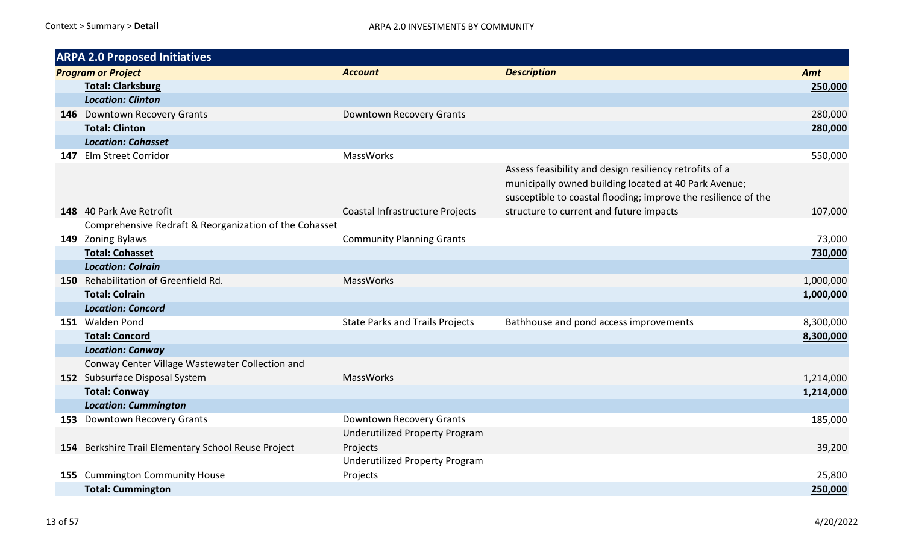| <b>ARPA 2.0 Proposed Initiatives</b>                   |                                                   |                                                                                                                                                                                    |           |
|--------------------------------------------------------|---------------------------------------------------|------------------------------------------------------------------------------------------------------------------------------------------------------------------------------------|-----------|
| <b>Program or Project</b>                              | <b>Account</b>                                    | <b>Description</b>                                                                                                                                                                 | Amt       |
| <b>Total: Clarksburg</b>                               |                                                   |                                                                                                                                                                                    | 250,000   |
| <b>Location: Clinton</b>                               |                                                   |                                                                                                                                                                                    |           |
| 146 Downtown Recovery Grants                           | Downtown Recovery Grants                          |                                                                                                                                                                                    | 280,000   |
| <b>Total: Clinton</b>                                  |                                                   |                                                                                                                                                                                    | 280,000   |
| <b>Location: Cohasset</b>                              |                                                   |                                                                                                                                                                                    |           |
| 147 Elm Street Corridor                                | MassWorks                                         |                                                                                                                                                                                    | 550,000   |
|                                                        |                                                   | Assess feasibility and design resiliency retrofits of a<br>municipally owned building located at 40 Park Avenue;<br>susceptible to coastal flooding; improve the resilience of the |           |
| 148 40 Park Ave Retrofit                               | Coastal Infrastructure Projects                   | structure to current and future impacts                                                                                                                                            | 107,000   |
| Comprehensive Redraft & Reorganization of the Cohasset |                                                   |                                                                                                                                                                                    |           |
| 149 Zoning Bylaws                                      | <b>Community Planning Grants</b>                  |                                                                                                                                                                                    | 73,000    |
| <b>Total: Cohasset</b>                                 |                                                   |                                                                                                                                                                                    | 730,000   |
| <b>Location: Colrain</b>                               |                                                   |                                                                                                                                                                                    |           |
| 150 Rehabilitation of Greenfield Rd.                   | <b>MassWorks</b>                                  |                                                                                                                                                                                    | 1,000,000 |
| <b>Total: Colrain</b>                                  |                                                   |                                                                                                                                                                                    | 1,000,000 |
| <b>Location: Concord</b>                               |                                                   |                                                                                                                                                                                    |           |
| 151 Walden Pond                                        | <b>State Parks and Trails Projects</b>            | Bathhouse and pond access improvements                                                                                                                                             | 8,300,000 |
| <b>Total: Concord</b>                                  |                                                   |                                                                                                                                                                                    | 8,300,000 |
| <b>Location: Conway</b>                                |                                                   |                                                                                                                                                                                    |           |
| Conway Center Village Wastewater Collection and        |                                                   |                                                                                                                                                                                    |           |
| 152 Subsurface Disposal System                         | MassWorks                                         |                                                                                                                                                                                    | 1,214,000 |
| <b>Total: Conway</b>                                   |                                                   |                                                                                                                                                                                    | 1,214,000 |
| <b>Location: Cummington</b>                            |                                                   |                                                                                                                                                                                    |           |
| 153 Downtown Recovery Grants                           | Downtown Recovery Grants                          |                                                                                                                                                                                    | 185,000   |
| 154 Berkshire Trail Elementary School Reuse Project    | <b>Underutilized Property Program</b><br>Projects |                                                                                                                                                                                    | 39,200    |
|                                                        | <b>Underutilized Property Program</b>             |                                                                                                                                                                                    |           |
| 155 Cummington Community House                         | Projects                                          |                                                                                                                                                                                    | 25,800    |
| <b>Total: Cummington</b>                               |                                                   |                                                                                                                                                                                    | 250,000   |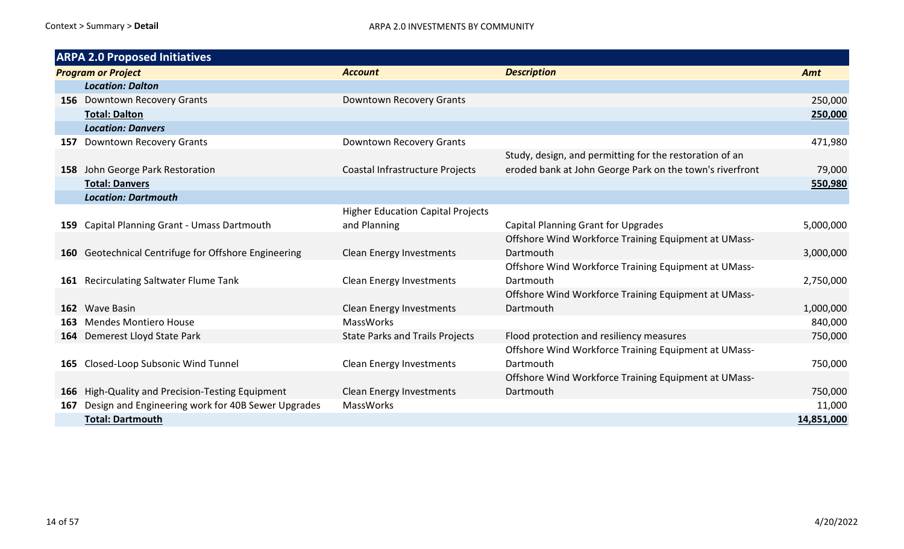|                           | <b>ARPA 2.0 Proposed Initiatives</b>                 |                                          |                                                          |            |
|---------------------------|------------------------------------------------------|------------------------------------------|----------------------------------------------------------|------------|
| <b>Program or Project</b> |                                                      | <b>Account</b>                           | <b>Description</b>                                       | Amt        |
|                           | <b>Location: Dalton</b>                              |                                          |                                                          |            |
|                           | 156 Downtown Recovery Grants                         | Downtown Recovery Grants                 |                                                          | 250,000    |
|                           | <b>Total: Dalton</b>                                 |                                          |                                                          | 250,000    |
|                           | <b>Location: Danvers</b>                             |                                          |                                                          |            |
|                           | 157 Downtown Recovery Grants                         | Downtown Recovery Grants                 |                                                          | 471,980    |
|                           |                                                      |                                          | Study, design, and permitting for the restoration of an  |            |
|                           | 158 John George Park Restoration                     | Coastal Infrastructure Projects          | eroded bank at John George Park on the town's riverfront | 79,000     |
|                           | <b>Total: Danvers</b>                                |                                          |                                                          | 550,980    |
|                           | <b>Location: Dartmouth</b>                           |                                          |                                                          |            |
|                           |                                                      | <b>Higher Education Capital Projects</b> |                                                          |            |
|                           | 159 Capital Planning Grant - Umass Dartmouth         | and Planning                             | <b>Capital Planning Grant for Upgrades</b>               | 5,000,000  |
|                           |                                                      |                                          | Offshore Wind Workforce Training Equipment at UMass-     |            |
|                           | 160 Geotechnical Centrifuge for Offshore Engineering | <b>Clean Energy Investments</b>          | Dartmouth                                                | 3,000,000  |
|                           |                                                      |                                          | Offshore Wind Workforce Training Equipment at UMass-     |            |
|                           | 161 Recirculating Saltwater Flume Tank               | <b>Clean Energy Investments</b>          | Dartmouth                                                | 2,750,000  |
|                           |                                                      |                                          | Offshore Wind Workforce Training Equipment at UMass-     |            |
|                           | 162 Wave Basin                                       | <b>Clean Energy Investments</b>          | Dartmouth                                                | 1,000,000  |
|                           | 163 Mendes Montiero House                            | <b>MassWorks</b>                         |                                                          | 840,000    |
|                           | 164 Demerest Lloyd State Park                        | <b>State Parks and Trails Projects</b>   | Flood protection and resiliency measures                 | 750,000    |
|                           |                                                      |                                          | Offshore Wind Workforce Training Equipment at UMass-     |            |
|                           | 165 Closed-Loop Subsonic Wind Tunnel                 | <b>Clean Energy Investments</b>          | Dartmouth                                                | 750,000    |
|                           |                                                      |                                          | Offshore Wind Workforce Training Equipment at UMass-     |            |
|                           | 166 High-Quality and Precision-Testing Equipment     | <b>Clean Energy Investments</b>          | Dartmouth                                                | 750,000    |
| 167                       | Design and Engineering work for 40B Sewer Upgrades   | <b>MassWorks</b>                         |                                                          | 11,000     |
|                           | <b>Total: Dartmouth</b>                              |                                          |                                                          | 14,851,000 |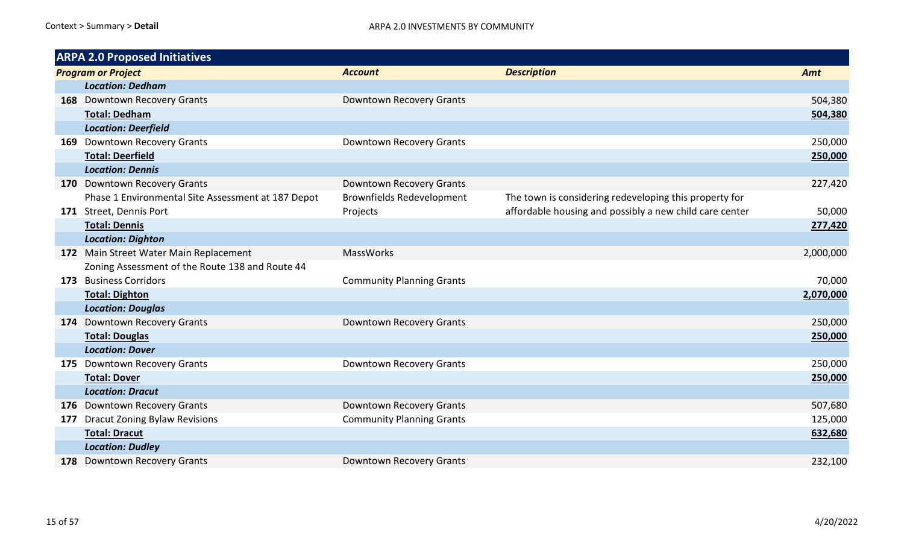| <b>ARPA 2.0 Proposed Initiatives</b>               |                                  |                                                         |           |
|----------------------------------------------------|----------------------------------|---------------------------------------------------------|-----------|
| <b>Program or Project</b>                          | <b>Account</b>                   | <b>Description</b>                                      | Amt       |
| <b>Location: Dedham</b>                            |                                  |                                                         |           |
| 168 Downtown Recovery Grants                       | Downtown Recovery Grants         |                                                         | 504,380   |
| <b>Total: Dedham</b>                               |                                  |                                                         | 504,380   |
| <b>Location: Deerfield</b>                         |                                  |                                                         |           |
| 169 Downtown Recovery Grants                       | Downtown Recovery Grants         |                                                         | 250,000   |
| <b>Total: Deerfield</b>                            |                                  |                                                         | 250,000   |
| <b>Location: Dennis</b>                            |                                  |                                                         |           |
| 170 Downtown Recovery Grants                       | Downtown Recovery Grants         |                                                         | 227,420   |
| Phase 1 Environmental Site Assessment at 187 Depot | <b>Brownfields Redevelopment</b> | The town is considering redeveloping this property for  |           |
| 171 Street, Dennis Port                            | Projects                         | affordable housing and possibly a new child care center | 50,000    |
| <b>Total: Dennis</b>                               |                                  |                                                         | 277,420   |
| <b>Location: Dighton</b>                           |                                  |                                                         |           |
| 172 Main Street Water Main Replacement             | <b>MassWorks</b>                 |                                                         | 2,000,000 |
| Zoning Assessment of the Route 138 and Route 44    |                                  |                                                         |           |
| 173 Business Corridors                             | <b>Community Planning Grants</b> |                                                         | 70,000    |
| <b>Total: Dighton</b>                              |                                  |                                                         | 2,070,000 |
| <b>Location: Douglas</b>                           |                                  |                                                         |           |
| 174 Downtown Recovery Grants                       | Downtown Recovery Grants         |                                                         | 250,000   |
| <b>Total: Douglas</b>                              |                                  |                                                         | 250,000   |
| <b>Location: Dover</b>                             |                                  |                                                         |           |
| 175 Downtown Recovery Grants                       | Downtown Recovery Grants         |                                                         | 250,000   |
| <b>Total: Dover</b>                                |                                  |                                                         | 250,000   |
| <b>Location: Dracut</b>                            |                                  |                                                         |           |
| 176 Downtown Recovery Grants                       | Downtown Recovery Grants         |                                                         | 507,680   |
| 177 Dracut Zoning Bylaw Revisions                  | <b>Community Planning Grants</b> |                                                         | 125,000   |
| <b>Total: Dracut</b>                               |                                  |                                                         | 632,680   |
| <b>Location: Dudley</b>                            |                                  |                                                         |           |
| 178 Downtown Recovery Grants                       | Downtown Recovery Grants         |                                                         | 232,100   |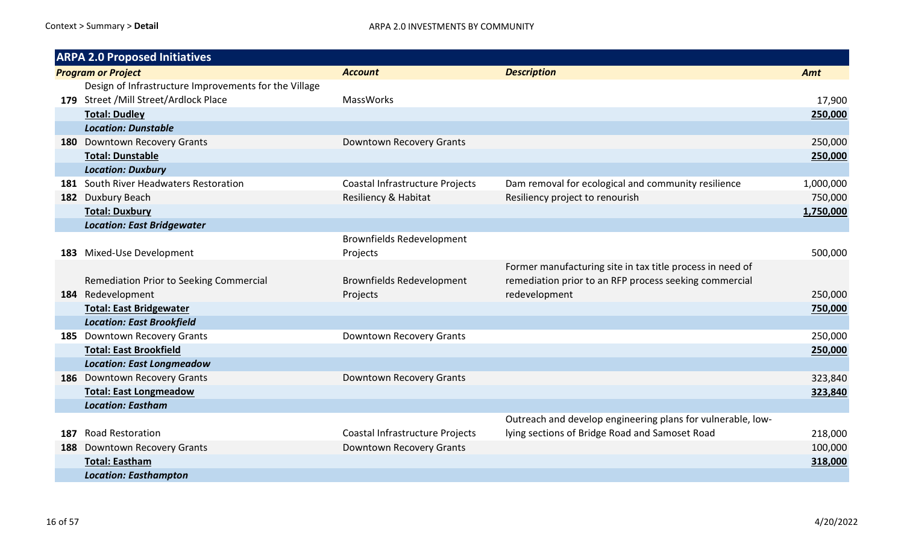|     | <b>ARPA 2.0 Proposed Initiatives</b>                  |                                  |                                                             |           |
|-----|-------------------------------------------------------|----------------------------------|-------------------------------------------------------------|-----------|
|     | <b>Program or Project</b>                             | <b>Account</b>                   | <b>Description</b>                                          | Amt       |
|     | Design of Infrastructure Improvements for the Village |                                  |                                                             |           |
|     | 179 Street / Mill Street/Ardlock Place                | <b>MassWorks</b>                 |                                                             | 17,900    |
|     | <b>Total: Dudley</b>                                  |                                  |                                                             | 250,000   |
|     | <b>Location: Dunstable</b>                            |                                  |                                                             |           |
|     | 180 Downtown Recovery Grants                          | Downtown Recovery Grants         |                                                             | 250,000   |
|     | <b>Total: Dunstable</b>                               |                                  |                                                             | 250,000   |
|     | <b>Location: Duxbury</b>                              |                                  |                                                             |           |
|     | 181 South River Headwaters Restoration                | Coastal Infrastructure Projects  | Dam removal for ecological and community resilience         | 1,000,000 |
| 182 | Duxbury Beach                                         | Resiliency & Habitat             | Resiliency project to renourish                             | 750,000   |
|     | <b>Total: Duxbury</b>                                 |                                  |                                                             | 1,750,000 |
|     | <b>Location: East Bridgewater</b>                     |                                  |                                                             |           |
|     |                                                       | <b>Brownfields Redevelopment</b> |                                                             |           |
| 183 | Mixed-Use Development                                 | Projects                         |                                                             | 500,000   |
|     |                                                       |                                  | Former manufacturing site in tax title process in need of   |           |
|     | Remediation Prior to Seeking Commercial               | <b>Brownfields Redevelopment</b> | remediation prior to an RFP process seeking commercial      |           |
|     | 184 Redevelopment                                     | Projects                         | redevelopment                                               | 250,000   |
|     | <b>Total: East Bridgewater</b>                        |                                  |                                                             | 750,000   |
|     | <b>Location: East Brookfield</b>                      |                                  |                                                             |           |
|     | 185 Downtown Recovery Grants                          | Downtown Recovery Grants         |                                                             | 250,000   |
|     | <b>Total: East Brookfield</b>                         |                                  |                                                             | 250,000   |
|     | <b>Location: East Longmeadow</b>                      |                                  |                                                             |           |
|     | 186 Downtown Recovery Grants                          | Downtown Recovery Grants         |                                                             | 323,840   |
|     | <b>Total: East Longmeadow</b>                         |                                  |                                                             | 323,840   |
|     | <b>Location: Eastham</b>                              |                                  |                                                             |           |
|     |                                                       |                                  | Outreach and develop engineering plans for vulnerable, low- |           |
| 187 | <b>Road Restoration</b>                               | Coastal Infrastructure Projects  | lying sections of Bridge Road and Samoset Road              | 218,000   |
| 188 | <b>Downtown Recovery Grants</b>                       | Downtown Recovery Grants         |                                                             | 100,000   |
|     | <b>Total: Eastham</b>                                 |                                  |                                                             | 318,000   |
|     | <b>Location: Easthampton</b>                          |                                  |                                                             |           |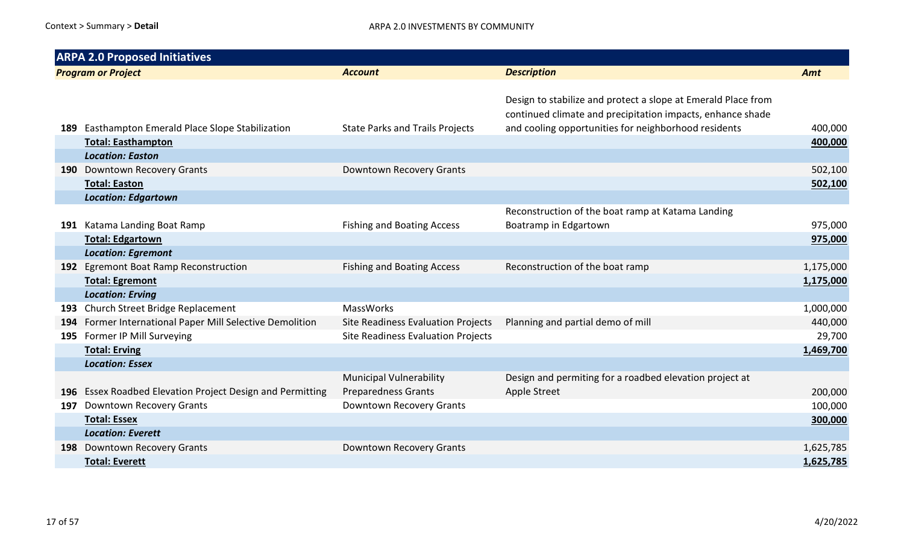|     | <b>ARPA 2.0 Proposed Initiatives</b>                      |                                                              |                                                                                                                             |           |  |  |  |
|-----|-----------------------------------------------------------|--------------------------------------------------------------|-----------------------------------------------------------------------------------------------------------------------------|-----------|--|--|--|
|     | <b>Program or Project</b>                                 | <b>Account</b>                                               | <b>Description</b>                                                                                                          | Amt       |  |  |  |
|     |                                                           |                                                              | Design to stabilize and protect a slope at Emerald Place from<br>continued climate and precipitation impacts, enhance shade |           |  |  |  |
|     | 189 Easthampton Emerald Place Slope Stabilization         | <b>State Parks and Trails Projects</b>                       | and cooling opportunities for neighborhood residents                                                                        | 400,000   |  |  |  |
|     | <b>Total: Easthampton</b>                                 |                                                              |                                                                                                                             | 400,000   |  |  |  |
|     | <b>Location: Easton</b>                                   |                                                              |                                                                                                                             |           |  |  |  |
|     | 190 Downtown Recovery Grants                              | <b>Downtown Recovery Grants</b>                              |                                                                                                                             | 502,100   |  |  |  |
|     | <b>Total: Easton</b>                                      |                                                              |                                                                                                                             | 502,100   |  |  |  |
|     | <b>Location: Edgartown</b>                                |                                                              |                                                                                                                             |           |  |  |  |
|     |                                                           |                                                              | Reconstruction of the boat ramp at Katama Landing                                                                           |           |  |  |  |
|     | 191 Katama Landing Boat Ramp                              | <b>Fishing and Boating Access</b>                            | Boatramp in Edgartown                                                                                                       | 975,000   |  |  |  |
|     | <b>Total: Edgartown</b>                                   |                                                              |                                                                                                                             | 975,000   |  |  |  |
|     | <b>Location: Egremont</b>                                 |                                                              |                                                                                                                             |           |  |  |  |
|     | 192 Egremont Boat Ramp Reconstruction                     | <b>Fishing and Boating Access</b>                            | Reconstruction of the boat ramp                                                                                             | 1,175,000 |  |  |  |
|     | <b>Total: Egremont</b>                                    |                                                              |                                                                                                                             | 1,175,000 |  |  |  |
|     | <b>Location: Erving</b>                                   |                                                              |                                                                                                                             |           |  |  |  |
|     | 193 Church Street Bridge Replacement                      | <b>MassWorks</b>                                             |                                                                                                                             | 1,000,000 |  |  |  |
|     | 194 Former International Paper Mill Selective Demolition  | Site Readiness Evaluation Projects                           | Planning and partial demo of mill                                                                                           | 440,000   |  |  |  |
|     | 195 Former IP Mill Surveying                              | <b>Site Readiness Evaluation Projects</b>                    |                                                                                                                             | 29,700    |  |  |  |
|     | <b>Total: Erving</b>                                      |                                                              |                                                                                                                             | 1,469,700 |  |  |  |
|     | <b>Location: Essex</b>                                    |                                                              |                                                                                                                             |           |  |  |  |
|     | 196 Essex Roadbed Elevation Project Design and Permitting | <b>Municipal Vulnerability</b><br><b>Preparedness Grants</b> | Design and permiting for a roadbed elevation project at<br>Apple Street                                                     | 200,000   |  |  |  |
| 197 | <b>Downtown Recovery Grants</b>                           | Downtown Recovery Grants                                     |                                                                                                                             | 100,000   |  |  |  |
|     | <b>Total: Essex</b>                                       |                                                              |                                                                                                                             | 300,000   |  |  |  |
|     | <b>Location: Everett</b>                                  |                                                              |                                                                                                                             |           |  |  |  |
|     | 198 Downtown Recovery Grants                              | Downtown Recovery Grants                                     |                                                                                                                             | 1,625,785 |  |  |  |
|     | <b>Total: Everett</b>                                     |                                                              |                                                                                                                             | 1,625,785 |  |  |  |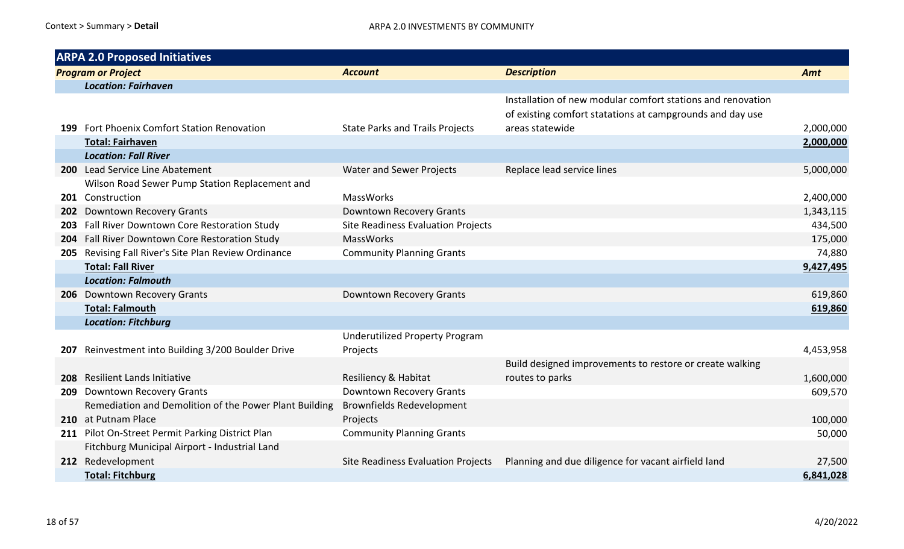|      | <b>ARPA 2.0 Proposed Initiatives</b>                   |                                           |                                                                                                                          |           |
|------|--------------------------------------------------------|-------------------------------------------|--------------------------------------------------------------------------------------------------------------------------|-----------|
|      | <b>Program or Project</b>                              | <b>Account</b>                            | <b>Description</b>                                                                                                       | Amt       |
|      | <b>Location: Fairhaven</b>                             |                                           |                                                                                                                          |           |
|      |                                                        |                                           | Installation of new modular comfort stations and renovation<br>of existing comfort statations at campgrounds and day use |           |
|      | 199 Fort Phoenix Comfort Station Renovation            | <b>State Parks and Trails Projects</b>    | areas statewide                                                                                                          | 2,000,000 |
|      | <b>Total: Fairhaven</b>                                |                                           |                                                                                                                          | 2,000,000 |
|      | <b>Location: Fall River</b>                            |                                           |                                                                                                                          |           |
|      | 200 Lead Service Line Abatement                        | <b>Water and Sewer Projects</b>           | Replace lead service lines                                                                                               | 5,000,000 |
|      | Wilson Road Sewer Pump Station Replacement and         |                                           |                                                                                                                          |           |
|      | 201 Construction                                       | <b>MassWorks</b>                          |                                                                                                                          | 2,400,000 |
| 202  | <b>Downtown Recovery Grants</b>                        | Downtown Recovery Grants                  |                                                                                                                          | 1,343,115 |
| 203. | Fall River Downtown Core Restoration Study             | <b>Site Readiness Evaluation Projects</b> |                                                                                                                          | 434,500   |
| 204  | Fall River Downtown Core Restoration Study             | <b>MassWorks</b>                          |                                                                                                                          | 175,000   |
|      | 205 Revising Fall River's Site Plan Review Ordinance   | <b>Community Planning Grants</b>          |                                                                                                                          | 74,880    |
|      | <b>Total: Fall River</b>                               |                                           |                                                                                                                          | 9,427,495 |
|      | <b>Location: Falmouth</b>                              |                                           |                                                                                                                          |           |
|      | 206 Downtown Recovery Grants                           | Downtown Recovery Grants                  |                                                                                                                          | 619,860   |
|      | <b>Total: Falmouth</b>                                 |                                           |                                                                                                                          | 619,860   |
|      | <b>Location: Fitchburg</b>                             |                                           |                                                                                                                          |           |
|      |                                                        | <b>Underutilized Property Program</b>     |                                                                                                                          |           |
| 207  | Reinvestment into Building 3/200 Boulder Drive         | Projects                                  |                                                                                                                          | 4,453,958 |
|      |                                                        |                                           | Build designed improvements to restore or create walking                                                                 |           |
| 208  | Resilient Lands Initiative                             | Resiliency & Habitat                      | routes to parks                                                                                                          | 1,600,000 |
| 209  | <b>Downtown Recovery Grants</b>                        | Downtown Recovery Grants                  |                                                                                                                          | 609,570   |
|      | Remediation and Demolition of the Power Plant Building | <b>Brownfields Redevelopment</b>          |                                                                                                                          |           |
|      | 210 at Putnam Place                                    | Projects                                  |                                                                                                                          | 100,000   |
|      | 211 Pilot On-Street Permit Parking District Plan       | <b>Community Planning Grants</b>          |                                                                                                                          | 50,000    |
|      | Fitchburg Municipal Airport - Industrial Land          |                                           |                                                                                                                          |           |
|      | 212 Redevelopment                                      | Site Readiness Evaluation Projects        | Planning and due diligence for vacant airfield land                                                                      | 27,500    |
|      | <b>Total: Fitchburg</b>                                |                                           |                                                                                                                          | 6,841,028 |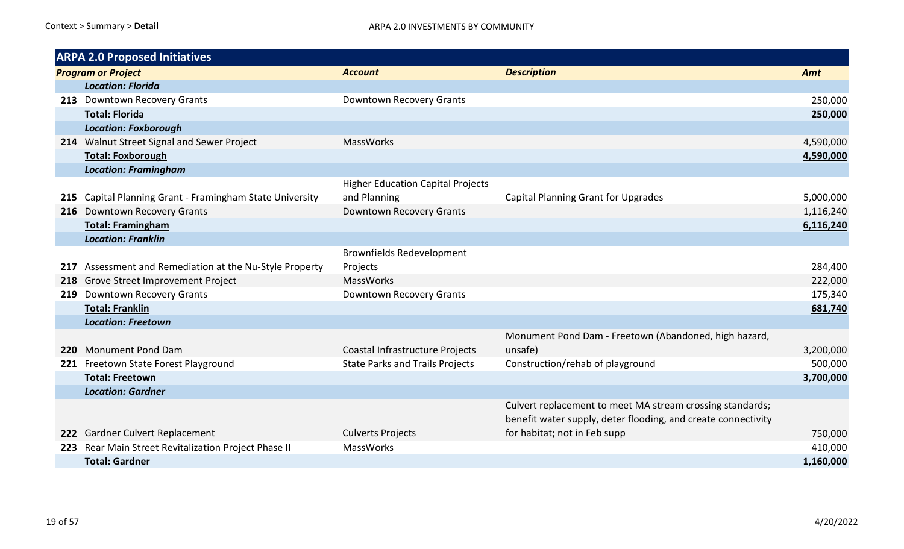|     | <b>ARPA 2.0 Proposed Initiatives</b>                 |                                          |                                                               |           |
|-----|------------------------------------------------------|------------------------------------------|---------------------------------------------------------------|-----------|
|     | <b>Program or Project</b>                            | <b>Account</b>                           | <b>Description</b>                                            | Amt       |
|     | <b>Location: Florida</b>                             |                                          |                                                               |           |
|     | 213 Downtown Recovery Grants                         | Downtown Recovery Grants                 |                                                               | 250,000   |
|     | <b>Total: Florida</b>                                |                                          |                                                               | 250,000   |
|     | <b>Location: Foxborough</b>                          |                                          |                                                               |           |
|     | 214 Walnut Street Signal and Sewer Project           | <b>MassWorks</b>                         |                                                               | 4,590,000 |
|     | <b>Total: Foxborough</b>                             |                                          |                                                               | 4,590,000 |
|     | <b>Location: Framingham</b>                          |                                          |                                                               |           |
|     |                                                      | <b>Higher Education Capital Projects</b> |                                                               |           |
| 215 | Capital Planning Grant - Framingham State University | and Planning                             | <b>Capital Planning Grant for Upgrades</b>                    | 5,000,000 |
|     | 216 Downtown Recovery Grants                         | Downtown Recovery Grants                 |                                                               | 1,116,240 |
|     | <b>Total: Framingham</b>                             |                                          |                                                               | 6,116,240 |
|     | <b>Location: Franklin</b>                            |                                          |                                                               |           |
|     |                                                      | <b>Brownfields Redevelopment</b>         |                                                               |           |
| 217 | Assessment and Remediation at the Nu-Style Property  | Projects                                 |                                                               | 284,400   |
| 218 | Grove Street Improvement Project                     | <b>MassWorks</b>                         |                                                               | 222,000   |
|     | 219 Downtown Recovery Grants                         | Downtown Recovery Grants                 |                                                               | 175,340   |
|     | <b>Total: Franklin</b>                               |                                          |                                                               | 681,740   |
|     | <b>Location: Freetown</b>                            |                                          |                                                               |           |
|     |                                                      |                                          | Monument Pond Dam - Freetown (Abandoned, high hazard,         |           |
| 220 | <b>Monument Pond Dam</b>                             | Coastal Infrastructure Projects          | unsafe)                                                       | 3,200,000 |
|     | 221 Freetown State Forest Playground                 | <b>State Parks and Trails Projects</b>   | Construction/rehab of playground                              | 500,000   |
|     | <b>Total: Freetown</b>                               |                                          |                                                               | 3,700,000 |
|     | <b>Location: Gardner</b>                             |                                          |                                                               |           |
|     |                                                      |                                          | Culvert replacement to meet MA stream crossing standards;     |           |
|     |                                                      |                                          | benefit water supply, deter flooding, and create connectivity |           |
|     | 222 Gardner Culvert Replacement                      | <b>Culverts Projects</b>                 | for habitat; not in Feb supp                                  | 750,000   |
|     | 223 Rear Main Street Revitalization Project Phase II | <b>MassWorks</b>                         |                                                               | 410,000   |
|     | <b>Total: Gardner</b>                                |                                          |                                                               | 1,160,000 |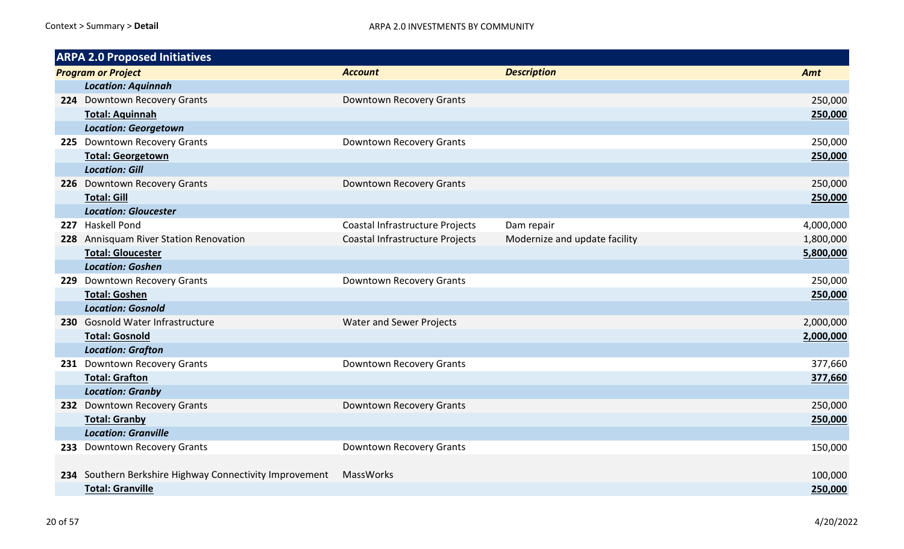| <b>ARPA 2.0 Proposed Initiatives</b>                    |                                 |                               |           |
|---------------------------------------------------------|---------------------------------|-------------------------------|-----------|
| <b>Program or Project</b>                               | <b>Account</b>                  | <b>Description</b>            | Amt       |
| <b>Location: Aquinnah</b>                               |                                 |                               |           |
| 224 Downtown Recovery Grants                            | Downtown Recovery Grants        |                               | 250,000   |
| <b>Total: Aquinnah</b>                                  |                                 |                               | 250,000   |
| <b>Location: Georgetown</b>                             |                                 |                               |           |
| 225 Downtown Recovery Grants                            | Downtown Recovery Grants        |                               | 250,000   |
| <b>Total: Georgetown</b>                                |                                 |                               | 250,000   |
| <b>Location: Gill</b>                                   |                                 |                               |           |
| 226 Downtown Recovery Grants                            | Downtown Recovery Grants        |                               | 250,000   |
| <b>Total: Gill</b>                                      |                                 |                               | 250,000   |
| <b>Location: Gloucester</b>                             |                                 |                               |           |
| 227 Haskell Pond                                        | Coastal Infrastructure Projects | Dam repair                    | 4,000,000 |
| 228 Annisquam River Station Renovation                  | Coastal Infrastructure Projects | Modernize and update facility | 1,800,000 |
| <b>Total: Gloucester</b>                                |                                 |                               | 5,800,000 |
| <b>Location: Goshen</b>                                 |                                 |                               |           |
| 229 Downtown Recovery Grants                            | Downtown Recovery Grants        |                               | 250,000   |
| <b>Total: Goshen</b>                                    |                                 |                               | 250,000   |
| <b>Location: Gosnold</b>                                |                                 |                               |           |
| 230 Gosnold Water Infrastructure                        | <b>Water and Sewer Projects</b> |                               | 2,000,000 |
| <b>Total: Gosnold</b>                                   |                                 |                               | 2,000,000 |
| <b>Location: Grafton</b>                                |                                 |                               |           |
| 231 Downtown Recovery Grants                            | Downtown Recovery Grants        |                               | 377,660   |
| <b>Total: Grafton</b>                                   |                                 |                               | 377,660   |
| <b>Location: Granby</b>                                 |                                 |                               |           |
| 232 Downtown Recovery Grants                            | Downtown Recovery Grants        |                               | 250,000   |
| <b>Total: Granby</b>                                    |                                 |                               | 250,000   |
| <b>Location: Granville</b>                              |                                 |                               |           |
| 233 Downtown Recovery Grants                            | Downtown Recovery Grants        |                               | 150,000   |
|                                                         |                                 |                               |           |
| 234 Southern Berkshire Highway Connectivity Improvement | MassWorks                       |                               | 100,000   |
| <b>Total: Granville</b>                                 |                                 |                               | 250,000   |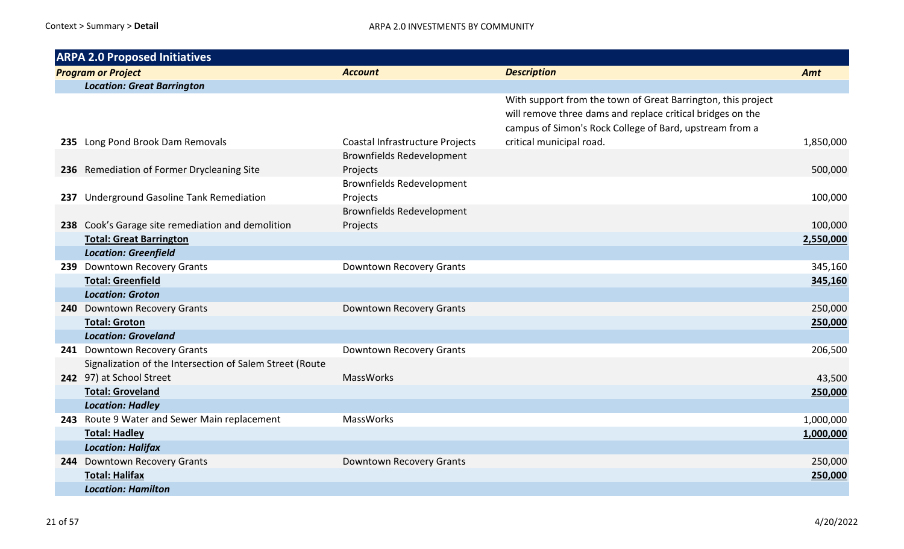|     | <b>ARPA 2.0 Proposed Initiatives</b>                     |                                  |                                                                                                                                                                                       |           |  |
|-----|----------------------------------------------------------|----------------------------------|---------------------------------------------------------------------------------------------------------------------------------------------------------------------------------------|-----------|--|
|     | <b>Program or Project</b>                                | <b>Account</b>                   | <b>Description</b>                                                                                                                                                                    | Amt       |  |
|     | <b>Location: Great Barrington</b>                        |                                  |                                                                                                                                                                                       |           |  |
|     |                                                          |                                  | With support from the town of Great Barrington, this project<br>will remove three dams and replace critical bridges on the<br>campus of Simon's Rock College of Bard, upstream from a |           |  |
|     | 235 Long Pond Brook Dam Removals                         | Coastal Infrastructure Projects  | critical municipal road.                                                                                                                                                              | 1,850,000 |  |
|     |                                                          | <b>Brownfields Redevelopment</b> |                                                                                                                                                                                       |           |  |
|     | 236 Remediation of Former Drycleaning Site               | Projects                         |                                                                                                                                                                                       | 500,000   |  |
|     |                                                          | <b>Brownfields Redevelopment</b> |                                                                                                                                                                                       |           |  |
| 237 | <b>Underground Gasoline Tank Remediation</b>             | Projects                         |                                                                                                                                                                                       | 100,000   |  |
|     |                                                          | <b>Brownfields Redevelopment</b> |                                                                                                                                                                                       |           |  |
|     | 238 Cook's Garage site remediation and demolition        | Projects                         |                                                                                                                                                                                       | 100,000   |  |
|     | <b>Total: Great Barrington</b>                           |                                  |                                                                                                                                                                                       | 2,550,000 |  |
|     | <b>Location: Greenfield</b>                              |                                  |                                                                                                                                                                                       |           |  |
|     | 239 Downtown Recovery Grants                             | Downtown Recovery Grants         |                                                                                                                                                                                       | 345,160   |  |
|     | <b>Total: Greenfield</b>                                 |                                  |                                                                                                                                                                                       | 345,160   |  |
|     | <b>Location: Groton</b>                                  |                                  |                                                                                                                                                                                       |           |  |
|     | 240 Downtown Recovery Grants                             | Downtown Recovery Grants         |                                                                                                                                                                                       | 250,000   |  |
|     | <b>Total: Groton</b>                                     |                                  |                                                                                                                                                                                       | 250,000   |  |
|     | <b>Location: Groveland</b>                               |                                  |                                                                                                                                                                                       |           |  |
|     | 241 Downtown Recovery Grants                             | Downtown Recovery Grants         |                                                                                                                                                                                       | 206,500   |  |
|     | Signalization of the Intersection of Salem Street (Route |                                  |                                                                                                                                                                                       |           |  |
|     | 242 97) at School Street                                 | <b>MassWorks</b>                 |                                                                                                                                                                                       | 43,500    |  |
|     | <b>Total: Groveland</b>                                  |                                  |                                                                                                                                                                                       | 250,000   |  |
|     | <b>Location: Hadley</b>                                  |                                  |                                                                                                                                                                                       |           |  |
|     | 243 Route 9 Water and Sewer Main replacement             | MassWorks                        |                                                                                                                                                                                       | 1,000,000 |  |
|     | <b>Total: Hadley</b>                                     |                                  |                                                                                                                                                                                       | 1,000,000 |  |
|     | <b>Location: Halifax</b>                                 |                                  |                                                                                                                                                                                       |           |  |
| 244 | <b>Downtown Recovery Grants</b>                          | Downtown Recovery Grants         |                                                                                                                                                                                       | 250,000   |  |
|     | <b>Total: Halifax</b>                                    |                                  |                                                                                                                                                                                       | 250,000   |  |
|     | <b>Location: Hamilton</b>                                |                                  |                                                                                                                                                                                       |           |  |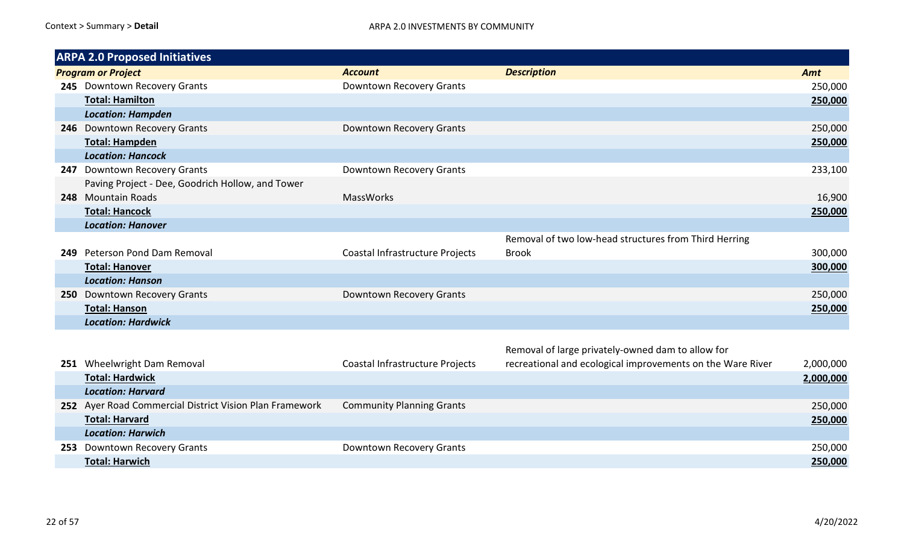|     | <b>ARPA 2.0 Proposed Initiatives</b>             |                                 |                                                       |         |
|-----|--------------------------------------------------|---------------------------------|-------------------------------------------------------|---------|
|     | <b>Program or Project</b>                        | <b>Account</b>                  | <b>Description</b>                                    | Amt     |
|     | 245 Downtown Recovery Grants                     | Downtown Recovery Grants        |                                                       | 250,000 |
|     | <b>Total: Hamilton</b>                           |                                 |                                                       | 250,000 |
|     | <b>Location: Hampden</b>                         |                                 |                                                       |         |
|     | 246 Downtown Recovery Grants                     | Downtown Recovery Grants        |                                                       | 250,000 |
|     | <b>Total: Hampden</b>                            |                                 |                                                       | 250,000 |
|     | <b>Location: Hancock</b>                         |                                 |                                                       |         |
| 247 | <b>Downtown Recovery Grants</b>                  | Downtown Recovery Grants        |                                                       | 233,100 |
|     | Paving Project - Dee, Goodrich Hollow, and Tower |                                 |                                                       |         |
| 248 | <b>Mountain Roads</b>                            | <b>MassWorks</b>                |                                                       | 16,900  |
|     | <b>Total: Hancock</b>                            |                                 |                                                       | 250,000 |
|     | <b>Location: Hanover</b>                         |                                 |                                                       |         |
|     |                                                  |                                 | Removal of two low-head structures from Third Herring |         |
| 249 | Peterson Pond Dam Removal                        | Coastal Infrastructure Projects | <b>Brook</b>                                          | 300,000 |
|     | <b>Total: Hanover</b>                            |                                 |                                                       | 300,000 |
|     | <b>Location: Hanson</b>                          |                                 |                                                       |         |
| 250 | Downtown Recovery Grants                         | Downtown Recovery Grants        |                                                       | 250,000 |
|     | <b>Total: Hanson</b>                             |                                 |                                                       | 250,000 |
|     | <b>Location: Hardwick</b>                        |                                 |                                                       |         |
|     |                                                  |                                 |                                                       |         |

|                          |                                                         | Removal of large privately-owned dam to allow for          |           |
|--------------------------|---------------------------------------------------------|------------------------------------------------------------|-----------|
| Wheelwright Dam Removal  | Coastal Infrastructure Projects                         | recreational and ecological improvements on the Ware River | 2,000,000 |
| <b>Total: Hardwick</b>   |                                                         |                                                            | 2,000,000 |
| <b>Location: Harvard</b> |                                                         |                                                            |           |
|                          | <b>Community Planning Grants</b>                        |                                                            | 250,000   |
| <b>Total: Harvard</b>    |                                                         |                                                            | 250,000   |
| <b>Location: Harwich</b> |                                                         |                                                            |           |
| Downtown Recovery Grants | Downtown Recovery Grants                                |                                                            | 250,000   |
| <b>Total: Harwich</b>    |                                                         |                                                            | 250,000   |
|                          | 252 Ayer Road Commercial District Vision Plan Framework |                                                            |           |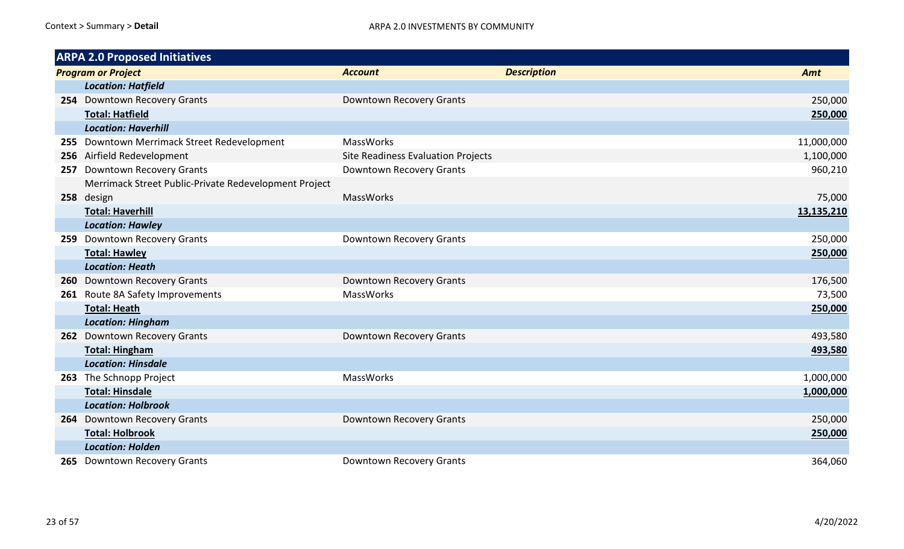|     | <b>ARPA 2.0 Proposed Initiatives</b>                  |                                    |                    |            |
|-----|-------------------------------------------------------|------------------------------------|--------------------|------------|
|     | <b>Program or Project</b>                             | <b>Account</b>                     | <b>Description</b> | Amt        |
|     | <b>Location: Hatfield</b>                             |                                    |                    |            |
|     | 254 Downtown Recovery Grants                          | Downtown Recovery Grants           |                    | 250,000    |
|     | <b>Total: Hatfield</b>                                |                                    |                    | 250,000    |
|     | <b>Location: Haverhill</b>                            |                                    |                    |            |
|     | 255 Downtown Merrimack Street Redevelopment           | MassWorks                          |                    | 11,000,000 |
|     | 256 Airfield Redevelopment                            | Site Readiness Evaluation Projects |                    | 1,100,000  |
| 257 | Downtown Recovery Grants                              | Downtown Recovery Grants           |                    | 960,210    |
|     | Merrimack Street Public-Private Redevelopment Project |                                    |                    |            |
|     | 258 design                                            | <b>MassWorks</b>                   |                    | 75,000     |
|     | <b>Total: Haverhill</b>                               |                                    |                    | 13,135,210 |
|     | <b>Location: Hawley</b>                               |                                    |                    |            |
|     | 259 Downtown Recovery Grants                          | Downtown Recovery Grants           |                    | 250,000    |
|     | <b>Total: Hawley</b>                                  |                                    |                    | 250,000    |
|     | <b>Location: Heath</b>                                |                                    |                    |            |
|     | 260 Downtown Recovery Grants                          | Downtown Recovery Grants           |                    | 176,500    |
|     | 261 Route 8A Safety Improvements                      | <b>MassWorks</b>                   |                    | 73,500     |
|     | <b>Total: Heath</b>                                   |                                    |                    | 250,000    |
|     | <b>Location: Hingham</b>                              |                                    |                    |            |
|     | 262 Downtown Recovery Grants                          | Downtown Recovery Grants           |                    | 493,580    |
|     | <b>Total: Hingham</b>                                 |                                    |                    | 493,580    |
|     | <b>Location: Hinsdale</b>                             |                                    |                    |            |
|     | 263 The Schnopp Project                               | <b>MassWorks</b>                   |                    | 1,000,000  |
|     | <b>Total: Hinsdale</b>                                |                                    |                    | 1,000,000  |
|     | <b>Location: Holbrook</b>                             |                                    |                    |            |
| 264 | <b>Downtown Recovery Grants</b>                       | Downtown Recovery Grants           |                    | 250,000    |
|     | <b>Total: Holbrook</b>                                |                                    |                    | 250,000    |
|     | <b>Location: Holden</b>                               |                                    |                    |            |
|     | 265 Downtown Recovery Grants                          | Downtown Recovery Grants           |                    | 364,060    |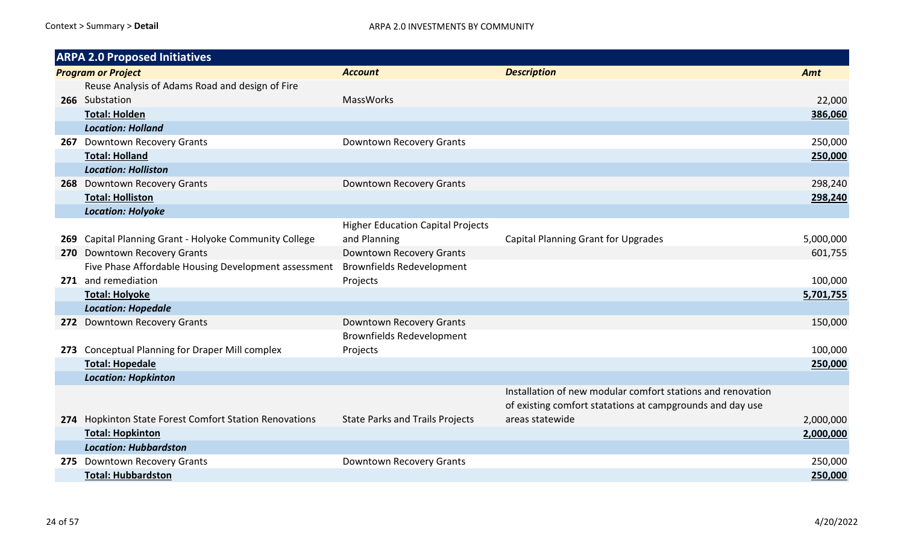|     | <b>ARPA 2.0 Proposed Initiatives</b>                   |                                          |                                                             |           |
|-----|--------------------------------------------------------|------------------------------------------|-------------------------------------------------------------|-----------|
|     | <b>Program or Project</b>                              | <b>Account</b>                           | <b>Description</b>                                          | Amt       |
|     | Reuse Analysis of Adams Road and design of Fire        |                                          |                                                             |           |
|     | 266 Substation                                         | <b>MassWorks</b>                         |                                                             | 22,000    |
|     | <b>Total: Holden</b>                                   |                                          |                                                             | 386,060   |
|     | <b>Location: Holland</b>                               |                                          |                                                             |           |
|     | 267 Downtown Recovery Grants                           | Downtown Recovery Grants                 |                                                             | 250,000   |
|     | <b>Total: Holland</b>                                  |                                          |                                                             | 250,000   |
|     | <b>Location: Holliston</b>                             |                                          |                                                             |           |
|     | 268 Downtown Recovery Grants                           | Downtown Recovery Grants                 |                                                             | 298,240   |
|     | <b>Total: Holliston</b>                                |                                          |                                                             | 298,240   |
|     | <b>Location: Holyoke</b>                               |                                          |                                                             |           |
|     |                                                        | <b>Higher Education Capital Projects</b> |                                                             |           |
| 269 | Capital Planning Grant - Holyoke Community College     | and Planning                             | <b>Capital Planning Grant for Upgrades</b>                  | 5,000,000 |
| 270 | <b>Downtown Recovery Grants</b>                        | Downtown Recovery Grants                 |                                                             | 601,755   |
|     | Five Phase Affordable Housing Development assessment   | <b>Brownfields Redevelopment</b>         |                                                             |           |
|     | 271 and remediation                                    | Projects                                 |                                                             | 100,000   |
|     | <b>Total: Holyoke</b>                                  |                                          |                                                             | 5,701,755 |
|     | <b>Location: Hopedale</b>                              |                                          |                                                             |           |
|     | 272 Downtown Recovery Grants                           | Downtown Recovery Grants                 |                                                             | 150,000   |
|     |                                                        | <b>Brownfields Redevelopment</b>         |                                                             |           |
|     | 273 Conceptual Planning for Draper Mill complex        | Projects                                 |                                                             | 100,000   |
|     | <b>Total: Hopedale</b>                                 |                                          |                                                             | 250,000   |
|     | <b>Location: Hopkinton</b>                             |                                          |                                                             |           |
|     |                                                        |                                          | Installation of new modular comfort stations and renovation |           |
|     |                                                        |                                          | of existing comfort statations at campgrounds and day use   |           |
|     | 274 Hopkinton State Forest Comfort Station Renovations | <b>State Parks and Trails Projects</b>   | areas statewide                                             | 2,000,000 |
|     | <b>Total: Hopkinton</b>                                |                                          |                                                             | 2,000,000 |
|     | <b>Location: Hubbardston</b>                           |                                          |                                                             |           |
| 275 | <b>Downtown Recovery Grants</b>                        | Downtown Recovery Grants                 |                                                             | 250,000   |
|     | <b>Total: Hubbardston</b>                              |                                          |                                                             | 250,000   |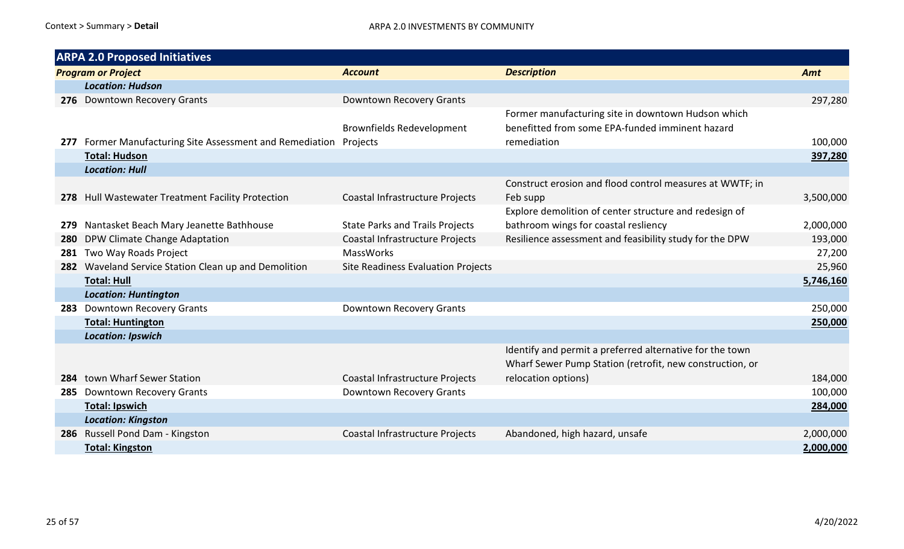|     | <b>ARPA 2.0 Proposed Initiatives</b>                          |                                        |                                                          |           |  |  |
|-----|---------------------------------------------------------------|----------------------------------------|----------------------------------------------------------|-----------|--|--|
|     | <b>Program or Project</b>                                     | <b>Account</b>                         | <b>Description</b>                                       | Amt       |  |  |
|     | <b>Location: Hudson</b>                                       |                                        |                                                          |           |  |  |
|     | 276 Downtown Recovery Grants                                  | Downtown Recovery Grants               |                                                          | 297,280   |  |  |
|     |                                                               |                                        | Former manufacturing site in downtown Hudson which       |           |  |  |
|     |                                                               | <b>Brownfields Redevelopment</b>       | benefitted from some EPA-funded imminent hazard          |           |  |  |
| 277 | Former Manufacturing Site Assessment and Remediation Projects |                                        | remediation                                              | 100,000   |  |  |
|     | <b>Total: Hudson</b>                                          |                                        |                                                          | 397,280   |  |  |
|     | <b>Location: Hull</b>                                         |                                        |                                                          |           |  |  |
|     |                                                               |                                        | Construct erosion and flood control measures at WWTF; in |           |  |  |
|     | 278 Hull Wastewater Treatment Facility Protection             | Coastal Infrastructure Projects        | Feb supp                                                 | 3,500,000 |  |  |
|     |                                                               |                                        | Explore demolition of center structure and redesign of   |           |  |  |
| 279 | Nantasket Beach Mary Jeanette Bathhouse                       | <b>State Parks and Trails Projects</b> | bathroom wings for coastal resliency                     | 2,000,000 |  |  |
| 280 | DPW Climate Change Adaptation                                 | Coastal Infrastructure Projects        | Resilience assessment and feasibility study for the DPW  | 193,000   |  |  |
| 281 | Two Way Roads Project                                         | <b>MassWorks</b>                       |                                                          | 27,200    |  |  |
| 282 | Waveland Service Station Clean up and Demolition              | Site Readiness Evaluation Projects     |                                                          | 25,960    |  |  |
|     | <b>Total: Hull</b>                                            |                                        |                                                          | 5,746,160 |  |  |
|     | <b>Location: Huntington</b>                                   |                                        |                                                          |           |  |  |
| 283 | <b>Downtown Recovery Grants</b>                               | Downtown Recovery Grants               |                                                          | 250,000   |  |  |
|     | <b>Total: Huntington</b>                                      |                                        |                                                          | 250,000   |  |  |
|     | <b>Location: Ipswich</b>                                      |                                        |                                                          |           |  |  |
|     |                                                               |                                        | Identify and permit a preferred alternative for the town |           |  |  |
|     |                                                               |                                        | Wharf Sewer Pump Station (retrofit, new construction, or |           |  |  |
| 284 | town Wharf Sewer Station                                      | Coastal Infrastructure Projects        | relocation options)                                      | 184,000   |  |  |
|     | 285 Downtown Recovery Grants                                  | Downtown Recovery Grants               |                                                          | 100,000   |  |  |
|     | <b>Total: Ipswich</b>                                         |                                        |                                                          | 284,000   |  |  |
|     | <b>Location: Kingston</b>                                     |                                        |                                                          |           |  |  |
|     | 286 Russell Pond Dam - Kingston                               | Coastal Infrastructure Projects        | Abandoned, high hazard, unsafe                           | 2,000,000 |  |  |
|     | <b>Total: Kingston</b>                                        |                                        |                                                          | 2,000,000 |  |  |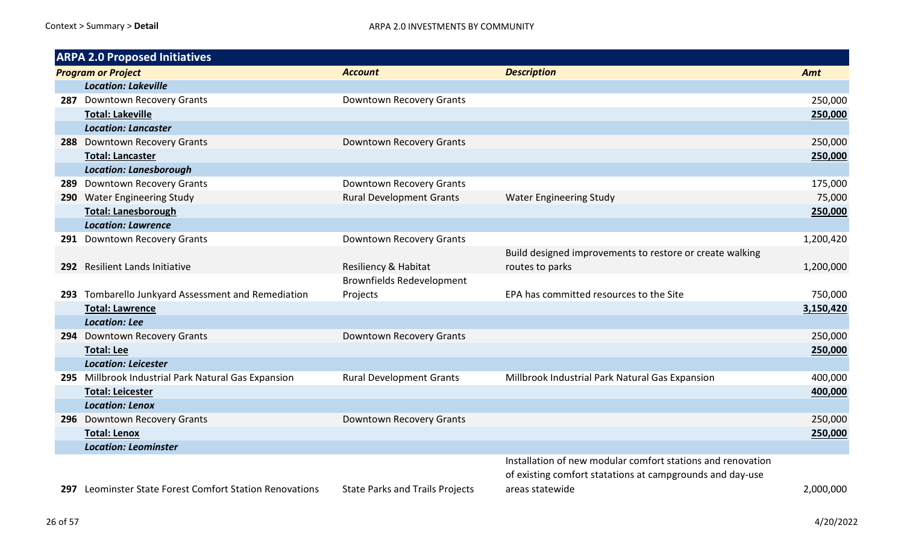| <b>ARPA 2.0 Proposed Initiatives</b> |                                                         |                                        |                                                             |           |
|--------------------------------------|---------------------------------------------------------|----------------------------------------|-------------------------------------------------------------|-----------|
|                                      | <b>Program or Project</b>                               | <b>Account</b>                         | <b>Description</b>                                          | Amt       |
|                                      | <b>Location: Lakeville</b>                              |                                        |                                                             |           |
|                                      | 287 Downtown Recovery Grants                            | Downtown Recovery Grants               |                                                             | 250,000   |
|                                      | <b>Total: Lakeville</b>                                 |                                        |                                                             | 250,000   |
|                                      | <b>Location: Lancaster</b>                              |                                        |                                                             |           |
|                                      | 288 Downtown Recovery Grants                            | Downtown Recovery Grants               |                                                             | 250,000   |
|                                      | <b>Total: Lancaster</b>                                 |                                        |                                                             | 250,000   |
|                                      | <b>Location: Lanesborough</b>                           |                                        |                                                             |           |
|                                      | 289 Downtown Recovery Grants                            | Downtown Recovery Grants               |                                                             | 175,000   |
|                                      | 290 Water Engineering Study                             | <b>Rural Development Grants</b>        | <b>Water Engineering Study</b>                              | 75,000    |
|                                      | <b>Total: Lanesborough</b>                              |                                        |                                                             | 250,000   |
|                                      | <b>Location: Lawrence</b>                               |                                        |                                                             |           |
|                                      | 291 Downtown Recovery Grants                            | Downtown Recovery Grants               |                                                             | 1,200,420 |
|                                      |                                                         |                                        | Build designed improvements to restore or create walking    |           |
|                                      | 292 Resilient Lands Initiative                          | Resiliency & Habitat                   | routes to parks                                             | 1,200,000 |
|                                      |                                                         | <b>Brownfields Redevelopment</b>       |                                                             |           |
|                                      | 293 Tombarello Junkyard Assessment and Remediation      | Projects                               | EPA has committed resources to the Site                     | 750,000   |
|                                      | <b>Total: Lawrence</b>                                  |                                        |                                                             | 3,150,420 |
|                                      | <b>Location: Lee</b>                                    |                                        |                                                             |           |
|                                      | 294 Downtown Recovery Grants                            | Downtown Recovery Grants               |                                                             | 250,000   |
|                                      | <b>Total: Lee</b>                                       |                                        |                                                             | 250,000   |
|                                      | <b>Location: Leicester</b>                              |                                        |                                                             |           |
|                                      | 295 Millbrook Industrial Park Natural Gas Expansion     | <b>Rural Development Grants</b>        | Millbrook Industrial Park Natural Gas Expansion             | 400,000   |
|                                      | <b>Total: Leicester</b>                                 |                                        |                                                             | 400,000   |
|                                      | <b>Location: Lenox</b>                                  |                                        |                                                             |           |
|                                      | 296 Downtown Recovery Grants                            | Downtown Recovery Grants               |                                                             | 250,000   |
|                                      | <b>Total: Lenox</b>                                     |                                        |                                                             | 250,000   |
|                                      | <b>Location: Leominster</b>                             |                                        |                                                             |           |
|                                      |                                                         |                                        | Installation of new modular comfort stations and renovation |           |
|                                      |                                                         |                                        | of existing comfort statations at campgrounds and day-use   |           |
|                                      | 297 Leominster State Forest Comfort Station Renovations | <b>State Parks and Trails Projects</b> | areas statewide                                             | 2,000,000 |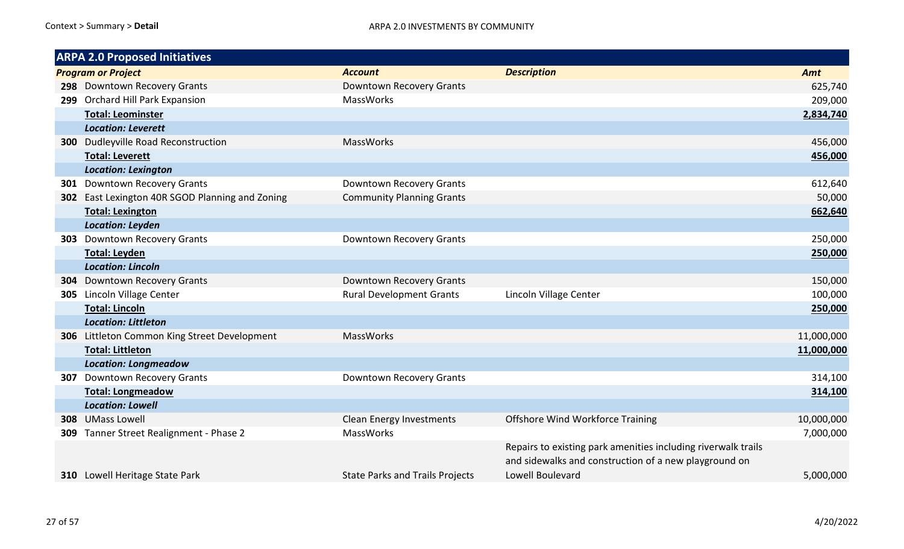| <b>ARPA 2.0 Proposed Initiatives</b>            |                                        |                                                                                                                        |            |
|-------------------------------------------------|----------------------------------------|------------------------------------------------------------------------------------------------------------------------|------------|
| <b>Program or Project</b>                       | <b>Account</b>                         | <b>Description</b>                                                                                                     | Amt        |
| 298 Downtown Recovery Grants                    | Downtown Recovery Grants               |                                                                                                                        | 625,740    |
| 299 Orchard Hill Park Expansion                 | MassWorks                              |                                                                                                                        | 209,000    |
| <b>Total: Leominster</b>                        |                                        |                                                                                                                        | 2,834,740  |
| <b>Location: Leverett</b>                       |                                        |                                                                                                                        |            |
| <b>300</b> Dudleyville Road Reconstruction      | <b>MassWorks</b>                       |                                                                                                                        | 456,000    |
| <b>Total: Leverett</b>                          |                                        |                                                                                                                        | 456,000    |
| <b>Location: Lexington</b>                      |                                        |                                                                                                                        |            |
| <b>301</b> Downtown Recovery Grants             | Downtown Recovery Grants               |                                                                                                                        | 612,640    |
| 302 East Lexington 40R SGOD Planning and Zoning | <b>Community Planning Grants</b>       |                                                                                                                        | 50,000     |
| <b>Total: Lexington</b>                         |                                        |                                                                                                                        | 662,640    |
| <b>Location: Leyden</b>                         |                                        |                                                                                                                        |            |
| <b>303</b> Downtown Recovery Grants             | Downtown Recovery Grants               |                                                                                                                        | 250,000    |
| <b>Total: Leyden</b>                            |                                        |                                                                                                                        | 250,000    |
| <b>Location: Lincoln</b>                        |                                        |                                                                                                                        |            |
| <b>304</b> Downtown Recovery Grants             | Downtown Recovery Grants               |                                                                                                                        | 150,000    |
| 305 Lincoln Village Center                      | <b>Rural Development Grants</b>        | Lincoln Village Center                                                                                                 | 100,000    |
| <b>Total: Lincoln</b>                           |                                        |                                                                                                                        | 250,000    |
| <b>Location: Littleton</b>                      |                                        |                                                                                                                        |            |
| 306 Littleton Common King Street Development    | <b>MassWorks</b>                       |                                                                                                                        | 11,000,000 |
| <b>Total: Littleton</b>                         |                                        |                                                                                                                        | 11,000,000 |
| <b>Location: Longmeadow</b>                     |                                        |                                                                                                                        |            |
| <b>307</b> Downtown Recovery Grants             | Downtown Recovery Grants               |                                                                                                                        | 314,100    |
| <b>Total: Longmeadow</b>                        |                                        |                                                                                                                        | 314,100    |
| <b>Location: Lowell</b>                         |                                        |                                                                                                                        |            |
| 308 UMass Lowell                                | Clean Energy Investments               | <b>Offshore Wind Workforce Training</b>                                                                                | 10,000,000 |
| 309 Tanner Street Realignment - Phase 2         | MassWorks                              |                                                                                                                        | 7,000,000  |
|                                                 |                                        | Repairs to existing park amenities including riverwalk trails<br>and sidewalks and construction of a new playground on |            |
| <b>310</b> Lowell Heritage State Park           | <b>State Parks and Trails Projects</b> | Lowell Boulevard                                                                                                       | 5,000,000  |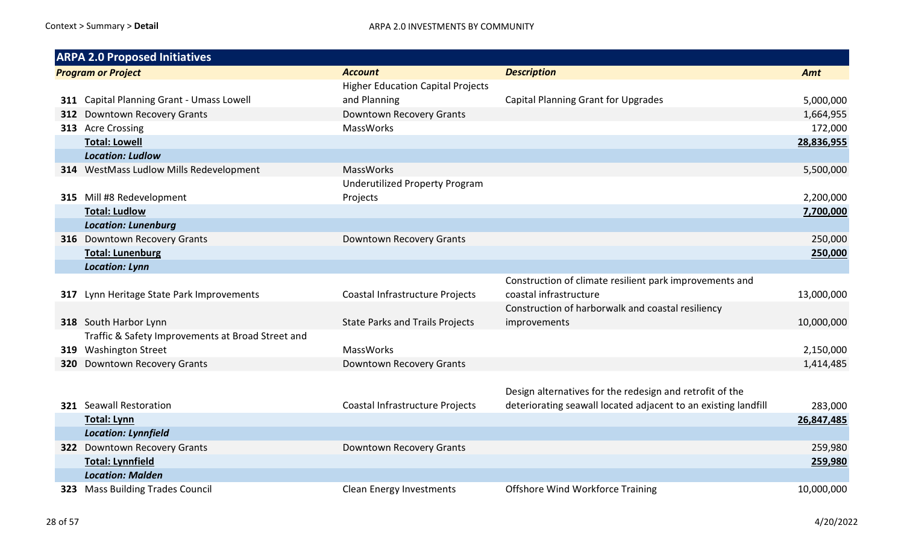| <b>ARPA 2.0 Proposed Initiatives</b>              |                                          |                                                                |            |
|---------------------------------------------------|------------------------------------------|----------------------------------------------------------------|------------|
| <b>Program or Project</b>                         | <b>Account</b>                           | <b>Description</b>                                             | Amt        |
|                                                   | <b>Higher Education Capital Projects</b> |                                                                |            |
| 311 Capital Planning Grant - Umass Lowell         | and Planning                             | <b>Capital Planning Grant for Upgrades</b>                     | 5,000,000  |
| 312 Downtown Recovery Grants                      | Downtown Recovery Grants                 |                                                                | 1,664,955  |
| 313 Acre Crossing                                 | MassWorks                                |                                                                | 172,000    |
| <b>Total: Lowell</b>                              |                                          |                                                                | 28,836,955 |
| <b>Location: Ludlow</b>                           |                                          |                                                                |            |
| 314 WestMass Ludlow Mills Redevelopment           | <b>MassWorks</b>                         |                                                                | 5,500,000  |
|                                                   | <b>Underutilized Property Program</b>    |                                                                |            |
| 315 Mill #8 Redevelopment                         | Projects                                 |                                                                | 2,200,000  |
| <b>Total: Ludlow</b>                              |                                          |                                                                | 7,700,000  |
| <b>Location: Lunenburg</b>                        |                                          |                                                                |            |
| 316 Downtown Recovery Grants                      | Downtown Recovery Grants                 |                                                                | 250,000    |
| <b>Total: Lunenburg</b>                           |                                          |                                                                | 250,000    |
| <b>Location: Lynn</b>                             |                                          |                                                                |            |
|                                                   |                                          | Construction of climate resilient park improvements and        |            |
| 317 Lynn Heritage State Park Improvements         | Coastal Infrastructure Projects          | coastal infrastructure                                         | 13,000,000 |
|                                                   |                                          | Construction of harborwalk and coastal resiliency              |            |
| 318 South Harbor Lynn                             | <b>State Parks and Trails Projects</b>   | improvements                                                   | 10,000,000 |
| Traffic & Safety Improvements at Broad Street and |                                          |                                                                |            |
| 319 Washington Street                             | <b>MassWorks</b>                         |                                                                | 2,150,000  |
| 320 Downtown Recovery Grants                      | Downtown Recovery Grants                 |                                                                | 1,414,485  |
|                                                   |                                          |                                                                |            |
|                                                   |                                          | Design alternatives for the redesign and retrofit of the       |            |
| <b>321</b> Seawall Restoration                    | Coastal Infrastructure Projects          | deteriorating seawall located adjacent to an existing landfill | 283,000    |
| <b>Total: Lynn</b>                                |                                          |                                                                | 26,847,485 |
| <b>Location: Lynnfield</b>                        |                                          |                                                                |            |
| 322 Downtown Recovery Grants                      | Downtown Recovery Grants                 |                                                                | 259,980    |
| <b>Total: Lynnfield</b>                           |                                          |                                                                | 259,980    |
| <b>Location: Malden</b>                           |                                          |                                                                |            |
| 323 Mass Building Trades Council                  | <b>Clean Energy Investments</b>          | <b>Offshore Wind Workforce Training</b>                        | 10,000,000 |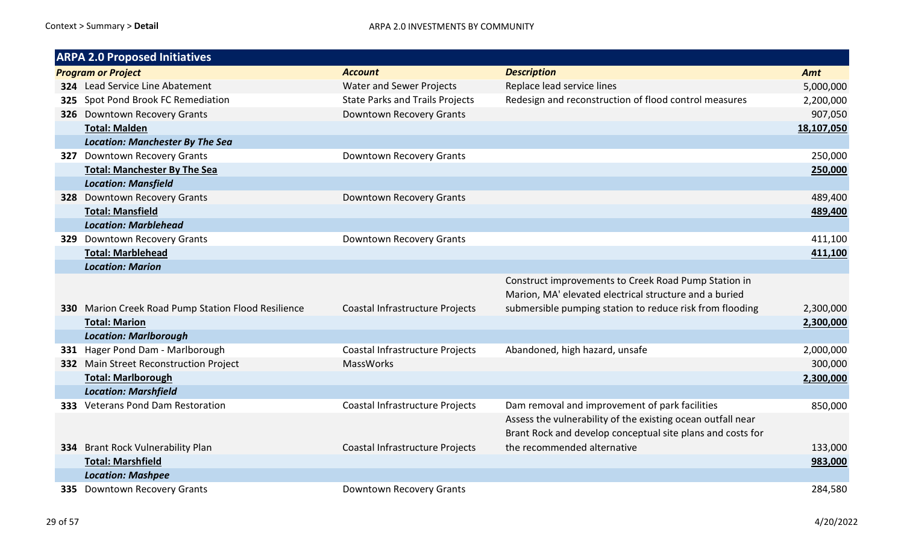| <b>ARPA 2.0 Proposed Initiatives</b>                     |                                        |                                                             |            |
|----------------------------------------------------------|----------------------------------------|-------------------------------------------------------------|------------|
| <b>Program or Project</b>                                | <b>Account</b>                         | <b>Description</b>                                          | Amt        |
| 324 Lead Service Line Abatement                          | <b>Water and Sewer Projects</b>        | Replace lead service lines                                  | 5,000,000  |
| 325 Spot Pond Brook FC Remediation                       | <b>State Parks and Trails Projects</b> | Redesign and reconstruction of flood control measures       | 2,200,000  |
| 326 Downtown Recovery Grants                             | Downtown Recovery Grants               |                                                             | 907,050    |
| <b>Total: Malden</b>                                     |                                        |                                                             | 18,107,050 |
| <b>Location: Manchester By The Sea</b>                   |                                        |                                                             |            |
| 327 Downtown Recovery Grants                             | Downtown Recovery Grants               |                                                             | 250,000    |
| <b>Total: Manchester By The Sea</b>                      |                                        |                                                             | 250,000    |
| <b>Location: Mansfield</b>                               |                                        |                                                             |            |
| 328 Downtown Recovery Grants                             | <b>Downtown Recovery Grants</b>        |                                                             | 489,400    |
| <b>Total: Mansfield</b>                                  |                                        |                                                             | 489,400    |
| <b>Location: Marblehead</b>                              |                                        |                                                             |            |
| 329 Downtown Recovery Grants                             | Downtown Recovery Grants               |                                                             | 411,100    |
| <b>Total: Marblehead</b>                                 |                                        |                                                             | 411,100    |
| <b>Location: Marion</b>                                  |                                        |                                                             |            |
|                                                          |                                        | Construct improvements to Creek Road Pump Station in        |            |
|                                                          |                                        | Marion, MA' elevated electrical structure and a buried      |            |
| 330 Marion Creek Road Pump Station Flood Resilience      | Coastal Infrastructure Projects        | submersible pumping station to reduce risk from flooding    | 2,300,000  |
| <b>Total: Marion</b>                                     |                                        |                                                             | 2,300,000  |
| <b>Location: Marlborough</b>                             |                                        |                                                             |            |
| 331 Hager Pond Dam - Marlborough                         | Coastal Infrastructure Projects        | Abandoned, high hazard, unsafe                              | 2,000,000  |
| 332 Main Street Reconstruction Project                   | <b>MassWorks</b>                       |                                                             | 300,000    |
| <b>Total: Marlborough</b>                                |                                        |                                                             | 2,300,000  |
| <b>Location: Marshfield</b>                              |                                        |                                                             |            |
| 333 Veterans Pond Dam Restoration                        | Coastal Infrastructure Projects        | Dam removal and improvement of park facilities              | 850,000    |
|                                                          |                                        | Assess the vulnerability of the existing ocean outfall near |            |
|                                                          |                                        | Brant Rock and develop conceptual site plans and costs for  |            |
| 334 Brant Rock Vulnerability Plan                        | Coastal Infrastructure Projects        | the recommended alternative                                 | 133,000    |
| <b>Total: Marshfield</b>                                 |                                        |                                                             | 983,000    |
|                                                          |                                        |                                                             |            |
| <b>Location: Mashpee</b><br>335 Downtown Recovery Grants | Downtown Recovery Grants               |                                                             | 284,580    |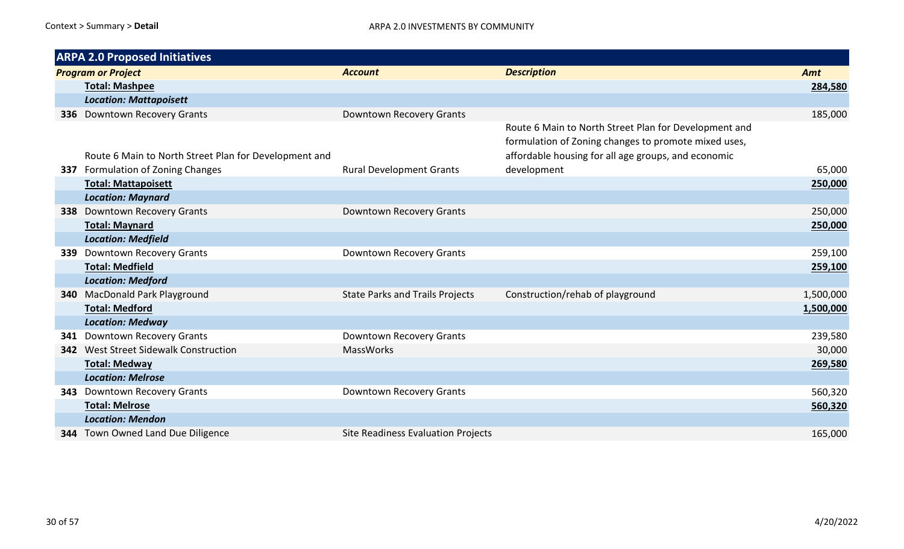|     | <b>ARPA 2.0 Proposed Initiatives</b>                  |                                        |                                                       |           |
|-----|-------------------------------------------------------|----------------------------------------|-------------------------------------------------------|-----------|
|     | <b>Program or Project</b>                             | <b>Account</b>                         | <b>Description</b>                                    | Amt       |
|     | <b>Total: Mashpee</b>                                 |                                        |                                                       | 284,580   |
|     | <b>Location: Mattapoisett</b>                         |                                        |                                                       |           |
|     | 336 Downtown Recovery Grants                          | Downtown Recovery Grants               |                                                       | 185,000   |
|     |                                                       |                                        | Route 6 Main to North Street Plan for Development and |           |
|     |                                                       |                                        | formulation of Zoning changes to promote mixed uses,  |           |
|     | Route 6 Main to North Street Plan for Development and |                                        | affordable housing for all age groups, and economic   |           |
|     | 337 Formulation of Zoning Changes                     | <b>Rural Development Grants</b>        | development                                           | 65,000    |
|     | <b>Total: Mattapoisett</b>                            |                                        |                                                       | 250,000   |
|     | <b>Location: Maynard</b>                              |                                        |                                                       |           |
|     | <b>338</b> Downtown Recovery Grants                   | Downtown Recovery Grants               |                                                       | 250,000   |
|     | <b>Total: Maynard</b>                                 |                                        |                                                       | 250,000   |
|     | <b>Location: Medfield</b>                             |                                        |                                                       |           |
| 339 | <b>Downtown Recovery Grants</b>                       | Downtown Recovery Grants               |                                                       | 259,100   |
|     | <b>Total: Medfield</b>                                |                                        |                                                       | 259,100   |
|     | <b>Location: Medford</b>                              |                                        |                                                       |           |
|     | 340 MacDonald Park Playground                         | <b>State Parks and Trails Projects</b> | Construction/rehab of playground                      | 1,500,000 |
|     | <b>Total: Medford</b>                                 |                                        |                                                       | 1,500,000 |
|     | <b>Location: Medway</b>                               |                                        |                                                       |           |
| 341 | <b>Downtown Recovery Grants</b>                       | Downtown Recovery Grants               |                                                       | 239,580   |
|     | <b>342</b> West Street Sidewalk Construction          | MassWorks                              |                                                       | 30,000    |
|     | <b>Total: Medway</b>                                  |                                        |                                                       | 269,580   |
|     | <b>Location: Melrose</b>                              |                                        |                                                       |           |
| 343 | <b>Downtown Recovery Grants</b>                       | Downtown Recovery Grants               |                                                       | 560,320   |
|     | <b>Total: Melrose</b>                                 |                                        |                                                       | 560,320   |
|     | <b>Location: Mendon</b>                               |                                        |                                                       |           |
|     | 344 Town Owned Land Due Diligence                     | Site Readiness Evaluation Projects     |                                                       | 165,000   |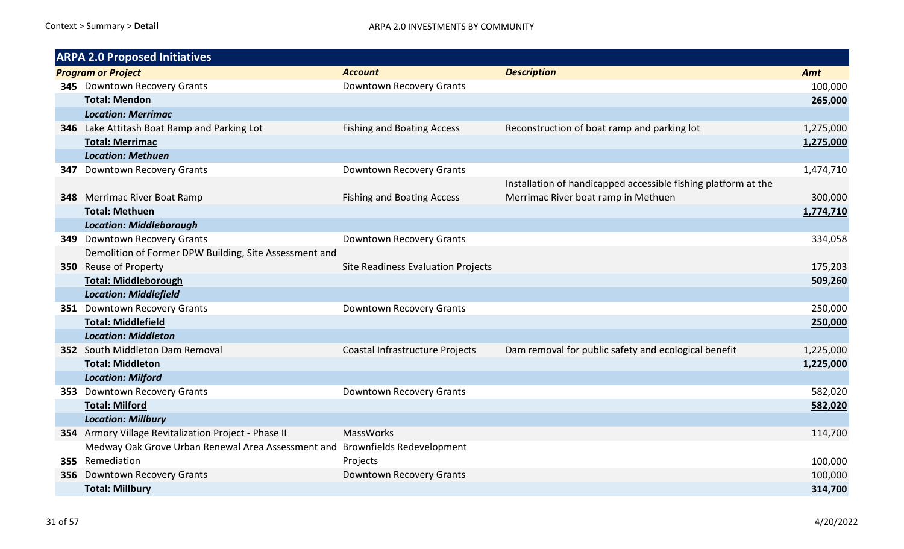| <b>ARPA 2.0 Proposed Initiatives</b> |                                                                              |                                    |                                                                |           |
|--------------------------------------|------------------------------------------------------------------------------|------------------------------------|----------------------------------------------------------------|-----------|
|                                      | <b>Program or Project</b>                                                    | <b>Account</b>                     | <b>Description</b>                                             | Amt       |
|                                      | 345 Downtown Recovery Grants                                                 | Downtown Recovery Grants           |                                                                | 100,000   |
|                                      | <b>Total: Mendon</b>                                                         |                                    |                                                                | 265,000   |
|                                      | <b>Location: Merrimac</b>                                                    |                                    |                                                                |           |
|                                      | 346 Lake Attitash Boat Ramp and Parking Lot                                  | <b>Fishing and Boating Access</b>  | Reconstruction of boat ramp and parking lot                    | 1,275,000 |
|                                      | <b>Total: Merrimac</b>                                                       |                                    |                                                                | 1,275,000 |
|                                      | <b>Location: Methuen</b>                                                     |                                    |                                                                |           |
|                                      | <b>347</b> Downtown Recovery Grants                                          | Downtown Recovery Grants           |                                                                | 1,474,710 |
|                                      |                                                                              |                                    | Installation of handicapped accessible fishing platform at the |           |
|                                      | 348 Merrimac River Boat Ramp                                                 | <b>Fishing and Boating Access</b>  | Merrimac River boat ramp in Methuen                            | 300,000   |
|                                      | <b>Total: Methuen</b>                                                        |                                    |                                                                | 1,774,710 |
|                                      | <b>Location: Middleborough</b>                                               |                                    |                                                                |           |
|                                      | 349 Downtown Recovery Grants                                                 | Downtown Recovery Grants           |                                                                | 334,058   |
|                                      | Demolition of Former DPW Building, Site Assessment and                       |                                    |                                                                |           |
|                                      | 350 Reuse of Property                                                        | Site Readiness Evaluation Projects |                                                                | 175,203   |
|                                      | <b>Total: Middleborough</b>                                                  |                                    |                                                                | 509,260   |
|                                      | <b>Location: Middlefield</b>                                                 |                                    |                                                                |           |
|                                      | 351 Downtown Recovery Grants                                                 | Downtown Recovery Grants           |                                                                | 250,000   |
|                                      | <b>Total: Middlefield</b>                                                    |                                    |                                                                | 250,000   |
|                                      | <b>Location: Middleton</b>                                                   |                                    |                                                                |           |
|                                      | 352 South Middleton Dam Removal                                              | Coastal Infrastructure Projects    | Dam removal for public safety and ecological benefit           | 1,225,000 |
|                                      | <b>Total: Middleton</b>                                                      |                                    |                                                                | 1,225,000 |
|                                      | <b>Location: Milford</b>                                                     |                                    |                                                                |           |
| 353                                  | Downtown Recovery Grants                                                     | Downtown Recovery Grants           |                                                                | 582,020   |
|                                      | <b>Total: Milford</b>                                                        |                                    |                                                                | 582,020   |
|                                      | <b>Location: Millbury</b>                                                    |                                    |                                                                |           |
|                                      | 354 Armory Village Revitalization Project - Phase II                         | <b>MassWorks</b>                   |                                                                | 114,700   |
|                                      | Medway Oak Grove Urban Renewal Area Assessment and Brownfields Redevelopment |                                    |                                                                |           |
|                                      | 355 Remediation                                                              | Projects                           |                                                                | 100,000   |
|                                      | 356 Downtown Recovery Grants                                                 | Downtown Recovery Grants           |                                                                | 100,000   |
|                                      | <b>Total: Millbury</b>                                                       |                                    |                                                                | 314,700   |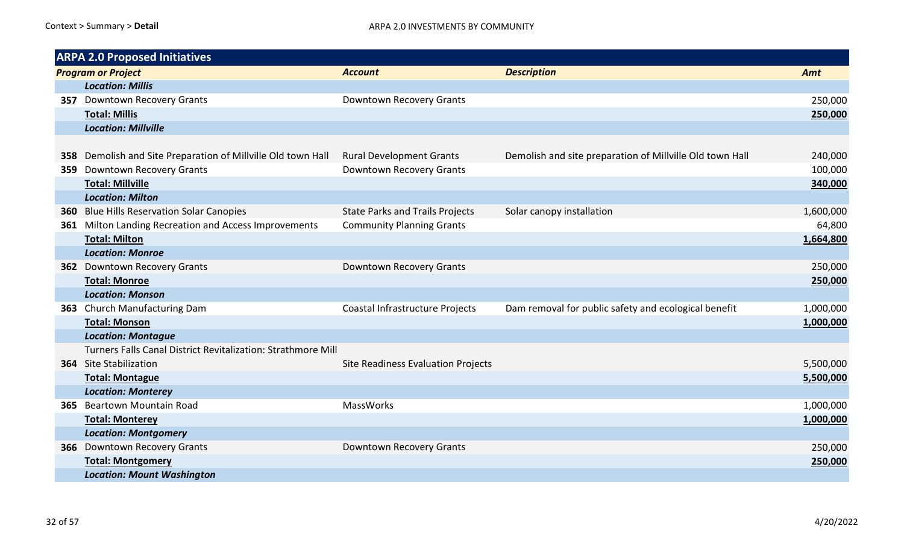|     | <b>ARPA 2.0 Proposed Initiatives</b>                         |                                        |                                                          |           |
|-----|--------------------------------------------------------------|----------------------------------------|----------------------------------------------------------|-----------|
|     | <b>Program or Project</b>                                    | <b>Account</b>                         | <b>Description</b>                                       | Amt       |
|     | <b>Location: Millis</b>                                      |                                        |                                                          |           |
|     | <b>357</b> Downtown Recovery Grants                          | Downtown Recovery Grants               |                                                          | 250,000   |
|     | <b>Total: Millis</b>                                         |                                        |                                                          | 250,000   |
|     | <b>Location: Millville</b>                                   |                                        |                                                          |           |
|     |                                                              |                                        |                                                          |           |
| 358 | Demolish and Site Preparation of Millville Old town Hall     | <b>Rural Development Grants</b>        | Demolish and site preparation of Millville Old town Hall | 240,000   |
| 359 | Downtown Recovery Grants                                     | Downtown Recovery Grants               |                                                          | 100,000   |
|     | <b>Total: Millville</b>                                      |                                        |                                                          | 340,000   |
|     | <b>Location: Milton</b>                                      |                                        |                                                          |           |
|     | <b>360</b> Blue Hills Reservation Solar Canopies             | <b>State Parks and Trails Projects</b> | Solar canopy installation                                | 1,600,000 |
| 361 | Milton Landing Recreation and Access Improvements            | <b>Community Planning Grants</b>       |                                                          | 64,800    |
|     | <b>Total: Milton</b>                                         |                                        |                                                          | 1,664,800 |
|     | <b>Location: Monroe</b>                                      |                                        |                                                          |           |
|     | <b>362</b> Downtown Recovery Grants                          | Downtown Recovery Grants               |                                                          | 250,000   |
|     | <b>Total: Monroe</b>                                         |                                        |                                                          | 250,000   |
|     | <b>Location: Monson</b>                                      |                                        |                                                          |           |
|     | 363 Church Manufacturing Dam                                 | Coastal Infrastructure Projects        | Dam removal for public safety and ecological benefit     | 1,000,000 |
|     | <b>Total: Monson</b>                                         |                                        |                                                          | 1,000,000 |
|     | <b>Location: Montague</b>                                    |                                        |                                                          |           |
|     | Turners Falls Canal District Revitalization: Strathmore Mill |                                        |                                                          |           |
|     | 364 Site Stabilization                                       | Site Readiness Evaluation Projects     |                                                          | 5,500,000 |
|     | <b>Total: Montague</b>                                       |                                        |                                                          | 5,500,000 |
|     | <b>Location: Monterey</b>                                    |                                        |                                                          |           |
|     | 365 Beartown Mountain Road                                   | <b>MassWorks</b>                       |                                                          | 1,000,000 |
|     | <b>Total: Monterey</b>                                       |                                        |                                                          | 1,000,000 |
|     | <b>Location: Montgomery</b>                                  |                                        |                                                          |           |
|     | 366 Downtown Recovery Grants                                 | Downtown Recovery Grants               |                                                          | 250,000   |
|     | <b>Total: Montgomery</b>                                     |                                        |                                                          | 250,000   |
|     | <b>Location: Mount Washington</b>                            |                                        |                                                          |           |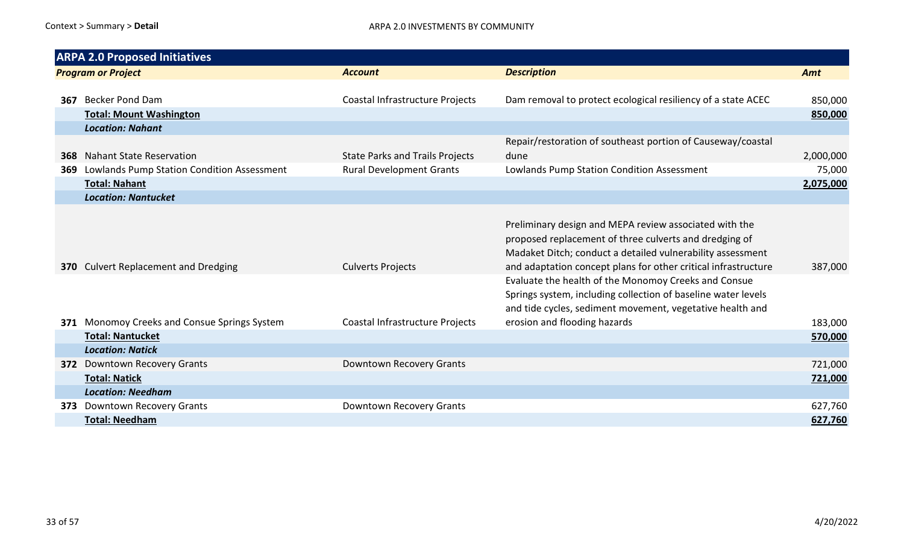|     | <b>ARPA 2.0 Proposed Initiatives</b>         |                                        |                                                                                                                                                                                    |           |
|-----|----------------------------------------------|----------------------------------------|------------------------------------------------------------------------------------------------------------------------------------------------------------------------------------|-----------|
|     | <b>Program or Project</b>                    | <b>Account</b>                         | <b>Description</b>                                                                                                                                                                 | Amt       |
|     |                                              |                                        |                                                                                                                                                                                    |           |
| 367 | <b>Becker Pond Dam</b>                       | Coastal Infrastructure Projects        | Dam removal to protect ecological resiliency of a state ACEC                                                                                                                       | 850,000   |
|     | <b>Total: Mount Washington</b>               |                                        |                                                                                                                                                                                    | 850,000   |
|     | <b>Location: Nahant</b>                      |                                        |                                                                                                                                                                                    |           |
|     |                                              |                                        | Repair/restoration of southeast portion of Causeway/coastal                                                                                                                        |           |
| 368 | <b>Nahant State Reservation</b>              | <b>State Parks and Trails Projects</b> | dune                                                                                                                                                                               | 2,000,000 |
| 369 | Lowlands Pump Station Condition Assessment   | <b>Rural Development Grants</b>        | Lowlands Pump Station Condition Assessment                                                                                                                                         | 75,000    |
|     | <b>Total: Nahant</b>                         |                                        |                                                                                                                                                                                    | 2,075,000 |
|     | <b>Location: Nantucket</b>                   |                                        |                                                                                                                                                                                    |           |
|     |                                              |                                        | Preliminary design and MEPA review associated with the<br>proposed replacement of three culverts and dredging of<br>Madaket Ditch; conduct a detailed vulnerability assessment     |           |
|     | 370 Culvert Replacement and Dredging         | <b>Culverts Projects</b>               | and adaptation concept plans for other critical infrastructure                                                                                                                     | 387,000   |
|     |                                              |                                        | Evaluate the health of the Monomoy Creeks and Consue<br>Springs system, including collection of baseline water levels<br>and tide cycles, sediment movement, vegetative health and |           |
|     | 371 Monomoy Creeks and Consue Springs System | Coastal Infrastructure Projects        | erosion and flooding hazards                                                                                                                                                       | 183,000   |
|     | <b>Total: Nantucket</b>                      |                                        |                                                                                                                                                                                    | 570,000   |
|     | <b>Location: Natick</b>                      |                                        |                                                                                                                                                                                    |           |
|     | 372 Downtown Recovery Grants                 | Downtown Recovery Grants               |                                                                                                                                                                                    | 721,000   |
|     | <b>Total: Natick</b>                         |                                        |                                                                                                                                                                                    | 721,000   |
|     | <b>Location: Needham</b>                     |                                        |                                                                                                                                                                                    |           |
| 373 | Downtown Recovery Grants                     | Downtown Recovery Grants               |                                                                                                                                                                                    | 627,760   |
|     | <b>Total: Needham</b>                        |                                        |                                                                                                                                                                                    | 627,760   |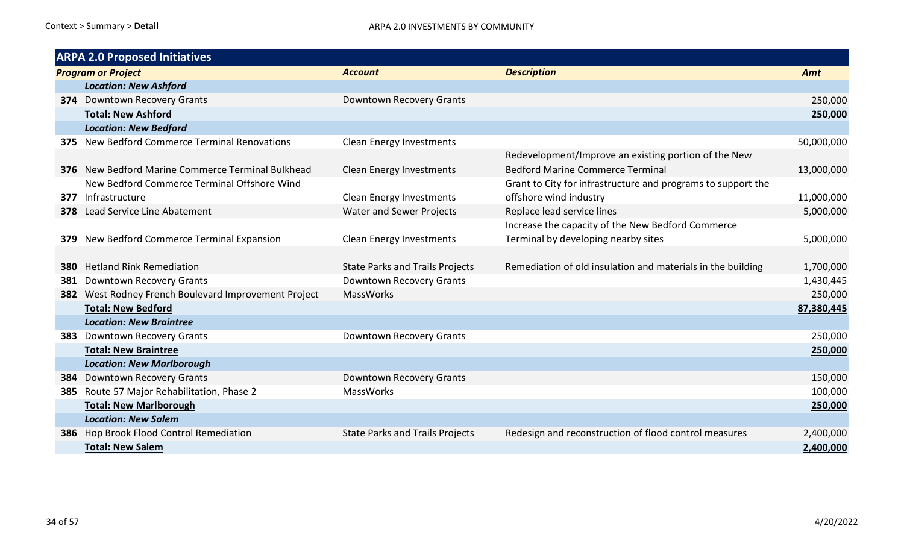|     | <b>ARPA 2.0 Proposed Initiatives</b>                     |                                        |                                                              |            |  |  |
|-----|----------------------------------------------------------|----------------------------------------|--------------------------------------------------------------|------------|--|--|
|     | <b>Program or Project</b>                                | <b>Account</b>                         | <b>Description</b>                                           | Amt        |  |  |
|     | <b>Location: New Ashford</b>                             |                                        |                                                              |            |  |  |
|     | <b>374</b> Downtown Recovery Grants                      | Downtown Recovery Grants               |                                                              | 250,000    |  |  |
|     | <b>Total: New Ashford</b>                                |                                        |                                                              | 250,000    |  |  |
|     | <b>Location: New Bedford</b>                             |                                        |                                                              |            |  |  |
|     | 375 New Bedford Commerce Terminal Renovations            | <b>Clean Energy Investments</b>        |                                                              | 50,000,000 |  |  |
|     |                                                          |                                        | Redevelopment/Improve an existing portion of the New         |            |  |  |
|     | <b>376</b> New Bedford Marine Commerce Terminal Bulkhead | <b>Clean Energy Investments</b>        | <b>Bedford Marine Commerce Terminal</b>                      | 13,000,000 |  |  |
|     | New Bedford Commerce Terminal Offshore Wind              |                                        | Grant to City for infrastructure and programs to support the |            |  |  |
|     | 377 Infrastructure                                       | <b>Clean Energy Investments</b>        | offshore wind industry                                       | 11,000,000 |  |  |
|     | 378 Lead Service Line Abatement                          | Water and Sewer Projects               | Replace lead service lines                                   | 5,000,000  |  |  |
|     |                                                          |                                        | Increase the capacity of the New Bedford Commerce            |            |  |  |
|     | 379 New Bedford Commerce Terminal Expansion              | <b>Clean Energy Investments</b>        | Terminal by developing nearby sites                          | 5,000,000  |  |  |
|     |                                                          |                                        |                                                              |            |  |  |
| 380 | <b>Hetland Rink Remediation</b>                          | <b>State Parks and Trails Projects</b> | Remediation of old insulation and materials in the building  | 1,700,000  |  |  |
| 381 | <b>Downtown Recovery Grants</b>                          | Downtown Recovery Grants               |                                                              | 1,430,445  |  |  |
|     | 382 West Rodney French Boulevard Improvement Project     | <b>MassWorks</b>                       |                                                              | 250,000    |  |  |
|     | <b>Total: New Bedford</b>                                |                                        |                                                              | 87,380,445 |  |  |
|     | <b>Location: New Braintree</b>                           |                                        |                                                              |            |  |  |
|     | 383 Downtown Recovery Grants                             | Downtown Recovery Grants               |                                                              | 250,000    |  |  |
|     | <b>Total: New Braintree</b>                              |                                        |                                                              | 250,000    |  |  |
|     | <b>Location: New Marlborough</b>                         |                                        |                                                              |            |  |  |
| 384 | <b>Downtown Recovery Grants</b>                          | Downtown Recovery Grants               |                                                              | 150,000    |  |  |
|     | 385 Route 57 Major Rehabilitation, Phase 2               | <b>MassWorks</b>                       |                                                              | 100,000    |  |  |
|     | <b>Total: New Marlborough</b>                            |                                        |                                                              | 250,000    |  |  |
|     | <b>Location: New Salem</b>                               |                                        |                                                              |            |  |  |
|     | 386 Hop Brook Flood Control Remediation                  | <b>State Parks and Trails Projects</b> | Redesign and reconstruction of flood control measures        | 2,400,000  |  |  |
|     | <b>Total: New Salem</b>                                  |                                        |                                                              | 2,400,000  |  |  |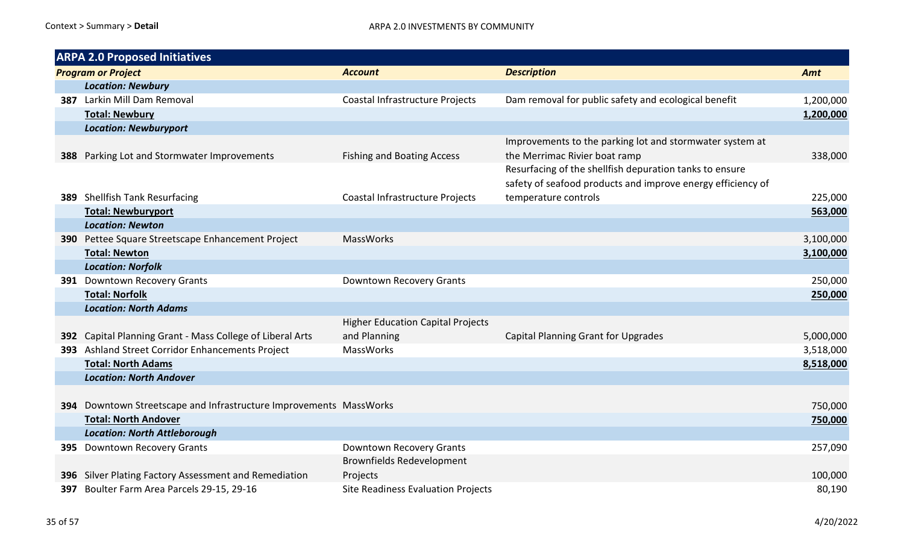| <b>ARPA 2.0 Proposed Initiatives</b>                               |                                                          |                                                                                                                        |           |
|--------------------------------------------------------------------|----------------------------------------------------------|------------------------------------------------------------------------------------------------------------------------|-----------|
| <b>Program or Project</b>                                          | <b>Account</b>                                           | <b>Description</b>                                                                                                     | Amt       |
| <b>Location: Newbury</b>                                           |                                                          |                                                                                                                        |           |
| 387 Larkin Mill Dam Removal                                        | Coastal Infrastructure Projects                          | Dam removal for public safety and ecological benefit                                                                   | 1,200,000 |
| <b>Total: Newbury</b>                                              |                                                          |                                                                                                                        | 1,200,000 |
| <b>Location: Newburyport</b>                                       |                                                          |                                                                                                                        |           |
| 388 Parking Lot and Stormwater Improvements                        | <b>Fishing and Boating Access</b>                        | Improvements to the parking lot and stormwater system at<br>the Merrimac Rivier boat ramp                              | 338,000   |
|                                                                    |                                                          | Resurfacing of the shellfish depuration tanks to ensure<br>safety of seafood products and improve energy efficiency of |           |
| 389 Shellfish Tank Resurfacing                                     | Coastal Infrastructure Projects                          | temperature controls                                                                                                   | 225,000   |
| <b>Total: Newburyport</b>                                          |                                                          |                                                                                                                        | 563,000   |
| <b>Location: Newton</b>                                            |                                                          |                                                                                                                        |           |
| 390 Pettee Square Streetscape Enhancement Project                  | <b>MassWorks</b>                                         |                                                                                                                        | 3,100,000 |
| <b>Total: Newton</b>                                               |                                                          |                                                                                                                        | 3,100,000 |
| <b>Location: Norfolk</b>                                           |                                                          |                                                                                                                        |           |
| 391 Downtown Recovery Grants                                       | Downtown Recovery Grants                                 |                                                                                                                        | 250,000   |
| <b>Total: Norfolk</b>                                              |                                                          |                                                                                                                        | 250,000   |
| <b>Location: North Adams</b>                                       |                                                          |                                                                                                                        |           |
| 392 Capital Planning Grant - Mass College of Liberal Arts          | <b>Higher Education Capital Projects</b><br>and Planning | Capital Planning Grant for Upgrades                                                                                    | 5,000,000 |
| 393 Ashland Street Corridor Enhancements Project                   | MassWorks                                                |                                                                                                                        | 3,518,000 |
| <b>Total: North Adams</b>                                          |                                                          |                                                                                                                        | 8,518,000 |
| <b>Location: North Andover</b>                                     |                                                          |                                                                                                                        |           |
| 394 Downtown Streetscape and Infrastructure Improvements MassWorks |                                                          |                                                                                                                        | 750,000   |
| <b>Total: North Andover</b>                                        |                                                          |                                                                                                                        | 750,000   |
| <b>Location: North Attleborough</b>                                |                                                          |                                                                                                                        |           |
| 395 Downtown Recovery Grants                                       | Downtown Recovery Grants                                 |                                                                                                                        | 257,090   |
|                                                                    | <b>Brownfields Redevelopment</b>                         |                                                                                                                        |           |
| 396 Silver Plating Factory Assessment and Remediation              | Projects                                                 |                                                                                                                        | 100,000   |
| 397 Boulter Farm Area Parcels 29-15, 29-16                         | Site Readiness Evaluation Projects                       |                                                                                                                        | 80,190    |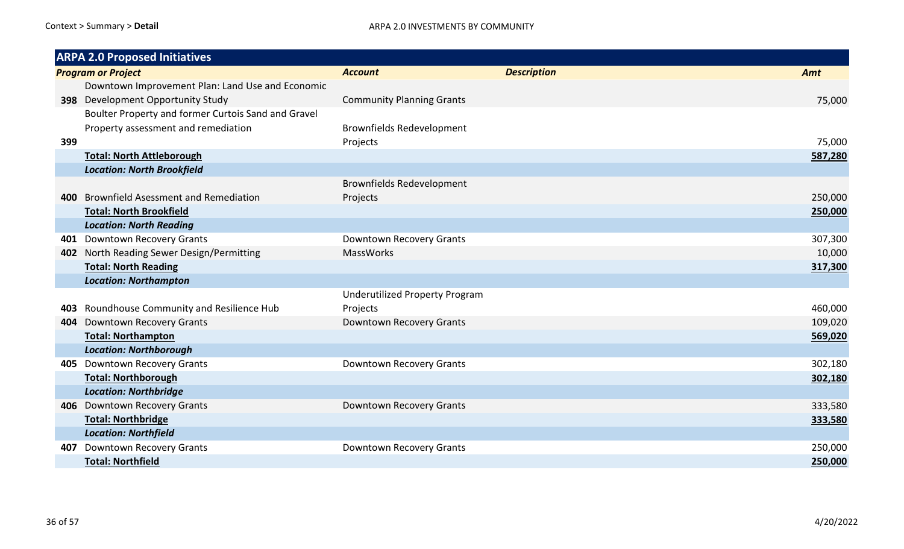|     | <b>ARPA 2.0 Proposed Initiatives</b>                |                                       |                    |         |
|-----|-----------------------------------------------------|---------------------------------------|--------------------|---------|
|     | <b>Program or Project</b>                           | <b>Account</b>                        | <b>Description</b> | Amt     |
|     | Downtown Improvement Plan: Land Use and Economic    |                                       |                    |         |
|     | 398 Development Opportunity Study                   | <b>Community Planning Grants</b>      |                    | 75,000  |
|     | Boulter Property and former Curtois Sand and Gravel |                                       |                    |         |
|     | Property assessment and remediation                 | <b>Brownfields Redevelopment</b>      |                    |         |
| 399 |                                                     | Projects                              |                    | 75,000  |
|     | <b>Total: North Attleborough</b>                    |                                       |                    | 587,280 |
|     | <b>Location: North Brookfield</b>                   |                                       |                    |         |
|     |                                                     | <b>Brownfields Redevelopment</b>      |                    |         |
| 400 | <b>Brownfield Asessment and Remediation</b>         | Projects                              |                    | 250,000 |
|     | <b>Total: North Brookfield</b>                      |                                       |                    | 250,000 |
|     | <b>Location: North Reading</b>                      |                                       |                    |         |
|     | 401 Downtown Recovery Grants                        | Downtown Recovery Grants              |                    | 307,300 |
| 402 | North Reading Sewer Design/Permitting               | <b>MassWorks</b>                      |                    | 10,000  |
|     | <b>Total: North Reading</b>                         |                                       |                    | 317,300 |
|     | <b>Location: Northampton</b>                        |                                       |                    |         |
|     |                                                     | <b>Underutilized Property Program</b> |                    |         |
| 403 | Roundhouse Community and Resilience Hub             | Projects                              |                    | 460,000 |
| 404 | <b>Downtown Recovery Grants</b>                     | Downtown Recovery Grants              |                    | 109,020 |
|     | <b>Total: Northampton</b>                           |                                       |                    | 569,020 |
|     | <b>Location: Northborough</b>                       |                                       |                    |         |
|     | 405 Downtown Recovery Grants                        | Downtown Recovery Grants              |                    | 302,180 |
|     | <b>Total: Northborough</b>                          |                                       |                    | 302,180 |
|     | <b>Location: Northbridge</b>                        |                                       |                    |         |
|     | 406 Downtown Recovery Grants                        | Downtown Recovery Grants              |                    | 333,580 |
|     | <b>Total: Northbridge</b>                           |                                       |                    | 333,580 |
|     | <b>Location: Northfield</b>                         |                                       |                    |         |
| 407 | <b>Downtown Recovery Grants</b>                     | Downtown Recovery Grants              |                    | 250,000 |
|     | <b>Total: Northfield</b>                            |                                       |                    | 250,000 |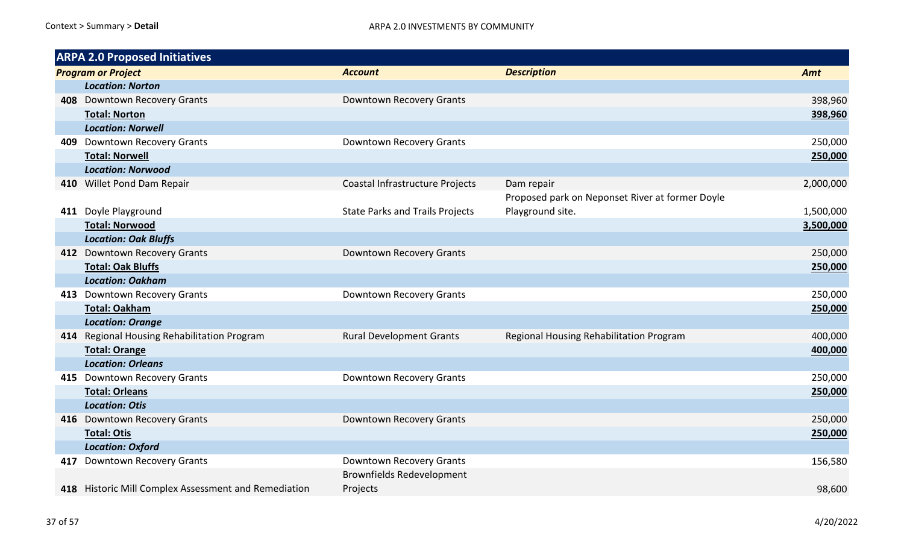| <b>ARPA 2.0 Proposed Initiatives</b>                 |                                        |                                                 |           |  |
|------------------------------------------------------|----------------------------------------|-------------------------------------------------|-----------|--|
| <b>Program or Project</b>                            | <b>Account</b>                         | <b>Description</b>                              | Amt       |  |
| <b>Location: Norton</b>                              |                                        |                                                 |           |  |
| 408 Downtown Recovery Grants                         | Downtown Recovery Grants               |                                                 | 398,960   |  |
| <b>Total: Norton</b>                                 |                                        |                                                 | 398,960   |  |
| <b>Location: Norwell</b>                             |                                        |                                                 |           |  |
| 409 Downtown Recovery Grants                         | Downtown Recovery Grants               |                                                 | 250,000   |  |
| <b>Total: Norwell</b>                                |                                        |                                                 | 250,000   |  |
| <b>Location: Norwood</b>                             |                                        |                                                 |           |  |
| 410 Willet Pond Dam Repair                           | Coastal Infrastructure Projects        | Dam repair                                      | 2,000,000 |  |
|                                                      |                                        | Proposed park on Neponset River at former Doyle |           |  |
| 411 Doyle Playground                                 | <b>State Parks and Trails Projects</b> | Playground site.                                | 1,500,000 |  |
| <b>Total: Norwood</b>                                |                                        |                                                 | 3,500,000 |  |
| <b>Location: Oak Bluffs</b>                          |                                        |                                                 |           |  |
| 412 Downtown Recovery Grants                         | Downtown Recovery Grants               |                                                 | 250,000   |  |
| <b>Total: Oak Bluffs</b>                             |                                        |                                                 | 250,000   |  |
| <b>Location: Oakham</b>                              |                                        |                                                 |           |  |
| 413 Downtown Recovery Grants                         | Downtown Recovery Grants               |                                                 | 250,000   |  |
| <b>Total: Oakham</b>                                 |                                        |                                                 | 250,000   |  |
| <b>Location: Orange</b>                              |                                        |                                                 |           |  |
| 414 Regional Housing Rehabilitation Program          | <b>Rural Development Grants</b>        | Regional Housing Rehabilitation Program         | 400,000   |  |
| <b>Total: Orange</b>                                 |                                        |                                                 | 400,000   |  |
| <b>Location: Orleans</b>                             |                                        |                                                 |           |  |
| 415 Downtown Recovery Grants                         | Downtown Recovery Grants               |                                                 | 250,000   |  |
| <b>Total: Orleans</b>                                |                                        |                                                 | 250,000   |  |
| <b>Location: Otis</b>                                |                                        |                                                 |           |  |
| 416 Downtown Recovery Grants                         | Downtown Recovery Grants               |                                                 | 250,000   |  |
| <b>Total: Otis</b>                                   |                                        |                                                 | 250,000   |  |
| <b>Location: Oxford</b>                              |                                        |                                                 |           |  |
| 417 Downtown Recovery Grants                         | Downtown Recovery Grants               |                                                 | 156,580   |  |
|                                                      | <b>Brownfields Redevelopment</b>       |                                                 |           |  |
| 418 Historic Mill Complex Assessment and Remediation | Projects                               |                                                 | 98,600    |  |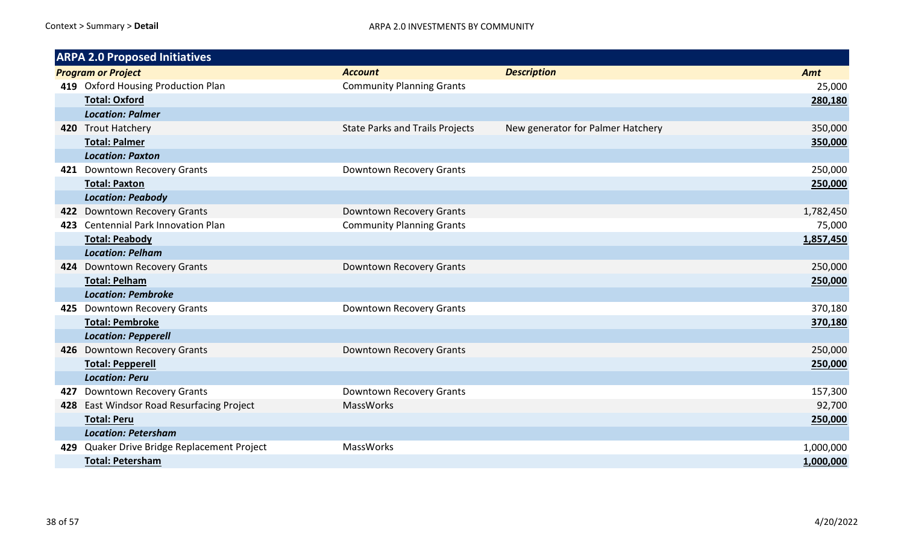|     | <b>ARPA 2.0 Proposed Initiatives</b>        |                                        |                                   |           |  |
|-----|---------------------------------------------|----------------------------------------|-----------------------------------|-----------|--|
|     | <b>Program or Project</b>                   | <b>Account</b>                         | <b>Description</b>                | Amt       |  |
|     | 419 Oxford Housing Production Plan          | <b>Community Planning Grants</b>       |                                   | 25,000    |  |
|     | <b>Total: Oxford</b>                        |                                        |                                   | 280,180   |  |
|     | <b>Location: Palmer</b>                     |                                        |                                   |           |  |
|     | 420 Trout Hatchery                          | <b>State Parks and Trails Projects</b> | New generator for Palmer Hatchery | 350,000   |  |
|     | <b>Total: Palmer</b>                        |                                        |                                   | 350,000   |  |
|     | <b>Location: Paxton</b>                     |                                        |                                   |           |  |
|     | 421 Downtown Recovery Grants                | Downtown Recovery Grants               |                                   | 250,000   |  |
|     | <b>Total: Paxton</b>                        |                                        |                                   | 250,000   |  |
|     | <b>Location: Peabody</b>                    |                                        |                                   |           |  |
|     | 422 Downtown Recovery Grants                | Downtown Recovery Grants               |                                   | 1,782,450 |  |
|     | 423 Centennial Park Innovation Plan         | <b>Community Planning Grants</b>       |                                   | 75,000    |  |
|     | Total: Peabody                              |                                        |                                   | 1,857,450 |  |
|     | <b>Location: Pelham</b>                     |                                        |                                   |           |  |
|     | 424 Downtown Recovery Grants                | Downtown Recovery Grants               |                                   | 250,000   |  |
|     | <b>Total: Pelham</b>                        |                                        |                                   | 250,000   |  |
|     | <b>Location: Pembroke</b>                   |                                        |                                   |           |  |
|     | 425 Downtown Recovery Grants                | Downtown Recovery Grants               |                                   | 370,180   |  |
|     | <b>Total: Pembroke</b>                      |                                        |                                   | 370,180   |  |
|     | <b>Location: Pepperell</b>                  |                                        |                                   |           |  |
|     | 426 Downtown Recovery Grants                | <b>Downtown Recovery Grants</b>        |                                   | 250,000   |  |
|     | <b>Total: Pepperell</b>                     |                                        |                                   | 250,000   |  |
|     | <b>Location: Peru</b>                       |                                        |                                   |           |  |
| 427 | Downtown Recovery Grants                    | Downtown Recovery Grants               |                                   | 157,300   |  |
| 428 | East Windsor Road Resurfacing Project       | MassWorks                              |                                   | 92,700    |  |
|     | <b>Total: Peru</b>                          |                                        |                                   | 250,000   |  |
|     | <b>Location: Petersham</b>                  |                                        |                                   |           |  |
|     | 429 Quaker Drive Bridge Replacement Project | MassWorks                              |                                   | 1,000,000 |  |
|     | <b>Total: Petersham</b>                     |                                        |                                   | 1,000,000 |  |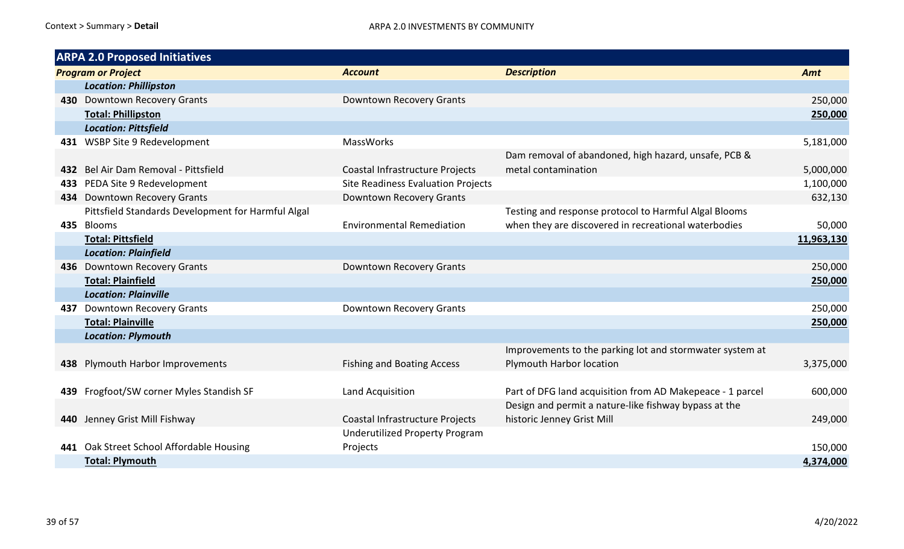|     | <b>ARPA 2.0 Proposed Initiatives</b>               |                                           |                                                           |            |
|-----|----------------------------------------------------|-------------------------------------------|-----------------------------------------------------------|------------|
|     | <b>Program or Project</b>                          | <b>Account</b>                            | <b>Description</b>                                        | Amt        |
|     | <b>Location: Phillipston</b>                       |                                           |                                                           |            |
|     | 430 Downtown Recovery Grants                       | Downtown Recovery Grants                  |                                                           | 250,000    |
|     | <b>Total: Phillipston</b>                          |                                           |                                                           | 250,000    |
|     | <b>Location: Pittsfield</b>                        |                                           |                                                           |            |
|     | 431 WSBP Site 9 Redevelopment                      | MassWorks                                 |                                                           | 5,181,000  |
|     |                                                    |                                           | Dam removal of abandoned, high hazard, unsafe, PCB &      |            |
|     | 432 Bel Air Dam Removal - Pittsfield               | Coastal Infrastructure Projects           | metal contamination                                       | 5,000,000  |
| 433 | PEDA Site 9 Redevelopment                          | <b>Site Readiness Evaluation Projects</b> |                                                           | 1,100,000  |
|     | 434 Downtown Recovery Grants                       | Downtown Recovery Grants                  |                                                           | 632,130    |
|     | Pittsfield Standards Development for Harmful Algal |                                           | Testing and response protocol to Harmful Algal Blooms     |            |
|     | 435 Blooms                                         | <b>Environmental Remediation</b>          | when they are discovered in recreational waterbodies      | 50,000     |
|     | <b>Total: Pittsfield</b>                           |                                           |                                                           | 11,963,130 |
|     | <b>Location: Plainfield</b>                        |                                           |                                                           |            |
|     | 436 Downtown Recovery Grants                       | Downtown Recovery Grants                  |                                                           | 250,000    |
|     | <b>Total: Plainfield</b>                           |                                           |                                                           | 250,000    |
|     | <b>Location: Plainville</b>                        |                                           |                                                           |            |
| 437 | <b>Downtown Recovery Grants</b>                    | Downtown Recovery Grants                  |                                                           | 250,000    |
|     | <b>Total: Plainville</b>                           |                                           |                                                           | 250,000    |
|     | <b>Location: Plymouth</b>                          |                                           |                                                           |            |
|     |                                                    |                                           | Improvements to the parking lot and stormwater system at  |            |
|     | 438 Plymouth Harbor Improvements                   | <b>Fishing and Boating Access</b>         | Plymouth Harbor location                                  | 3,375,000  |
|     |                                                    |                                           |                                                           |            |
|     | 439 Frogfoot/SW corner Myles Standish SF           | Land Acquisition                          | Part of DFG land acquisition from AD Makepeace - 1 parcel | 600,000    |
|     |                                                    |                                           | Design and permit a nature-like fishway bypass at the     |            |
|     | 440 Jenney Grist Mill Fishway                      | Coastal Infrastructure Projects           | historic Jenney Grist Mill                                | 249,000    |
|     |                                                    | <b>Underutilized Property Program</b>     |                                                           |            |
|     | 441 Oak Street School Affordable Housing           | Projects                                  |                                                           | 150,000    |
|     | <b>Total: Plymouth</b>                             |                                           |                                                           | 4,374,000  |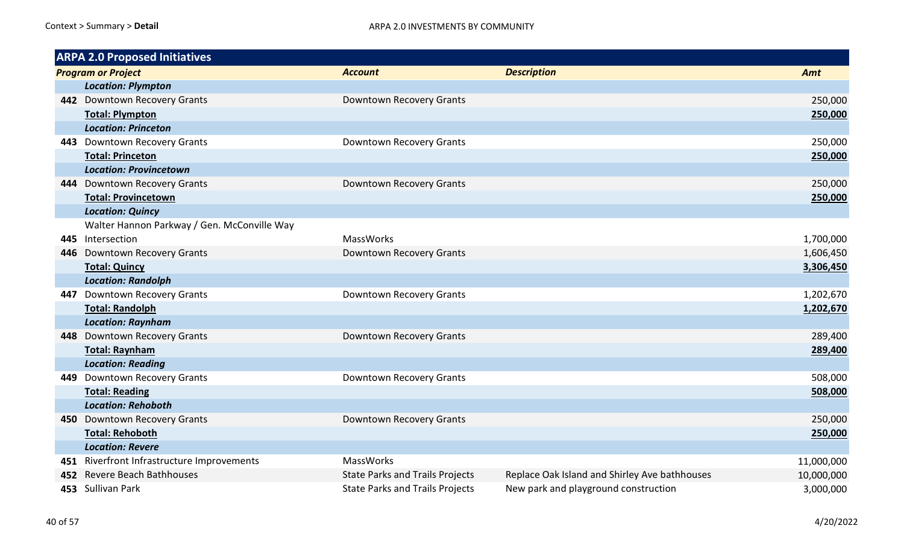|     | <b>ARPA 2.0 Proposed Initiatives</b>        |                                        |                                               |            |
|-----|---------------------------------------------|----------------------------------------|-----------------------------------------------|------------|
|     | <b>Program or Project</b>                   | <b>Account</b>                         | <b>Description</b>                            | Amt        |
|     | <b>Location: Plympton</b>                   |                                        |                                               |            |
|     | 442 Downtown Recovery Grants                | Downtown Recovery Grants               |                                               | 250,000    |
|     | <b>Total: Plympton</b>                      |                                        |                                               | 250,000    |
|     | <b>Location: Princeton</b>                  |                                        |                                               |            |
|     | 443 Downtown Recovery Grants                | Downtown Recovery Grants               |                                               | 250,000    |
|     | <b>Total: Princeton</b>                     |                                        |                                               | 250,000    |
|     | <b>Location: Provincetown</b>               |                                        |                                               |            |
|     | 444 Downtown Recovery Grants                | Downtown Recovery Grants               |                                               | 250,000    |
|     | <b>Total: Provincetown</b>                  |                                        |                                               | 250,000    |
|     | <b>Location: Quincy</b>                     |                                        |                                               |            |
|     | Walter Hannon Parkway / Gen. McConville Way |                                        |                                               |            |
|     | 445 Intersection                            | <b>MassWorks</b>                       |                                               | 1,700,000  |
|     | 446 Downtown Recovery Grants                | Downtown Recovery Grants               |                                               | 1,606,450  |
|     | <b>Total: Quincy</b>                        |                                        |                                               | 3,306,450  |
|     | <b>Location: Randolph</b>                   |                                        |                                               |            |
| 447 | Downtown Recovery Grants                    | Downtown Recovery Grants               |                                               | 1,202,670  |
|     | <b>Total: Randolph</b>                      |                                        |                                               | 1,202,670  |
|     | <b>Location: Raynham</b>                    |                                        |                                               |            |
|     | 448 Downtown Recovery Grants                | Downtown Recovery Grants               |                                               | 289,400    |
|     | <b>Total: Raynham</b>                       |                                        |                                               | 289,400    |
|     | <b>Location: Reading</b>                    |                                        |                                               |            |
| 449 | <b>Downtown Recovery Grants</b>             | Downtown Recovery Grants               |                                               | 508,000    |
|     | <b>Total: Reading</b>                       |                                        |                                               | 508,000    |
|     | <b>Location: Rehoboth</b>                   |                                        |                                               |            |
|     | 450 Downtown Recovery Grants                | Downtown Recovery Grants               |                                               | 250,000    |
|     | <b>Total: Rehoboth</b>                      |                                        |                                               | 250,000    |
|     | <b>Location: Revere</b>                     |                                        |                                               |            |
|     | 451 Riverfront Infrastructure Improvements  | MassWorks                              |                                               | 11,000,000 |
|     | 452 Revere Beach Bathhouses                 | <b>State Parks and Trails Projects</b> | Replace Oak Island and Shirley Ave bathhouses | 10,000,000 |
|     | 453 Sullivan Park                           | <b>State Parks and Trails Projects</b> | New park and playground construction          | 3,000,000  |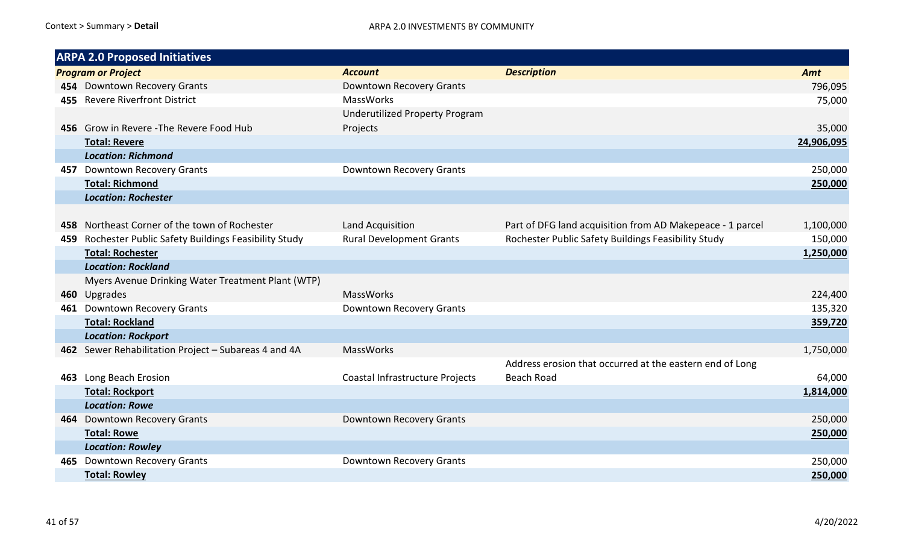| <b>ARPA 2.0 Proposed Initiatives</b>                    |                                       |                                                           |            |
|---------------------------------------------------------|---------------------------------------|-----------------------------------------------------------|------------|
| <b>Program or Project</b>                               | <b>Account</b>                        | <b>Description</b>                                        | Amt        |
| 454 Downtown Recovery Grants                            | Downtown Recovery Grants              |                                                           | 796,095    |
| 455 Revere Riverfront District                          | MassWorks                             |                                                           | 75,000     |
|                                                         | <b>Underutilized Property Program</b> |                                                           |            |
| 456 Grow in Revere - The Revere Food Hub                | Projects                              |                                                           | 35,000     |
| <b>Total: Revere</b>                                    |                                       |                                                           | 24,906,095 |
| <b>Location: Richmond</b>                               |                                       |                                                           |            |
| 457 Downtown Recovery Grants                            | Downtown Recovery Grants              |                                                           | 250,000    |
| <b>Total: Richmond</b>                                  |                                       |                                                           | 250,000    |
| <b>Location: Rochester</b>                              |                                       |                                                           |            |
|                                                         |                                       |                                                           |            |
| 458 Northeast Corner of the town of Rochester           | Land Acquisition                      | Part of DFG land acquisition from AD Makepeace - 1 parcel | 1,100,000  |
| 459 Rochester Public Safety Buildings Feasibility Study | <b>Rural Development Grants</b>       | Rochester Public Safety Buildings Feasibility Study       | 150,000    |
| <b>Total: Rochester</b>                                 |                                       |                                                           | 1,250,000  |
| <b>Location: Rockland</b>                               |                                       |                                                           |            |
| Myers Avenue Drinking Water Treatment Plant (WTP)       |                                       |                                                           |            |
| 460 Upgrades                                            | MassWorks                             |                                                           | 224,400    |
| 461 Downtown Recovery Grants                            | Downtown Recovery Grants              |                                                           | 135,320    |
| <b>Total: Rockland</b>                                  |                                       |                                                           | 359,720    |
| <b>Location: Rockport</b>                               |                                       |                                                           |            |
| 462 Sewer Rehabilitation Project - Subareas 4 and 4A    | MassWorks                             |                                                           | 1,750,000  |
|                                                         |                                       | Address erosion that occurred at the eastern end of Long  |            |
| 463 Long Beach Erosion                                  | Coastal Infrastructure Projects       | <b>Beach Road</b>                                         | 64,000     |
| <b>Total: Rockport</b>                                  |                                       |                                                           | 1,814,000  |
| <b>Location: Rowe</b>                                   |                                       |                                                           |            |
| 464 Downtown Recovery Grants                            | Downtown Recovery Grants              |                                                           | 250,000    |
| <b>Total: Rowe</b>                                      |                                       |                                                           | 250,000    |
| <b>Location: Rowley</b>                                 |                                       |                                                           |            |
| 465 Downtown Recovery Grants                            | Downtown Recovery Grants              |                                                           | 250,000    |
| <b>Total: Rowley</b>                                    |                                       |                                                           | 250,000    |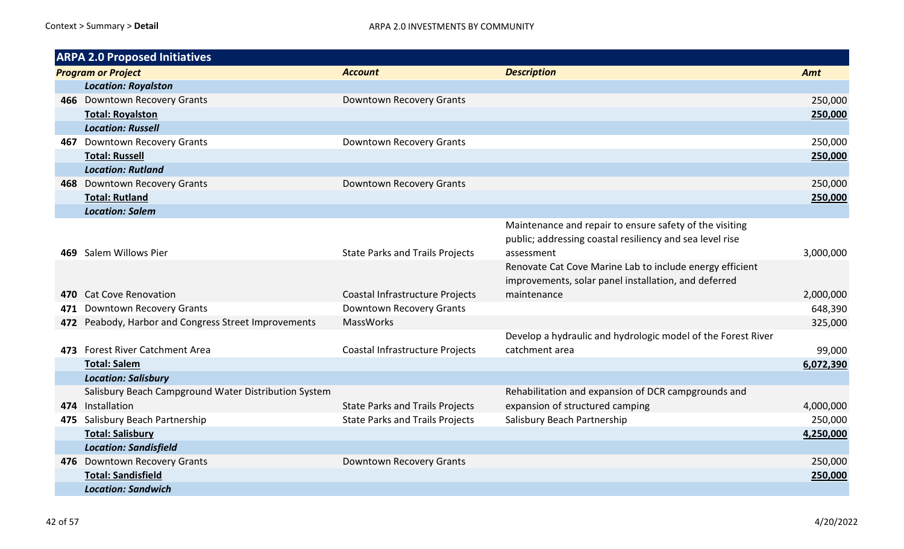|     | <b>ARPA 2.0 Proposed Initiatives</b>                 |                                        |                                                              |           |
|-----|------------------------------------------------------|----------------------------------------|--------------------------------------------------------------|-----------|
|     | <b>Program or Project</b>                            | <b>Account</b>                         | <b>Description</b>                                           | Amt       |
|     | <b>Location: Royalston</b>                           |                                        |                                                              |           |
|     | 466 Downtown Recovery Grants                         | Downtown Recovery Grants               |                                                              | 250,000   |
|     | <b>Total: Royalston</b>                              |                                        |                                                              | 250,000   |
|     | <b>Location: Russell</b>                             |                                        |                                                              |           |
| 467 | <b>Downtown Recovery Grants</b>                      | Downtown Recovery Grants               |                                                              | 250,000   |
|     | <b>Total: Russell</b>                                |                                        |                                                              | 250,000   |
|     | <b>Location: Rutland</b>                             |                                        |                                                              |           |
|     | 468 Downtown Recovery Grants                         | Downtown Recovery Grants               |                                                              | 250,000   |
|     | <b>Total: Rutland</b>                                |                                        |                                                              | 250,000   |
|     | <b>Location: Salem</b>                               |                                        |                                                              |           |
|     |                                                      |                                        | Maintenance and repair to ensure safety of the visiting      |           |
|     |                                                      |                                        | public; addressing coastal resiliency and sea level rise     |           |
| 469 | Salem Willows Pier                                   | <b>State Parks and Trails Projects</b> | assessment                                                   | 3,000,000 |
|     |                                                      |                                        | Renovate Cat Cove Marine Lab to include energy efficient     |           |
|     |                                                      |                                        | improvements, solar panel installation, and deferred         |           |
|     | 470 Cat Cove Renovation                              | Coastal Infrastructure Projects        | maintenance                                                  | 2,000,000 |
| 471 | Downtown Recovery Grants                             | Downtown Recovery Grants               |                                                              | 648,390   |
| 472 | Peabody, Harbor and Congress Street Improvements     | <b>MassWorks</b>                       |                                                              | 325,000   |
|     |                                                      |                                        | Develop a hydraulic and hydrologic model of the Forest River |           |
|     | 473 Forest River Catchment Area                      | Coastal Infrastructure Projects        | catchment area                                               | 99,000    |
|     | <b>Total: Salem</b>                                  |                                        |                                                              | 6,072,390 |
|     | <b>Location: Salisbury</b>                           |                                        |                                                              |           |
|     | Salisbury Beach Campground Water Distribution System |                                        | Rehabilitation and expansion of DCR campgrounds and          |           |
|     | 474 Installation                                     | <b>State Parks and Trails Projects</b> | expansion of structured camping                              | 4,000,000 |
|     | 475 Salisbury Beach Partnership                      | <b>State Parks and Trails Projects</b> | Salisbury Beach Partnership                                  | 250,000   |
|     | <b>Total: Salisbury</b>                              |                                        |                                                              | 4,250,000 |
|     | <b>Location: Sandisfield</b>                         |                                        |                                                              |           |
|     | 476 Downtown Recovery Grants                         | Downtown Recovery Grants               |                                                              | 250,000   |
|     | <b>Total: Sandisfield</b>                            |                                        |                                                              | 250,000   |
|     | <b>Location: Sandwich</b>                            |                                        |                                                              |           |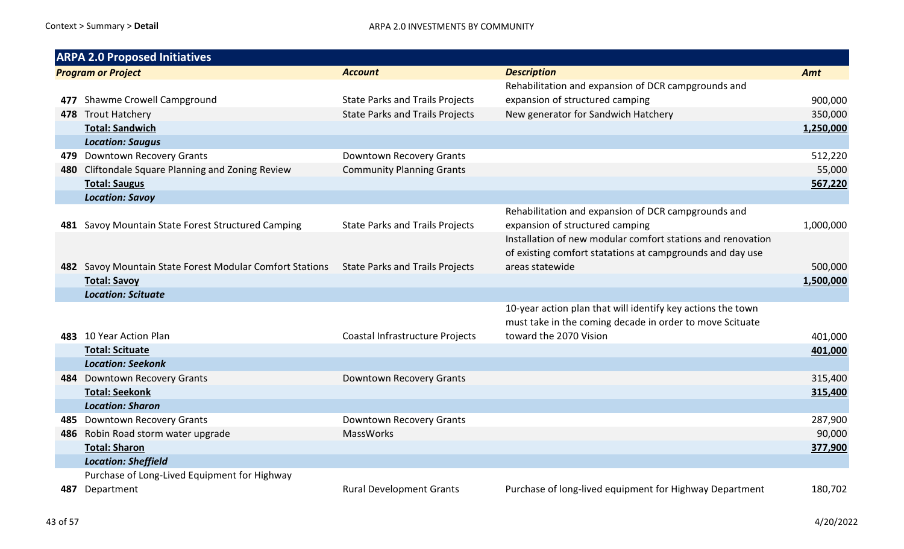|                           | <b>ARPA 2.0 Proposed Initiatives</b>                     |                                        |                                                             |           |
|---------------------------|----------------------------------------------------------|----------------------------------------|-------------------------------------------------------------|-----------|
| <b>Program or Project</b> |                                                          | <b>Account</b>                         | <b>Description</b>                                          | Amt       |
|                           |                                                          |                                        | Rehabilitation and expansion of DCR campgrounds and         |           |
| 477                       | Shawme Crowell Campground                                | <b>State Parks and Trails Projects</b> | expansion of structured camping                             | 900,000   |
|                           | 478 Trout Hatchery                                       | <b>State Parks and Trails Projects</b> | New generator for Sandwich Hatchery                         | 350,000   |
|                           | <b>Total: Sandwich</b>                                   |                                        |                                                             | 1,250,000 |
|                           | <b>Location: Saugus</b>                                  |                                        |                                                             |           |
|                           | 479 Downtown Recovery Grants                             | Downtown Recovery Grants               |                                                             | 512,220   |
|                           | 480 Cliftondale Square Planning and Zoning Review        | <b>Community Planning Grants</b>       |                                                             | 55,000    |
|                           | <b>Total: Saugus</b>                                     |                                        |                                                             | 567,220   |
|                           | <b>Location: Savoy</b>                                   |                                        |                                                             |           |
|                           |                                                          |                                        | Rehabilitation and expansion of DCR campgrounds and         |           |
|                           | 481 Savoy Mountain State Forest Structured Camping       | <b>State Parks and Trails Projects</b> | expansion of structured camping                             | 1,000,000 |
|                           |                                                          |                                        | Installation of new modular comfort stations and renovation |           |
|                           |                                                          |                                        | of existing comfort statations at campgrounds and day use   |           |
|                           | 482 Savoy Mountain State Forest Modular Comfort Stations | <b>State Parks and Trails Projects</b> | areas statewide                                             | 500,000   |
|                           | <b>Total: Savoy</b>                                      |                                        |                                                             | 1,500,000 |
|                           | <b>Location: Scituate</b>                                |                                        |                                                             |           |
|                           |                                                          |                                        | 10-year action plan that will identify key actions the town |           |
|                           |                                                          |                                        | must take in the coming decade in order to move Scituate    |           |
|                           | 483 10 Year Action Plan                                  | Coastal Infrastructure Projects        | toward the 2070 Vision                                      | 401,000   |
|                           | <b>Total: Scituate</b>                                   |                                        |                                                             | 401,000   |
|                           | <b>Location: Seekonk</b>                                 |                                        |                                                             |           |
|                           | 484 Downtown Recovery Grants                             | Downtown Recovery Grants               |                                                             | 315,400   |
|                           | <b>Total: Seekonk</b>                                    |                                        |                                                             | 315,400   |
|                           | <b>Location: Sharon</b>                                  |                                        |                                                             |           |
| 485.                      | <b>Downtown Recovery Grants</b>                          | Downtown Recovery Grants               |                                                             | 287,900   |
|                           | 486 Robin Road storm water upgrade                       | MassWorks                              |                                                             | 90,000    |
|                           | <b>Total: Sharon</b>                                     |                                        |                                                             | 377,900   |
|                           | <b>Location: Sheffield</b>                               |                                        |                                                             |           |
|                           | Purchase of Long-Lived Equipment for Highway             |                                        |                                                             |           |
| 487.                      | Department                                               | <b>Rural Development Grants</b>        | Purchase of long-lived equipment for Highway Department     | 180,702   |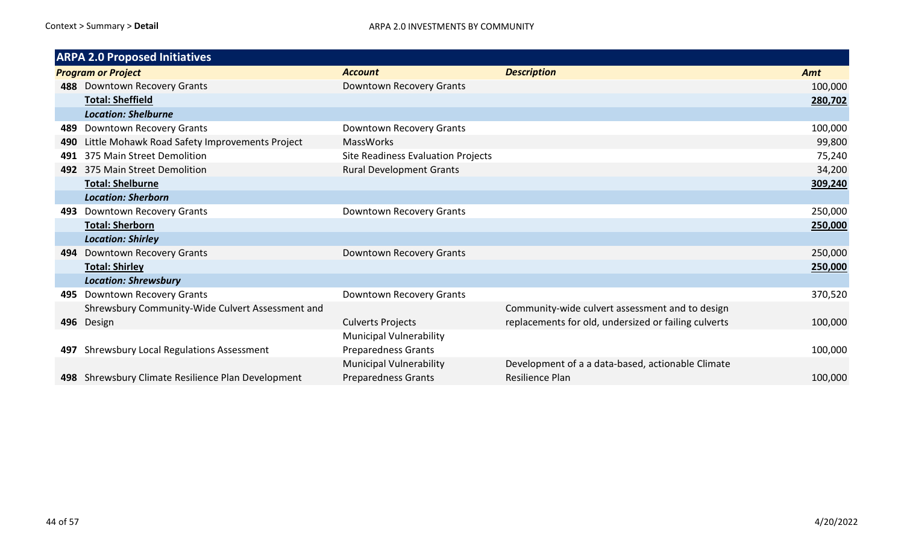|                           | <b>ARPA 2.0 Proposed Initiatives</b>               |                                    |                                                      |         |
|---------------------------|----------------------------------------------------|------------------------------------|------------------------------------------------------|---------|
| <b>Program or Project</b> |                                                    | <b>Account</b>                     | <b>Description</b>                                   | Amt     |
|                           | 488 Downtown Recovery Grants                       | Downtown Recovery Grants           |                                                      | 100,000 |
|                           | <b>Total: Sheffield</b>                            |                                    |                                                      | 280,702 |
|                           | <b>Location: Shelburne</b>                         |                                    |                                                      |         |
| 489                       | Downtown Recovery Grants                           | Downtown Recovery Grants           |                                                      | 100,000 |
| 490                       | Little Mohawk Road Safety Improvements Project     | <b>MassWorks</b>                   |                                                      | 99,800  |
| 491                       | 375 Main Street Demolition                         | Site Readiness Evaluation Projects |                                                      | 75,240  |
|                           | 492 375 Main Street Demolition                     | <b>Rural Development Grants</b>    |                                                      | 34,200  |
|                           | <b>Total: Shelburne</b>                            |                                    |                                                      | 309,240 |
|                           | <b>Location: Sherborn</b>                          |                                    |                                                      |         |
| 493                       | Downtown Recovery Grants                           | Downtown Recovery Grants           |                                                      | 250,000 |
|                           | <b>Total: Sherborn</b>                             |                                    |                                                      | 250,000 |
|                           | <b>Location: Shirley</b>                           |                                    |                                                      |         |
| 494                       | <b>Downtown Recovery Grants</b>                    | Downtown Recovery Grants           |                                                      | 250,000 |
|                           | <b>Total: Shirley</b>                              |                                    |                                                      | 250,000 |
|                           | <b>Location: Shrewsbury</b>                        |                                    |                                                      |         |
| 495                       | Downtown Recovery Grants                           | Downtown Recovery Grants           |                                                      | 370,520 |
|                           | Shrewsbury Community-Wide Culvert Assessment and   |                                    | Community-wide culvert assessment and to design      |         |
|                           | 496 Design                                         | <b>Culverts Projects</b>           | replacements for old, undersized or failing culverts | 100,000 |
|                           |                                                    | <b>Municipal Vulnerability</b>     |                                                      |         |
| 497                       | Shrewsbury Local Regulations Assessment            | <b>Preparedness Grants</b>         |                                                      | 100,000 |
|                           |                                                    | <b>Municipal Vulnerability</b>     | Development of a a data-based, actionable Climate    |         |
|                           | 498 Shrewsbury Climate Resilience Plan Development | <b>Preparedness Grants</b>         | <b>Resilience Plan</b>                               | 100,000 |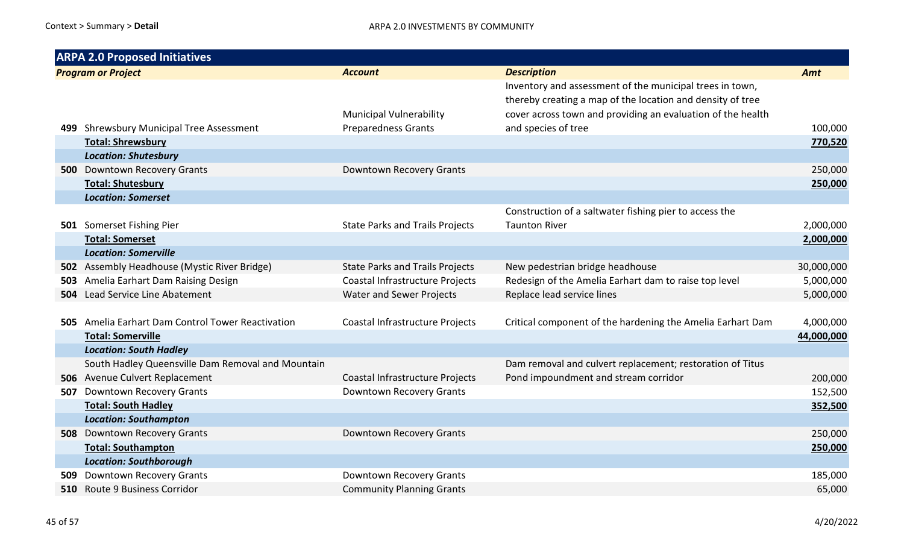|      | <b>ARPA 2.0 Proposed Initiatives</b>              |                                        |                                                                                                                                                                                       |            |
|------|---------------------------------------------------|----------------------------------------|---------------------------------------------------------------------------------------------------------------------------------------------------------------------------------------|------------|
|      | <b>Program or Project</b>                         | <b>Account</b>                         | <b>Description</b>                                                                                                                                                                    | Amt        |
|      |                                                   | <b>Municipal Vulnerability</b>         | Inventory and assessment of the municipal trees in town,<br>thereby creating a map of the location and density of tree<br>cover across town and providing an evaluation of the health |            |
|      | 499 Shrewsbury Municipal Tree Assessment          | <b>Preparedness Grants</b>             | and species of tree                                                                                                                                                                   | 100,000    |
|      | <b>Total: Shrewsbury</b>                          |                                        |                                                                                                                                                                                       | 770,520    |
|      | <b>Location: Shutesbury</b>                       |                                        |                                                                                                                                                                                       |            |
|      | <b>500</b> Downtown Recovery Grants               | Downtown Recovery Grants               |                                                                                                                                                                                       | 250,000    |
|      | <b>Total: Shutesbury</b>                          |                                        |                                                                                                                                                                                       | 250,000    |
|      | <b>Location: Somerset</b>                         |                                        |                                                                                                                                                                                       |            |
|      |                                                   |                                        | Construction of a saltwater fishing pier to access the                                                                                                                                |            |
|      | 501 Somerset Fishing Pier                         | <b>State Parks and Trails Projects</b> | <b>Taunton River</b>                                                                                                                                                                  | 2,000,000  |
|      | <b>Total: Somerset</b>                            |                                        |                                                                                                                                                                                       | 2,000,000  |
|      | <b>Location: Somerville</b>                       |                                        |                                                                                                                                                                                       |            |
|      | 502 Assembly Headhouse (Mystic River Bridge)      | <b>State Parks and Trails Projects</b> | New pedestrian bridge headhouse                                                                                                                                                       | 30,000,000 |
| 503  | Amelia Earhart Dam Raising Design                 | Coastal Infrastructure Projects        | Redesign of the Amelia Earhart dam to raise top level                                                                                                                                 | 5,000,000  |
|      | <b>504</b> Lead Service Line Abatement            | <b>Water and Sewer Projects</b>        | Replace lead service lines                                                                                                                                                            | 5,000,000  |
|      |                                                   |                                        |                                                                                                                                                                                       |            |
|      | 505 Amelia Earhart Dam Control Tower Reactivation | Coastal Infrastructure Projects        | Critical component of the hardening the Amelia Earhart Dam                                                                                                                            | 4,000,000  |
|      | <b>Total: Somerville</b>                          |                                        |                                                                                                                                                                                       | 44,000,000 |
|      | <b>Location: South Hadley</b>                     |                                        |                                                                                                                                                                                       |            |
|      | South Hadley Queensville Dam Removal and Mountain |                                        | Dam removal and culvert replacement; restoration of Titus                                                                                                                             |            |
|      | 506 Avenue Culvert Replacement                    | Coastal Infrastructure Projects        | Pond impoundment and stream corridor                                                                                                                                                  | 200,000    |
| 507  | Downtown Recovery Grants                          | Downtown Recovery Grants               |                                                                                                                                                                                       | 152,500    |
|      | <b>Total: South Hadley</b>                        |                                        |                                                                                                                                                                                       | 352,500    |
|      | <b>Location: Southampton</b>                      |                                        |                                                                                                                                                                                       |            |
|      | <b>508</b> Downtown Recovery Grants               | Downtown Recovery Grants               |                                                                                                                                                                                       | 250,000    |
|      | <b>Total: Southampton</b>                         |                                        |                                                                                                                                                                                       | 250,000    |
|      | <b>Location: Southborough</b>                     |                                        |                                                                                                                                                                                       |            |
| 509. | Downtown Recovery Grants                          | Downtown Recovery Grants               |                                                                                                                                                                                       | 185,000    |
| 510  | <b>Route 9 Business Corridor</b>                  | <b>Community Planning Grants</b>       |                                                                                                                                                                                       | 65,000     |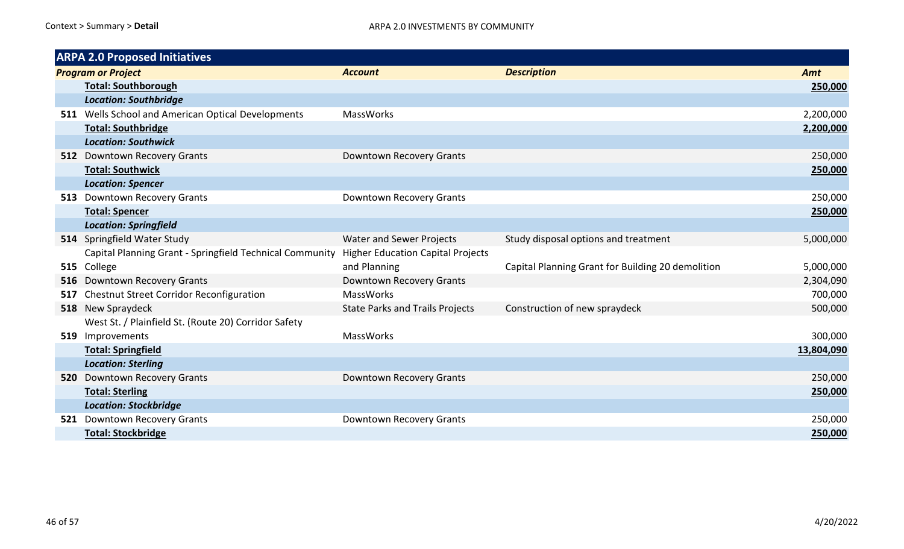|     | <b>ARPA 2.0 Proposed Initiatives</b>                     |                                          |                                                   |            |
|-----|----------------------------------------------------------|------------------------------------------|---------------------------------------------------|------------|
|     | <b>Program or Project</b>                                | <b>Account</b>                           | <b>Description</b>                                | Amt        |
|     | <b>Total: Southborough</b>                               |                                          |                                                   | 250,000    |
|     | <b>Location: Southbridge</b>                             |                                          |                                                   |            |
|     | 511 Wells School and American Optical Developments       | <b>MassWorks</b>                         |                                                   | 2,200,000  |
|     | <b>Total: Southbridge</b>                                |                                          |                                                   | 2,200,000  |
|     | <b>Location: Southwick</b>                               |                                          |                                                   |            |
|     | 512 Downtown Recovery Grants                             | Downtown Recovery Grants                 |                                                   | 250,000    |
|     | <b>Total: Southwick</b>                                  |                                          |                                                   | 250,000    |
|     | <b>Location: Spencer</b>                                 |                                          |                                                   |            |
|     | 513 Downtown Recovery Grants                             | <b>Downtown Recovery Grants</b>          |                                                   | 250,000    |
|     | <b>Total: Spencer</b>                                    |                                          |                                                   | 250,000    |
|     | <b>Location: Springfield</b>                             |                                          |                                                   |            |
|     | 514 Springfield Water Study                              | <b>Water and Sewer Projects</b>          | Study disposal options and treatment              | 5,000,000  |
|     | Capital Planning Grant - Springfield Technical Community | <b>Higher Education Capital Projects</b> |                                                   |            |
|     | 515 College                                              | and Planning                             | Capital Planning Grant for Building 20 demolition | 5,000,000  |
| 516 | <b>Downtown Recovery Grants</b>                          | Downtown Recovery Grants                 |                                                   | 2,304,090  |
| 517 | Chestnut Street Corridor Reconfiguration                 | <b>MassWorks</b>                         |                                                   | 700,000    |
|     | 518 New Spraydeck                                        | <b>State Parks and Trails Projects</b>   | Construction of new spraydeck                     | 500,000    |
|     | West St. / Plainfield St. (Route 20) Corridor Safety     |                                          |                                                   |            |
|     | 519 Improvements                                         | <b>MassWorks</b>                         |                                                   | 300,000    |
|     | <b>Total: Springfield</b>                                |                                          |                                                   | 13,804,090 |
|     | <b>Location: Sterling</b>                                |                                          |                                                   |            |
|     | 520 Downtown Recovery Grants                             | Downtown Recovery Grants                 |                                                   | 250,000    |
|     | <b>Total: Sterling</b>                                   |                                          |                                                   | 250,000    |
|     | <b>Location: Stockbridge</b>                             |                                          |                                                   |            |
|     | 521 Downtown Recovery Grants                             | Downtown Recovery Grants                 |                                                   | 250,000    |
|     | <b>Total: Stockbridge</b>                                |                                          |                                                   | 250,000    |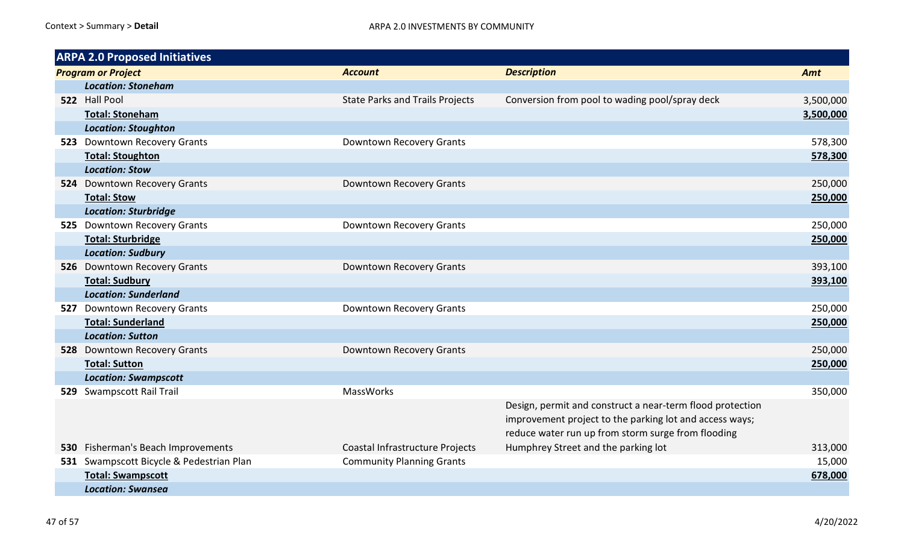| <b>ARPA 2.0 Proposed Initiatives</b>     |                                        |                                                                                                                                                                            |           |
|------------------------------------------|----------------------------------------|----------------------------------------------------------------------------------------------------------------------------------------------------------------------------|-----------|
| <b>Program or Project</b>                | <b>Account</b>                         | <b>Description</b>                                                                                                                                                         | Amt       |
| <b>Location: Stoneham</b>                |                                        |                                                                                                                                                                            |           |
| 522 Hall Pool                            | <b>State Parks and Trails Projects</b> | Conversion from pool to wading pool/spray deck                                                                                                                             | 3,500,000 |
| <b>Total: Stoneham</b>                   |                                        |                                                                                                                                                                            | 3,500,000 |
| <b>Location: Stoughton</b>               |                                        |                                                                                                                                                                            |           |
| 523 Downtown Recovery Grants             | Downtown Recovery Grants               |                                                                                                                                                                            | 578,300   |
| <b>Total: Stoughton</b>                  |                                        |                                                                                                                                                                            | 578,300   |
| <b>Location: Stow</b>                    |                                        |                                                                                                                                                                            |           |
| 524 Downtown Recovery Grants             | Downtown Recovery Grants               |                                                                                                                                                                            | 250,000   |
| <b>Total: Stow</b>                       |                                        |                                                                                                                                                                            | 250,000   |
| <b>Location: Sturbridge</b>              |                                        |                                                                                                                                                                            |           |
| 525 Downtown Recovery Grants             | Downtown Recovery Grants               |                                                                                                                                                                            | 250,000   |
| <b>Total: Sturbridge</b>                 |                                        |                                                                                                                                                                            | 250,000   |
| <b>Location: Sudbury</b>                 |                                        |                                                                                                                                                                            |           |
| 526 Downtown Recovery Grants             | Downtown Recovery Grants               |                                                                                                                                                                            | 393,100   |
| <b>Total: Sudbury</b>                    |                                        |                                                                                                                                                                            | 393,100   |
| <b>Location: Sunderland</b>              |                                        |                                                                                                                                                                            |           |
| 527 Downtown Recovery Grants             | Downtown Recovery Grants               |                                                                                                                                                                            | 250,000   |
| <b>Total: Sunderland</b>                 |                                        |                                                                                                                                                                            | 250,000   |
| <b>Location: Sutton</b>                  |                                        |                                                                                                                                                                            |           |
| 528 Downtown Recovery Grants             | Downtown Recovery Grants               |                                                                                                                                                                            | 250,000   |
| <b>Total: Sutton</b>                     |                                        |                                                                                                                                                                            | 250,000   |
| <b>Location: Swampscott</b>              |                                        |                                                                                                                                                                            |           |
| 529 Swampscott Rail Trail                | <b>MassWorks</b>                       |                                                                                                                                                                            | 350,000   |
|                                          |                                        | Design, permit and construct a near-term flood protection<br>improvement project to the parking lot and access ways;<br>reduce water run up from storm surge from flooding |           |
| 530 Fisherman's Beach Improvements       | Coastal Infrastructure Projects        | Humphrey Street and the parking lot                                                                                                                                        | 313,000   |
| 531 Swampscott Bicycle & Pedestrian Plan | <b>Community Planning Grants</b>       |                                                                                                                                                                            | 15,000    |
| <b>Total: Swampscott</b>                 |                                        |                                                                                                                                                                            | 678,000   |
| <b>Location: Swansea</b>                 |                                        |                                                                                                                                                                            |           |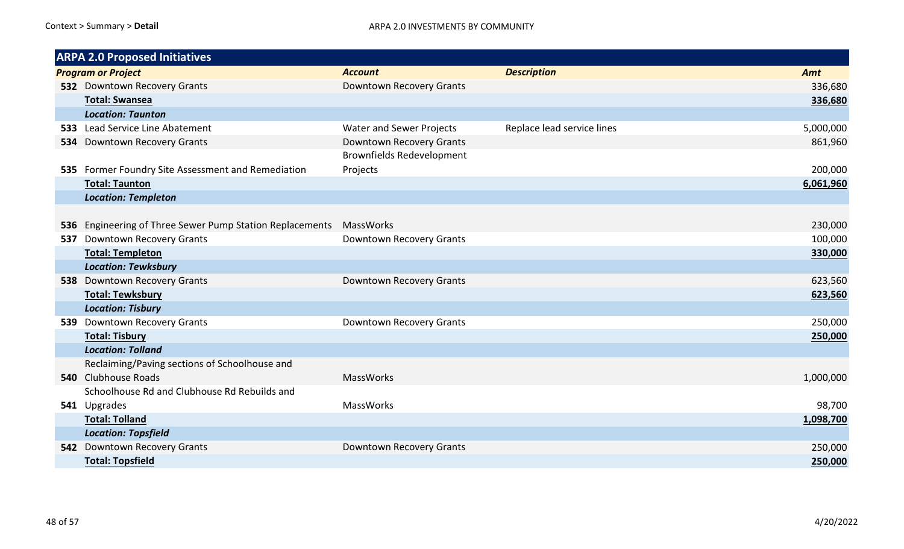|     | <b>ARPA 2.0 Proposed Initiatives</b>                     |                                  |                            |           |
|-----|----------------------------------------------------------|----------------------------------|----------------------------|-----------|
|     | <b>Program or Project</b>                                | <b>Account</b>                   | <b>Description</b>         | Amt       |
|     | 532 Downtown Recovery Grants                             | Downtown Recovery Grants         |                            | 336,680   |
|     | <b>Total: Swansea</b>                                    |                                  |                            | 336,680   |
|     | <b>Location: Taunton</b>                                 |                                  |                            |           |
|     | 533 Lead Service Line Abatement                          | <b>Water and Sewer Projects</b>  | Replace lead service lines | 5,000,000 |
| 534 | Downtown Recovery Grants                                 | Downtown Recovery Grants         |                            | 861,960   |
|     |                                                          | <b>Brownfields Redevelopment</b> |                            |           |
|     | 535 Former Foundry Site Assessment and Remediation       | Projects                         |                            | 200,000   |
|     | <b>Total: Taunton</b>                                    |                                  |                            | 6,061,960 |
|     | <b>Location: Templeton</b>                               |                                  |                            |           |
|     |                                                          |                                  |                            |           |
|     | 536 Engineering of Three Sewer Pump Station Replacements | <b>MassWorks</b>                 |                            | 230,000   |
|     | 537 Downtown Recovery Grants                             | Downtown Recovery Grants         |                            | 100,000   |
|     | <b>Total: Templeton</b>                                  |                                  |                            | 330,000   |
|     | <b>Location: Tewksbury</b>                               |                                  |                            |           |
|     | 538 Downtown Recovery Grants                             | Downtown Recovery Grants         |                            | 623,560   |
|     | <b>Total: Tewksbury</b>                                  |                                  |                            | 623,560   |
|     | <b>Location: Tisbury</b>                                 |                                  |                            |           |
| 539 | <b>Downtown Recovery Grants</b>                          | Downtown Recovery Grants         |                            | 250,000   |
|     | <b>Total: Tisbury</b>                                    |                                  |                            | 250,000   |
|     | <b>Location: Tolland</b>                                 |                                  |                            |           |
|     | Reclaiming/Paving sections of Schoolhouse and            |                                  |                            |           |
|     | 540 Clubhouse Roads                                      | <b>MassWorks</b>                 |                            | 1,000,000 |
|     | Schoolhouse Rd and Clubhouse Rd Rebuilds and             |                                  |                            |           |
|     | 541 Upgrades                                             | MassWorks                        |                            | 98,700    |
|     | <b>Total: Tolland</b>                                    |                                  |                            | 1,098,700 |
|     | <b>Location: Topsfield</b>                               |                                  |                            |           |
|     | 542 Downtown Recovery Grants                             | Downtown Recovery Grants         |                            | 250,000   |
|     | <b>Total: Topsfield</b>                                  |                                  |                            | 250,000   |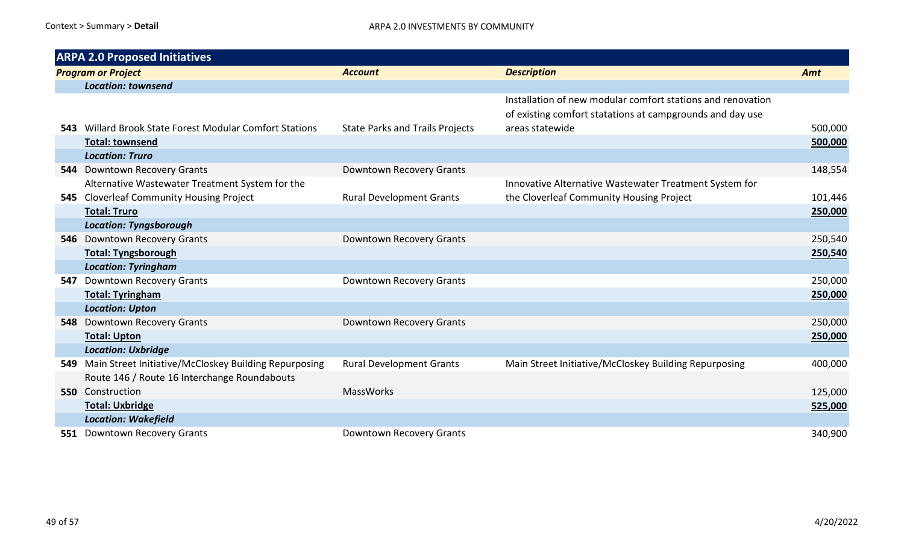|     | <b>ARPA 2.0 Proposed Initiatives</b>                    |                                        |                                                                                                                          |         |
|-----|---------------------------------------------------------|----------------------------------------|--------------------------------------------------------------------------------------------------------------------------|---------|
|     | <b>Program or Project</b>                               | <b>Account</b>                         | <b>Description</b>                                                                                                       | Amt     |
|     | <b>Location: townsend</b>                               |                                        |                                                                                                                          |         |
|     |                                                         |                                        | Installation of new modular comfort stations and renovation<br>of existing comfort statations at campgrounds and day use |         |
|     | 543 Willard Brook State Forest Modular Comfort Stations | <b>State Parks and Trails Projects</b> | areas statewide                                                                                                          | 500,000 |
|     | <b>Total: townsend</b>                                  |                                        |                                                                                                                          | 500,000 |
|     | <b>Location: Truro</b>                                  |                                        |                                                                                                                          |         |
|     | 544 Downtown Recovery Grants                            | Downtown Recovery Grants               |                                                                                                                          | 148,554 |
|     | Alternative Wastewater Treatment System for the         |                                        | Innovative Alternative Wastewater Treatment System for                                                                   |         |
|     | 545 Cloverleaf Community Housing Project                | <b>Rural Development Grants</b>        | the Cloverleaf Community Housing Project                                                                                 | 101,446 |
|     | <b>Total: Truro</b>                                     |                                        |                                                                                                                          | 250,000 |
|     | <b>Location: Tyngsborough</b>                           |                                        |                                                                                                                          |         |
| 546 | <b>Downtown Recovery Grants</b>                         | Downtown Recovery Grants               |                                                                                                                          | 250,540 |
|     | <b>Total: Tyngsborough</b>                              |                                        |                                                                                                                          | 250,540 |
|     | <b>Location: Tyringham</b>                              |                                        |                                                                                                                          |         |
| 547 | Downtown Recovery Grants                                | Downtown Recovery Grants               |                                                                                                                          | 250,000 |
|     | <b>Total: Tyringham</b>                                 |                                        |                                                                                                                          | 250,000 |
|     | <b>Location: Upton</b>                                  |                                        |                                                                                                                          |         |
| 548 | Downtown Recovery Grants                                | <b>Downtown Recovery Grants</b>        |                                                                                                                          | 250,000 |
|     | <b>Total: Upton</b>                                     |                                        |                                                                                                                          | 250,000 |
|     | <b>Location: Uxbridge</b>                               |                                        |                                                                                                                          |         |
| 549 | Main Street Initiative/McCloskey Building Repurposing   | <b>Rural Development Grants</b>        | Main Street Initiative/McCloskey Building Repurposing                                                                    | 400,000 |
|     | Route 146 / Route 16 Interchange Roundabouts            |                                        |                                                                                                                          |         |
|     | 550 Construction                                        | <b>MassWorks</b>                       |                                                                                                                          | 125,000 |
|     | <b>Total: Uxbridge</b>                                  |                                        |                                                                                                                          | 525,000 |
|     | <b>Location: Wakefield</b>                              |                                        |                                                                                                                          |         |
| 551 | <b>Downtown Recovery Grants</b>                         | <b>Downtown Recovery Grants</b>        |                                                                                                                          | 340,900 |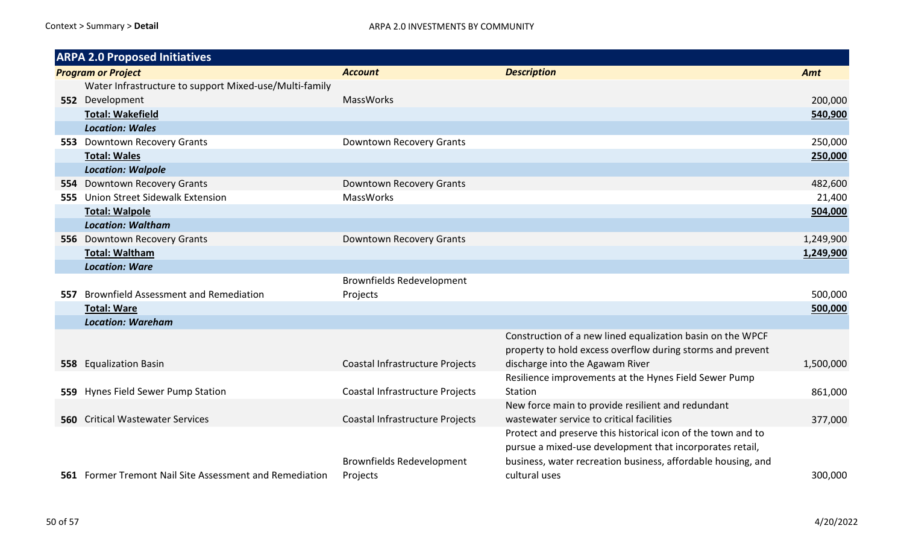|       | <b>ARPA 2.0 Proposed Initiatives</b>                    |                                  |                                                              |           |
|-------|---------------------------------------------------------|----------------------------------|--------------------------------------------------------------|-----------|
|       | <b>Program or Project</b>                               | <b>Account</b>                   | <b>Description</b>                                           | Amt       |
|       | Water Infrastructure to support Mixed-use/Multi-family  |                                  |                                                              |           |
|       | 552 Development                                         | <b>MassWorks</b>                 |                                                              | 200,000   |
|       | <b>Total: Wakefield</b>                                 |                                  |                                                              | 540,900   |
|       | <b>Location: Wales</b>                                  |                                  |                                                              |           |
|       | 553 Downtown Recovery Grants                            | Downtown Recovery Grants         |                                                              | 250,000   |
|       | <b>Total: Wales</b>                                     |                                  |                                                              | 250,000   |
|       | <b>Location: Walpole</b>                                |                                  |                                                              |           |
|       | 554 Downtown Recovery Grants                            | Downtown Recovery Grants         |                                                              | 482,600   |
|       | 555 Union Street Sidewalk Extension                     | <b>MassWorks</b>                 |                                                              | 21,400    |
|       | <b>Total: Walpole</b>                                   |                                  |                                                              | 504,000   |
|       | <b>Location: Waltham</b>                                |                                  |                                                              |           |
|       | 556 Downtown Recovery Grants                            | Downtown Recovery Grants         |                                                              | 1,249,900 |
|       | <b>Total: Waltham</b>                                   |                                  |                                                              | 1,249,900 |
|       | <b>Location: Ware</b>                                   |                                  |                                                              |           |
|       |                                                         | <b>Brownfields Redevelopment</b> |                                                              |           |
|       | 557 Brownfield Assessment and Remediation               | Projects                         |                                                              | 500,000   |
|       | <b>Total: Ware</b>                                      |                                  |                                                              | 500,000   |
|       | <b>Location: Wareham</b>                                |                                  |                                                              |           |
|       |                                                         |                                  | Construction of a new lined equalization basin on the WPCF   |           |
|       |                                                         |                                  | property to hold excess overflow during storms and prevent   |           |
|       | 558 Equalization Basin                                  | Coastal Infrastructure Projects  | discharge into the Agawam River                              | 1,500,000 |
|       |                                                         |                                  | Resilience improvements at the Hynes Field Sewer Pump        |           |
| 559 . | Hynes Field Sewer Pump Station                          | Coastal Infrastructure Projects  | Station                                                      | 861,000   |
|       |                                                         |                                  | New force main to provide resilient and redundant            |           |
| 560 - | <b>Critical Wastewater Services</b>                     | Coastal Infrastructure Projects  | wastewater service to critical facilities                    | 377,000   |
|       |                                                         |                                  | Protect and preserve this historical icon of the town and to |           |
|       |                                                         |                                  | pursue a mixed-use development that incorporates retail,     |           |
|       |                                                         | <b>Brownfields Redevelopment</b> | business, water recreation business, affordable housing, and |           |
|       | 561 Former Tremont Nail Site Assessment and Remediation | Projects                         | cultural uses                                                | 300,000   |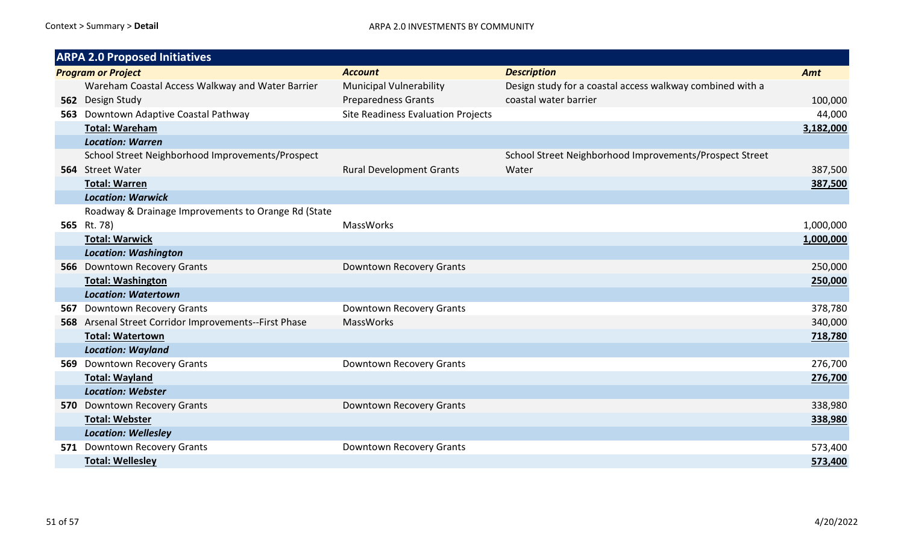|     | <b>ARPA 2.0 Proposed Initiatives</b>                  |                                    |                                                           |           |
|-----|-------------------------------------------------------|------------------------------------|-----------------------------------------------------------|-----------|
|     | <b>Program or Project</b>                             | <b>Account</b>                     | <b>Description</b>                                        | Amt       |
|     | Wareham Coastal Access Walkway and Water Barrier      | <b>Municipal Vulnerability</b>     | Design study for a coastal access walkway combined with a |           |
|     | 562 Design Study                                      | <b>Preparedness Grants</b>         | coastal water barrier                                     | 100,000   |
|     | 563 Downtown Adaptive Coastal Pathway                 | Site Readiness Evaluation Projects |                                                           | 44,000    |
|     | <b>Total: Wareham</b>                                 |                                    |                                                           | 3,182,000 |
|     | <b>Location: Warren</b>                               |                                    |                                                           |           |
|     | School Street Neighborhood Improvements/Prospect      |                                    | School Street Neighborhood Improvements/Prospect Street   |           |
|     | 564 Street Water                                      | <b>Rural Development Grants</b>    | Water                                                     | 387,500   |
|     | <b>Total: Warren</b>                                  |                                    |                                                           | 387,500   |
|     | <b>Location: Warwick</b>                              |                                    |                                                           |           |
|     | Roadway & Drainage Improvements to Orange Rd (State   |                                    |                                                           |           |
|     | 565 Rt. 78)                                           | MassWorks                          |                                                           | 1,000,000 |
|     | <b>Total: Warwick</b>                                 |                                    |                                                           | 1,000,000 |
|     | <b>Location: Washington</b>                           |                                    |                                                           |           |
|     | 566 Downtown Recovery Grants                          | Downtown Recovery Grants           |                                                           | 250,000   |
|     | <b>Total: Washington</b>                              |                                    |                                                           | 250,000   |
|     | <b>Location: Watertown</b>                            |                                    |                                                           |           |
| 567 | <b>Downtown Recovery Grants</b>                       | Downtown Recovery Grants           |                                                           | 378,780   |
|     | 568 Arsenal Street Corridor Improvements--First Phase | <b>MassWorks</b>                   |                                                           | 340,000   |
|     | <b>Total: Watertown</b>                               |                                    |                                                           | 718,780   |
|     | <b>Location: Wayland</b>                              |                                    |                                                           |           |
| 569 | <b>Downtown Recovery Grants</b>                       | Downtown Recovery Grants           |                                                           | 276,700   |
|     | <b>Total: Wayland</b>                                 |                                    |                                                           | 276,700   |
|     | <b>Location: Webster</b>                              |                                    |                                                           |           |
|     | 570 Downtown Recovery Grants                          | Downtown Recovery Grants           |                                                           | 338,980   |
|     | <b>Total: Webster</b>                                 |                                    |                                                           | 338,980   |
|     | <b>Location: Wellesley</b>                            |                                    |                                                           |           |
|     | 571 Downtown Recovery Grants                          | Downtown Recovery Grants           |                                                           | 573,400   |
|     | <b>Total: Wellesley</b>                               |                                    |                                                           | 573,400   |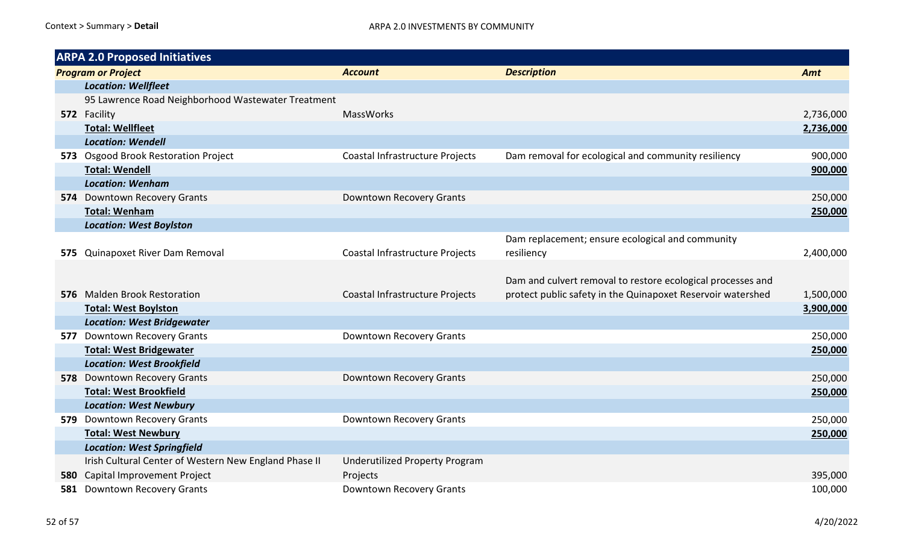| <b>ARPA 2.0 Proposed Initiatives</b> |                                                       |                                       |                                                             |           |
|--------------------------------------|-------------------------------------------------------|---------------------------------------|-------------------------------------------------------------|-----------|
|                                      | <b>Program or Project</b>                             | <b>Account</b>                        | <b>Description</b>                                          | Amt       |
|                                      | <b>Location: Wellfleet</b>                            |                                       |                                                             |           |
|                                      | 95 Lawrence Road Neighborhood Wastewater Treatment    |                                       |                                                             |           |
|                                      | 572 Facility                                          | <b>MassWorks</b>                      |                                                             | 2,736,000 |
|                                      | <b>Total: Wellfleet</b>                               |                                       |                                                             | 2,736,000 |
|                                      | <b>Location: Wendell</b>                              |                                       |                                                             |           |
|                                      | 573 Osgood Brook Restoration Project                  | Coastal Infrastructure Projects       | Dam removal for ecological and community resiliency         | 900,000   |
|                                      | <b>Total: Wendell</b>                                 |                                       |                                                             | 900,000   |
|                                      | <b>Location: Wenham</b>                               |                                       |                                                             |           |
|                                      | 574 Downtown Recovery Grants                          | <b>Downtown Recovery Grants</b>       |                                                             | 250,000   |
|                                      | <b>Total: Wenham</b>                                  |                                       |                                                             | 250,000   |
|                                      | <b>Location: West Boylston</b>                        |                                       |                                                             |           |
|                                      |                                                       |                                       | Dam replacement; ensure ecological and community            |           |
|                                      | 575 Quinapoxet River Dam Removal                      | Coastal Infrastructure Projects       | resiliency                                                  | 2,400,000 |
|                                      |                                                       |                                       |                                                             |           |
|                                      |                                                       |                                       | Dam and culvert removal to restore ecological processes and |           |
|                                      | 576 Malden Brook Restoration                          | Coastal Infrastructure Projects       | protect public safety in the Quinapoxet Reservoir watershed | 1,500,000 |
|                                      | <b>Total: West Boylston</b>                           |                                       |                                                             | 3,900,000 |
|                                      | <b>Location: West Bridgewater</b>                     |                                       |                                                             |           |
|                                      | 577 Downtown Recovery Grants                          | <b>Downtown Recovery Grants</b>       |                                                             | 250,000   |
|                                      | <b>Total: West Bridgewater</b>                        |                                       |                                                             | 250,000   |
|                                      | <b>Location: West Brookfield</b>                      |                                       |                                                             |           |
|                                      | 578 Downtown Recovery Grants                          | Downtown Recovery Grants              |                                                             | 250,000   |
|                                      | <b>Total: West Brookfield</b>                         |                                       |                                                             | 250,000   |
|                                      | <b>Location: West Newbury</b>                         |                                       |                                                             |           |
|                                      | 579 Downtown Recovery Grants                          | Downtown Recovery Grants              |                                                             | 250,000   |
|                                      | <b>Total: West Newbury</b>                            |                                       |                                                             | 250,000   |
|                                      | <b>Location: West Springfield</b>                     |                                       |                                                             |           |
|                                      | Irish Cultural Center of Western New England Phase II | <b>Underutilized Property Program</b> |                                                             |           |
|                                      | 580 Capital Improvement Project                       | Projects                              |                                                             | 395,000   |
| 581                                  | <b>Downtown Recovery Grants</b>                       | <b>Downtown Recovery Grants</b>       |                                                             | 100,000   |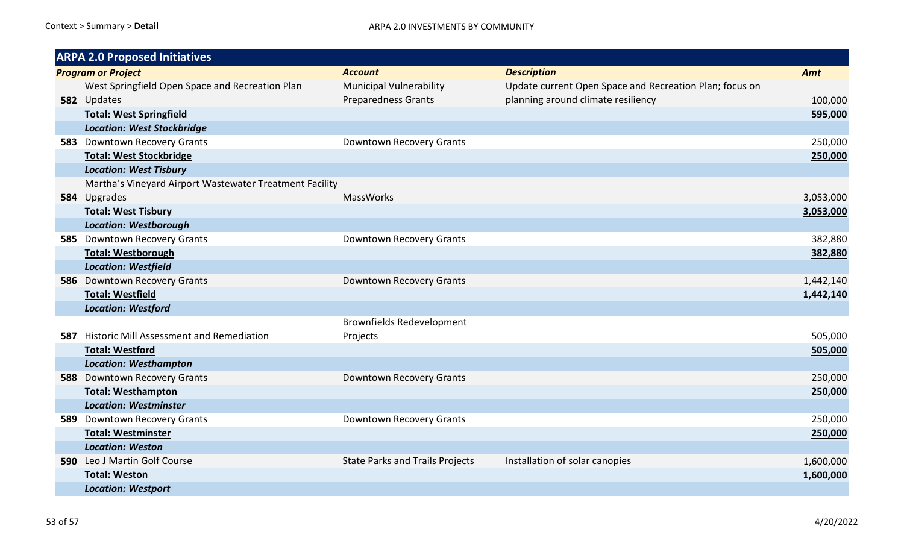| <b>ARPA 2.0 Proposed Initiatives</b>                    |                                        |                                                         |           |
|---------------------------------------------------------|----------------------------------------|---------------------------------------------------------|-----------|
| <b>Program or Project</b>                               | <b>Account</b>                         | <b>Description</b>                                      | Amt       |
| West Springfield Open Space and Recreation Plan         | <b>Municipal Vulnerability</b>         | Update current Open Space and Recreation Plan; focus on |           |
| 582 Updates                                             | <b>Preparedness Grants</b>             | planning around climate resiliency                      | 100,000   |
| <b>Total: West Springfield</b>                          |                                        |                                                         | 595,000   |
| <b>Location: West Stockbridge</b>                       |                                        |                                                         |           |
| 583 Downtown Recovery Grants                            | Downtown Recovery Grants               |                                                         | 250,000   |
| <b>Total: West Stockbridge</b>                          |                                        |                                                         | 250,000   |
| <b>Location: West Tisbury</b>                           |                                        |                                                         |           |
| Martha's Vineyard Airport Wastewater Treatment Facility |                                        |                                                         |           |
| 584 Upgrades                                            | <b>MassWorks</b>                       |                                                         | 3,053,000 |
| <b>Total: West Tisbury</b>                              |                                        |                                                         | 3,053,000 |
| <b>Location: Westborough</b>                            |                                        |                                                         |           |
| 585 Downtown Recovery Grants                            | Downtown Recovery Grants               |                                                         | 382,880   |
| <b>Total: Westborough</b>                               |                                        |                                                         | 382,880   |
| <b>Location: Westfield</b>                              |                                        |                                                         |           |
| 586 Downtown Recovery Grants                            | Downtown Recovery Grants               |                                                         | 1,442,140 |
| <b>Total: Westfield</b>                                 |                                        |                                                         | 1,442,140 |
| <b>Location: Westford</b>                               |                                        |                                                         |           |
|                                                         | <b>Brownfields Redevelopment</b>       |                                                         |           |
| 587 Historic Mill Assessment and Remediation            | Projects                               |                                                         | 505,000   |
| <b>Total: Westford</b>                                  |                                        |                                                         | 505,000   |
| <b>Location: Westhampton</b>                            |                                        |                                                         |           |
| 588 Downtown Recovery Grants                            | Downtown Recovery Grants               |                                                         | 250,000   |
| <b>Total: Westhampton</b>                               |                                        |                                                         | 250,000   |
| <b>Location: Westminster</b>                            |                                        |                                                         |           |
| 589 Downtown Recovery Grants                            | Downtown Recovery Grants               |                                                         | 250,000   |
| <b>Total: Westminster</b>                               |                                        |                                                         | 250,000   |
| <b>Location: Weston</b>                                 |                                        |                                                         |           |
| 590 Leo J Martin Golf Course                            | <b>State Parks and Trails Projects</b> | Installation of solar canopies                          | 1,600,000 |
| <b>Total: Weston</b>                                    |                                        |                                                         | 1,600,000 |
| <b>Location: Westport</b>                               |                                        |                                                         |           |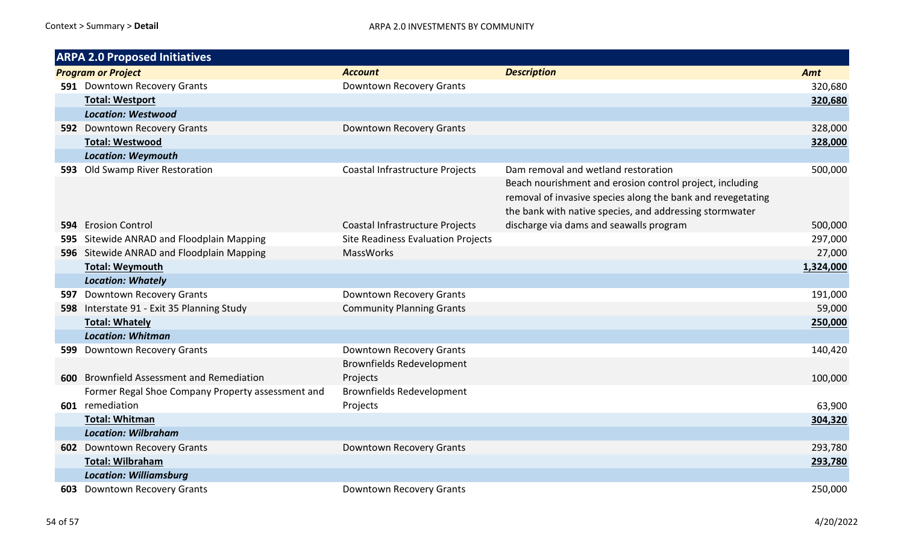| <b>ARPA 2.0 Proposed Initiatives</b> |                                                   |                                    |                                                             |           |  |
|--------------------------------------|---------------------------------------------------|------------------------------------|-------------------------------------------------------------|-----------|--|
|                                      | <b>Program or Project</b>                         | <b>Account</b>                     | <b>Description</b>                                          | Amt       |  |
|                                      | 591 Downtown Recovery Grants                      | Downtown Recovery Grants           |                                                             | 320,680   |  |
|                                      | <b>Total: Westport</b>                            |                                    |                                                             | 320,680   |  |
|                                      | <b>Location: Westwood</b>                         |                                    |                                                             |           |  |
|                                      | 592 Downtown Recovery Grants                      | Downtown Recovery Grants           |                                                             | 328,000   |  |
|                                      | <b>Total: Westwood</b>                            |                                    |                                                             | 328,000   |  |
|                                      | <b>Location: Weymouth</b>                         |                                    |                                                             |           |  |
|                                      | 593 Old Swamp River Restoration                   | Coastal Infrastructure Projects    | Dam removal and wetland restoration                         | 500,000   |  |
|                                      |                                                   |                                    | Beach nourishment and erosion control project, including    |           |  |
|                                      |                                                   |                                    | removal of invasive species along the bank and revegetating |           |  |
|                                      |                                                   |                                    | the bank with native species, and addressing stormwater     |           |  |
|                                      | 594 Erosion Control                               | Coastal Infrastructure Projects    | discharge via dams and seawalls program                     | 500,000   |  |
|                                      | 595 Sitewide ANRAD and Floodplain Mapping         | Site Readiness Evaluation Projects |                                                             | 297,000   |  |
|                                      | 596 Sitewide ANRAD and Floodplain Mapping         | MassWorks                          |                                                             | 27,000    |  |
|                                      | <b>Total: Weymouth</b>                            |                                    |                                                             | 1,324,000 |  |
|                                      | <b>Location: Whately</b>                          |                                    |                                                             |           |  |
|                                      | 597 Downtown Recovery Grants                      | Downtown Recovery Grants           |                                                             | 191,000   |  |
|                                      | 598 Interstate 91 - Exit 35 Planning Study        | <b>Community Planning Grants</b>   |                                                             | 59,000    |  |
|                                      | <b>Total: Whately</b>                             |                                    |                                                             | 250,000   |  |
|                                      | <b>Location: Whitman</b>                          |                                    |                                                             |           |  |
|                                      | 599 Downtown Recovery Grants                      | Downtown Recovery Grants           |                                                             | 140,420   |  |
|                                      |                                                   | <b>Brownfields Redevelopment</b>   |                                                             |           |  |
|                                      | <b>600</b> Brownfield Assessment and Remediation  | Projects                           |                                                             | 100,000   |  |
|                                      | Former Regal Shoe Company Property assessment and | <b>Brownfields Redevelopment</b>   |                                                             |           |  |
|                                      | 601 remediation                                   | Projects                           |                                                             | 63,900    |  |
|                                      | <b>Total: Whitman</b>                             |                                    |                                                             | 304,320   |  |
|                                      | <b>Location: Wilbraham</b>                        |                                    |                                                             |           |  |
|                                      | <b>602</b> Downtown Recovery Grants               | Downtown Recovery Grants           |                                                             | 293,780   |  |
|                                      | <b>Total: Wilbraham</b>                           |                                    |                                                             | 293,780   |  |
|                                      | <b>Location: Williamsburg</b>                     |                                    |                                                             |           |  |
|                                      | <b>603</b> Downtown Recovery Grants               | <b>Downtown Recovery Grants</b>    |                                                             | 250,000   |  |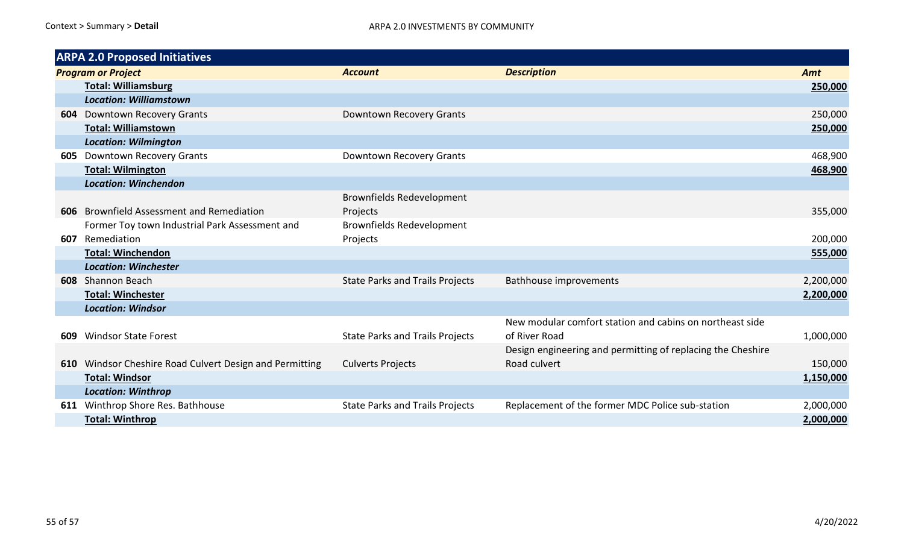| <b>ARPA 2.0 Proposed Initiatives</b> |                                                     |                                        |                                                             |           |  |
|--------------------------------------|-----------------------------------------------------|----------------------------------------|-------------------------------------------------------------|-----------|--|
|                                      | <b>Program or Project</b>                           | <b>Account</b>                         | <b>Description</b>                                          | Amt       |  |
|                                      | <b>Total: Williamsburg</b>                          |                                        |                                                             | 250,000   |  |
|                                      | <b>Location: Williamstown</b>                       |                                        |                                                             |           |  |
|                                      | <b>604</b> Downtown Recovery Grants                 | Downtown Recovery Grants               |                                                             | 250,000   |  |
|                                      | <b>Total: Williamstown</b>                          |                                        |                                                             | 250,000   |  |
|                                      | <b>Location: Wilmington</b>                         |                                        |                                                             |           |  |
| 605                                  | <b>Downtown Recovery Grants</b>                     | Downtown Recovery Grants               |                                                             | 468,900   |  |
|                                      | <b>Total: Wilmington</b>                            |                                        |                                                             | 468,900   |  |
|                                      | <b>Location: Winchendon</b>                         |                                        |                                                             |           |  |
|                                      |                                                     | <b>Brownfields Redevelopment</b>       |                                                             |           |  |
|                                      | 606 Brownfield Assessment and Remediation           | Projects                               |                                                             | 355,000   |  |
|                                      | Former Toy town Industrial Park Assessment and      | <b>Brownfields Redevelopment</b>       |                                                             |           |  |
|                                      | 607 Remediation                                     | Projects                               |                                                             | 200,000   |  |
|                                      | <b>Total: Winchendon</b>                            |                                        |                                                             | 555,000   |  |
|                                      | <b>Location: Winchester</b>                         |                                        |                                                             |           |  |
|                                      | 608 Shannon Beach                                   | <b>State Parks and Trails Projects</b> | <b>Bathhouse improvements</b>                               | 2,200,000 |  |
|                                      | <b>Total: Winchester</b>                            |                                        |                                                             | 2,200,000 |  |
|                                      | <b>Location: Windsor</b>                            |                                        |                                                             |           |  |
|                                      |                                                     |                                        | New modular comfort station and cabins on northeast side    |           |  |
| 609                                  | <b>Windsor State Forest</b>                         | <b>State Parks and Trails Projects</b> | of River Road                                               | 1,000,000 |  |
|                                      |                                                     |                                        | Design engineering and permitting of replacing the Cheshire |           |  |
| 610                                  | Windsor Cheshire Road Culvert Design and Permitting | <b>Culverts Projects</b>               | Road culvert                                                | 150,000   |  |
|                                      | <b>Total: Windsor</b>                               |                                        |                                                             | 1,150,000 |  |
|                                      | <b>Location: Winthrop</b>                           |                                        |                                                             |           |  |
|                                      | 611 Winthrop Shore Res. Bathhouse                   | <b>State Parks and Trails Projects</b> | Replacement of the former MDC Police sub-station            | 2,000,000 |  |
|                                      | <b>Total: Winthrop</b>                              |                                        |                                                             | 2,000,000 |  |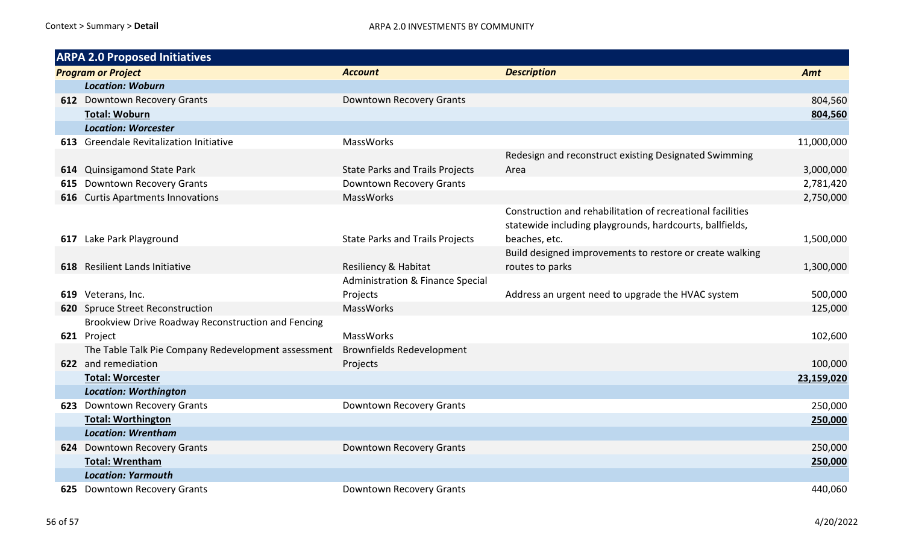| <b>ARPA 2.0 Proposed Initiatives</b> |                                                     |                                             |                                                            |            |  |
|--------------------------------------|-----------------------------------------------------|---------------------------------------------|------------------------------------------------------------|------------|--|
|                                      | <b>Program or Project</b>                           | <b>Account</b>                              | <b>Description</b>                                         | Amt        |  |
|                                      | <b>Location: Woburn</b>                             |                                             |                                                            |            |  |
|                                      | 612 Downtown Recovery Grants                        | Downtown Recovery Grants                    |                                                            | 804,560    |  |
|                                      | <b>Total: Woburn</b>                                |                                             |                                                            | 804,560    |  |
|                                      | <b>Location: Worcester</b>                          |                                             |                                                            |            |  |
|                                      | 613 Greendale Revitalization Initiative             | MassWorks                                   |                                                            | 11,000,000 |  |
|                                      |                                                     |                                             | Redesign and reconstruct existing Designated Swimming      |            |  |
|                                      | 614 Quinsigamond State Park                         | <b>State Parks and Trails Projects</b>      | Area                                                       | 3,000,000  |  |
| 615                                  | Downtown Recovery Grants                            | Downtown Recovery Grants                    |                                                            | 2,781,420  |  |
|                                      | 616 Curtis Apartments Innovations                   | MassWorks                                   |                                                            | 2,750,000  |  |
|                                      |                                                     |                                             | Construction and rehabilitation of recreational facilities |            |  |
|                                      |                                                     |                                             | statewide including playgrounds, hardcourts, ballfields,   |            |  |
|                                      | 617 Lake Park Playground                            | <b>State Parks and Trails Projects</b>      | beaches, etc.                                              | 1,500,000  |  |
|                                      |                                                     |                                             | Build designed improvements to restore or create walking   |            |  |
|                                      | 618 Resilient Lands Initiative                      | Resiliency & Habitat                        | routes to parks                                            | 1,300,000  |  |
|                                      |                                                     | <b>Administration &amp; Finance Special</b> |                                                            |            |  |
|                                      | 619 Veterans, Inc.                                  | Projects                                    | Address an urgent need to upgrade the HVAC system          | 500,000    |  |
|                                      | 620 Spruce Street Reconstruction                    | <b>MassWorks</b>                            |                                                            | 125,000    |  |
|                                      | Brookview Drive Roadway Reconstruction and Fencing  |                                             |                                                            |            |  |
|                                      | 621 Project                                         | <b>MassWorks</b>                            |                                                            | 102,600    |  |
|                                      | The Table Talk Pie Company Redevelopment assessment | <b>Brownfields Redevelopment</b>            |                                                            |            |  |
|                                      | 622 and remediation                                 | Projects                                    |                                                            | 100,000    |  |
|                                      | <b>Total: Worcester</b>                             |                                             |                                                            | 23,159,020 |  |
|                                      | <b>Location: Worthington</b>                        |                                             |                                                            |            |  |
|                                      | 623 Downtown Recovery Grants                        | Downtown Recovery Grants                    |                                                            | 250,000    |  |
|                                      | <b>Total: Worthington</b>                           |                                             |                                                            | 250,000    |  |
|                                      | <b>Location: Wrentham</b>                           |                                             |                                                            |            |  |
|                                      | 624 Downtown Recovery Grants                        | Downtown Recovery Grants                    |                                                            | 250,000    |  |
|                                      | <b>Total: Wrentham</b>                              |                                             |                                                            | 250,000    |  |
|                                      | <b>Location: Yarmouth</b>                           |                                             |                                                            |            |  |
|                                      | 625 Downtown Recovery Grants                        | Downtown Recovery Grants                    |                                                            | 440,060    |  |